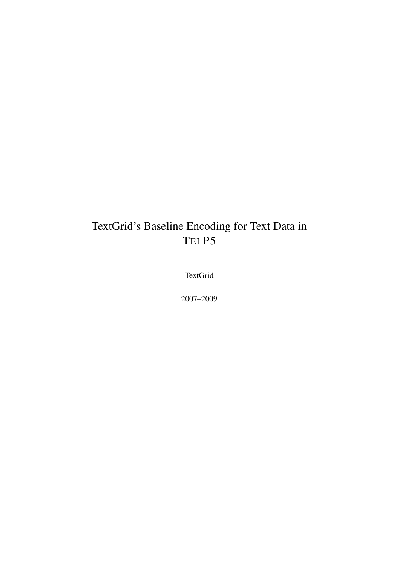# TextGrid's Baseline Encoding for Text Data in TEI P5

TextGrid

2007–2009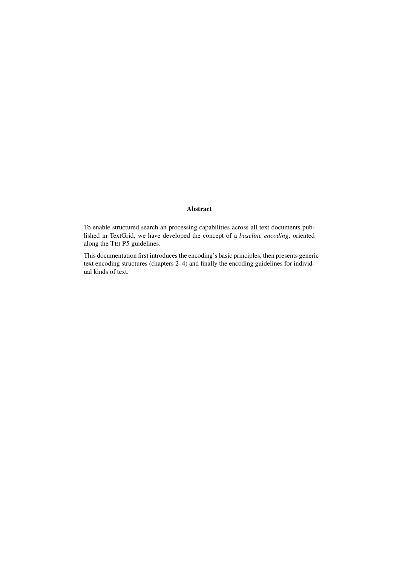#### Abstract

To enable structured search an processing capabilities across all text documents published in TextGrid, we have developed the concept of a *baseline encoding*, oriented along the TEI P5 guidelines.

This documentation first introduces the encoding's basic principles, then presents generic text encoding structures (chapters 2–4) and finally the encoding guidelines for individual kinds of text.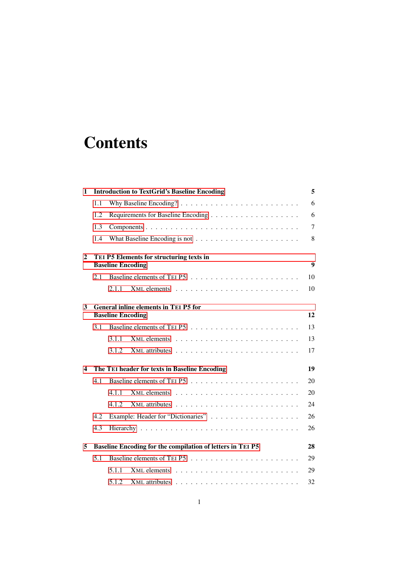# **Contents**

| $\mathbf{1}$ |     |                          | <b>Introduction to TextGrid's Baseline Encoding</b>        | 5                |
|--------------|-----|--------------------------|------------------------------------------------------------|------------------|
|              | 1.1 |                          |                                                            | 6                |
|              | 1.2 |                          |                                                            | 6                |
|              | 1.3 |                          |                                                            | $\overline{7}$   |
|              | 1.4 |                          |                                                            | 8                |
| $\mathbf{2}$ |     | <b>Baseline Encoding</b> | TEI P5 Elements for structuring texts in                   | $\boldsymbol{9}$ |
|              | 2.1 |                          |                                                            | 10               |
|              |     | 2.1.1                    |                                                            | 10               |
| 3            |     | <b>Baseline Encoding</b> | <b>General inline elements in TEI P5 for</b>               | 12               |
|              | 3.1 |                          |                                                            | 13               |
|              |     | 3.1.1                    |                                                            | 13               |
|              |     | 3.1.2                    |                                                            | 17               |
| 4            |     |                          | The TEI header for texts in Baseline Encoding              | 19               |
|              | 4.1 |                          |                                                            | 20               |
|              |     | 4.1.1                    |                                                            | 20               |
|              |     | 4.1.2                    |                                                            | 24               |
|              | 4.2 |                          |                                                            | 26               |
|              | 4.3 |                          |                                                            | 26               |
| 5            |     |                          | Baseline Encoding for the compilation of letters in TEI P5 | 28               |
|              | 5.1 |                          |                                                            | 29               |
|              |     | 5.1.1                    |                                                            | 29               |
|              |     | 5.1.2                    |                                                            | 32               |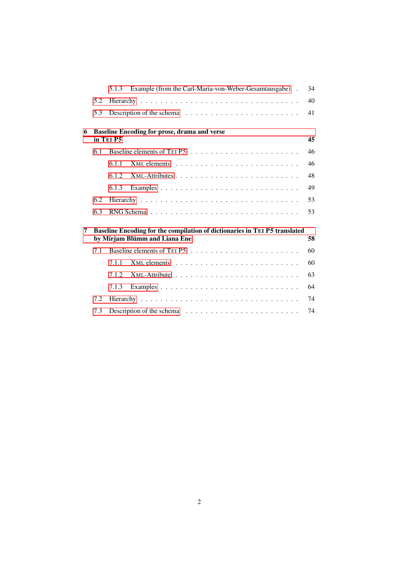|   |     | Example (from the Carl-Maria-von-Weber-Gesamtausgabe).<br>5.1.3                                             | 34 |
|---|-----|-------------------------------------------------------------------------------------------------------------|----|
|   | 5.2 |                                                                                                             | 40 |
|   | 5.3 |                                                                                                             | 41 |
| 6 |     | <b>Baseline Encoding for prose, drama and verse</b><br>in TEI P5                                            | 45 |
|   | 6.1 |                                                                                                             | 46 |
|   |     | 6.1.1                                                                                                       | 46 |
|   |     | 6.1.2                                                                                                       | 48 |
|   |     | 6.1.3                                                                                                       | 49 |
|   | 6.2 |                                                                                                             | 53 |
|   | 6.3 |                                                                                                             | 53 |
| 7 |     | Baseline Encoding for the compilation of dictionaries in TEI P5 translated<br>by Mirjam Blümm and Liana Ene | 58 |
|   | 7.1 |                                                                                                             | 60 |
|   |     | 7.1.1                                                                                                       | 60 |
|   |     | 7.1.2                                                                                                       | 63 |
|   |     | 7.1.3                                                                                                       | 64 |
|   | 7.2 |                                                                                                             | 74 |
|   | 7.3 |                                                                                                             | 74 |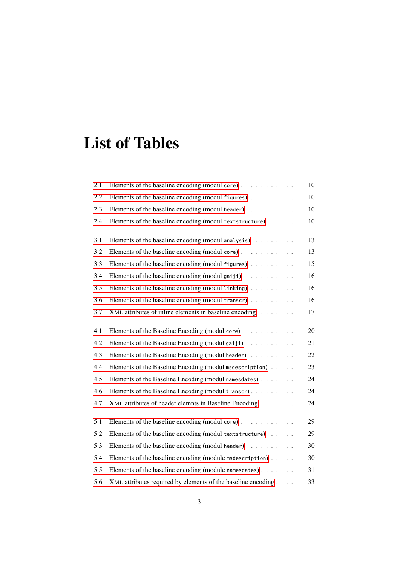# List of Tables

| 2.1 | Elements of the baseline encoding (modul core) $\dots \dots \dots \dots$ | 10     |
|-----|--------------------------------------------------------------------------|--------|
| 2.2 | Elements of the baseline encoding (modul figures) $\dots \dots \dots$    | 10     |
| 2.3 | Elements of the baseline encoding (modul header)                         | 10     |
| 2.4 | Elements of the baseline encoding (modul textstructure)                  | 10     |
| 3.1 | Elements of the baseline encoding (modul analysis)                       | 13     |
| 3.2 | Elements of the baseline encoding (modul core)                           | 13     |
| 3.3 | Elements of the baseline encoding (modul figures)                        | 15     |
| 3.4 | Elements of the baseline encoding (modul gaiji) $\ldots \ldots \ldots$   | 16     |
| 3.5 | Elements of the baseline encoding (modul linking)                        | 16     |
| 3.6 | Elements of the baseline encoding (modul transcr) $\ldots \ldots \ldots$ | 16     |
| 3.7 | XML attributes of inline elements in baseline encoding                   | 17     |
| 4.1 | Elements of the Baseline Encoding (modul core)                           | 20     |
| 4.2 | Elements of the Baseline Encoding (modul gaiji)                          | 21     |
| 4.3 | Elements of the Baseline Encoding (modul header)                         | 22     |
| 4.4 | Elements of the Baseline Encoding (modul msdescription)                  | 23     |
| 4.5 | Elements of the Baseline Encoding (modul namesdates)                     | 24     |
| 4.6 | Elements of the Baseline Encoding (modul transcr)                        | 24     |
| 4.7 | XML attributes of header elemnts in Baseline Encoding                    | 24     |
| 5.1 | Elements of the baseline encoding (modul core) $\dots \dots \dots \dots$ | 29     |
| 5.2 | Elements of the baseline encoding (modul textstructure)                  | 29     |
| 5.3 | Elements of the baseline encoding (modul header)                         | $30\,$ |
| 5.4 | Elements of the baseline encoding (module msdescription) $\ldots \ldots$ | $30\,$ |
| 5.5 | Elements of the baseline encoding (module namesdates)                    | 31     |
| 5.6 | XML attributes required by elements of the baseline encoding             | 33     |
|     |                                                                          |        |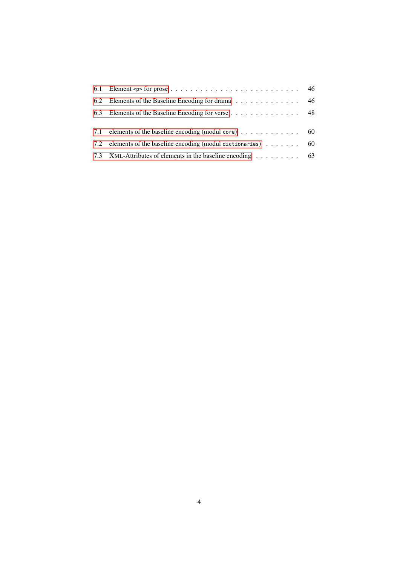| 6.1 Element <p> for prose <math>\dots \dots \dots \dots \dots \dots \dots \dots \dots \dots \dots</math> 46</p> |  |
|-----------------------------------------------------------------------------------------------------------------|--|
|                                                                                                                 |  |
| 6.3 Elements of the Baseline Encoding for verse 48                                                              |  |
|                                                                                                                 |  |
| 7.1 elements of the baseline encoding (modul core) 60                                                           |  |
| 7.2 elements of the baseline encoding (modul dictionaries) $\ldots \ldots$ 60                                   |  |
| 7.3 XML-Attributes of elements in the baseline encoding 63                                                      |  |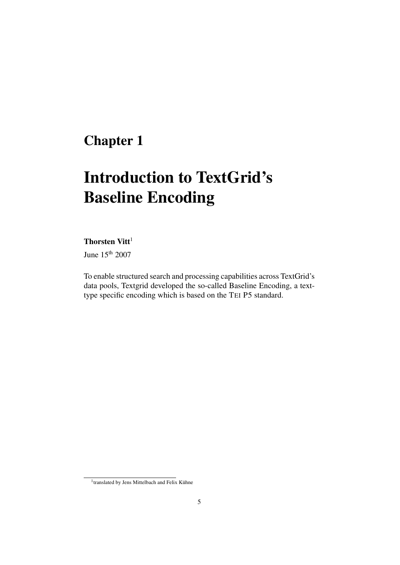# <span id="page-6-0"></span>Chapter 1

# Introduction to TextGrid's Baseline Encoding

### Thorsten Vitt $1$

June 15th 2007

To enable structured search and processing capabilities across TextGrid's data pools, Textgrid developed the so-called Baseline Encoding, a texttype specific encoding which is based on the TEI P5 standard.

<sup>&</sup>lt;sup>1</sup>translated by Jens Mittelbach and Felix Kühne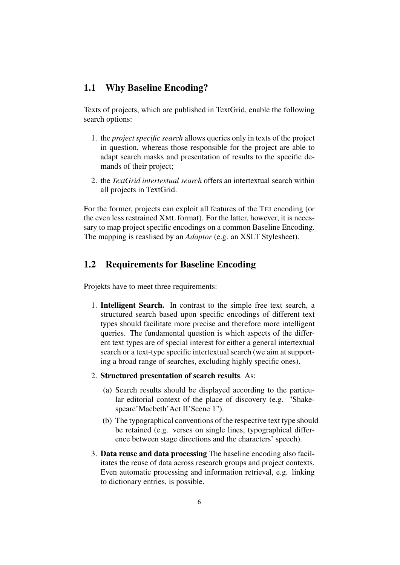### <span id="page-7-0"></span>1.1 Why Baseline Encoding?

Texts of projects, which are published in TextGrid, enable the following search options:

- 1. the *project specific search* allows queries only in texts of the project in question, whereas those responsible for the project are able to adapt search masks and presentation of results to the specific demands of their project;
- 2. the *TextGrid intertextual search* offers an intertextual search within all projects in TextGrid.

For the former, projects can exploit all features of the TEI encoding (or the even less restrained XML format). For the latter, however, it is necessary to map project specific encodings on a common Baseline Encoding. The mapping is reaslised by an *Adaptor* (e.g. an XSLT Stylesheet).

### <span id="page-7-1"></span>1.2 Requirements for Baseline Encoding

Projekts have to meet three requirements:

- 1. Intelligent Search. In contrast to the simple free text search, a structured search based upon specific encodings of different text types should facilitate more precise and therefore more intelligent queries. The fundamental question is which aspects of the different text types are of special interest for either a general intertextual search or a text-type specific intertextual search (we aim at supporting a broad range of searches, excluding highly specific ones).
- 2. Structured presentation of search results. As:
	- (a) Search results should be displayed according to the particular editorial context of the place of discovery (e.g. "Shakespeare'Macbeth'Act II'Scene 1").
	- (b) The typographical conventions of the respective text type should be retained (e.g. verses on single lines, typographical difference between stage directions and the characters' speech).
- 3. Data reuse and data processing The baseline encoding also facilitates the reuse of data across research groups and project contexts. Even automatic processing and information retrieval, e.g. linking to dictionary entries, is possible.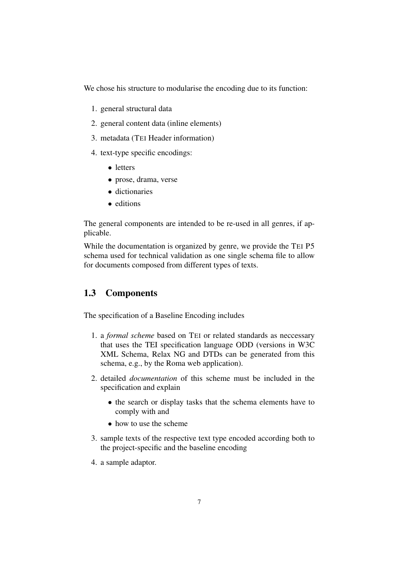We chose his structure to modularise the encoding due to its function:

- 1. general structural data
- 2. general content data (inline elements)
- 3. metadata (TEI Header information)
- 4. text-type specific encodings:
	- letters
	- prose, drama, verse
	- dictionaries
	- editions

The general components are intended to be re-used in all genres, if applicable.

While the documentation is organized by genre, we provide the TEI P5 schema used for technical validation as one single schema file to allow for documents composed from different types of texts.

## <span id="page-8-0"></span>1.3 Components

The specification of a Baseline Encoding includes

- 1. a *formal scheme* based on TEI or related standards as neccessary that uses the TEI specification language ODD (versions in W3C XML Schema, Relax NG and DTDs can be generated from this schema, e.g., by the Roma web application).
- 2. detailed *documentation* of this scheme must be included in the specification and explain
	- the search or display tasks that the schema elements have to comply with and
	- how to use the scheme
- 3. sample texts of the respective text type encoded according both to the project-specific and the baseline encoding
- 4. a sample adaptor.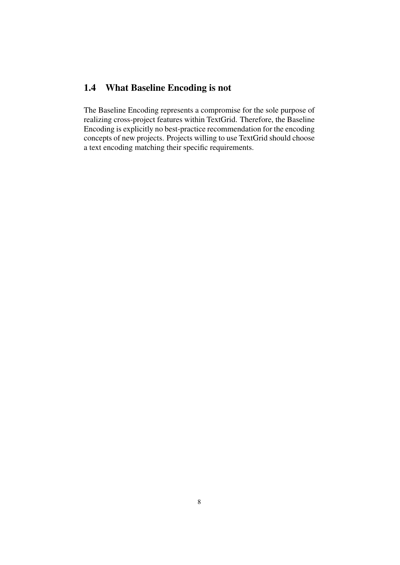# <span id="page-9-0"></span>1.4 What Baseline Encoding is not

The Baseline Encoding represents a compromise for the sole purpose of realizing cross-project features within TextGrid. Therefore, the Baseline Encoding is explicitly no best-practice recommendation for the encoding concepts of new projects. Projects willing to use TextGrid should choose a text encoding matching their specific requirements.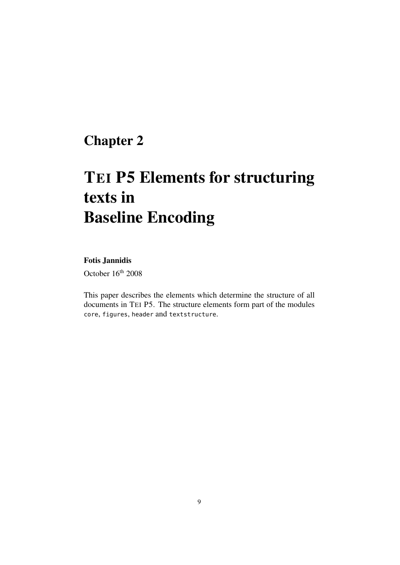# <span id="page-10-0"></span>Chapter 2

# TEI P5 Elements for structuring texts in Baseline Encoding

### Fotis Jannidis

October 16<sup>th</sup> 2008

This paper describes the elements which determine the structure of all documents in TEI P5. The structure elements form part of the modules core, figures, header and textstructure.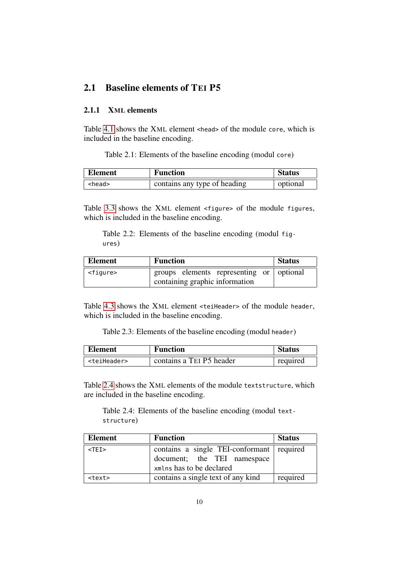## <span id="page-11-0"></span>2.1 Baseline elements of TEI P5

### <span id="page-11-1"></span>2.1.1 XML elements

Table [4.1](#page-21-2) shows the XML element <head> of the module core, which is included in the baseline encoding.

Table 2.1: Elements of the baseline encoding (modul core)

<span id="page-11-2"></span>

| <b>Element</b> | <b>Function</b>              | <b>Status</b> |
|----------------|------------------------------|---------------|
| <head></head>  | contains any type of heading | optional      |

Table [3.3](#page-16-0) shows the XML element <figure> of the module figures, which is included in the baseline encoding.

<span id="page-11-3"></span>Table 2.2: Elements of the baseline encoding (modul figures)

| Element           | <b>Function</b>                          | <b>Status</b> |
|-------------------|------------------------------------------|---------------|
| <figure></figure> | groups elements representing or optional |               |
|                   | containing graphic information           |               |

Table [4.3](#page-23-0) shows the XML element <teiHeader> of the module header, which is included in the baseline encoding.

<span id="page-11-4"></span>Table 2.3: Elements of the baseline encoding (modul header)

| <b>Element</b>          | <b>Function</b>          | <b>Status</b> |
|-------------------------|--------------------------|---------------|
| <teiheader></teiheader> | contains a TEI P5 header | required      |

Table [2.4](#page-11-5) shows the XML elements of the module textstructure, which are included in the baseline encoding.

<span id="page-11-5"></span>Table 2.4: Elements of the baseline encoding (modul textstructure)

| Element       | <b>Function</b>                                                                                      | <b>Status</b> |
|---------------|------------------------------------------------------------------------------------------------------|---------------|
| $<$ TEI $>$   | contains a single TEI-conformant required<br>document; the TEI namespace<br>xmlns has to be declared |               |
| <text></text> | contains a single text of any kind                                                                   | required      |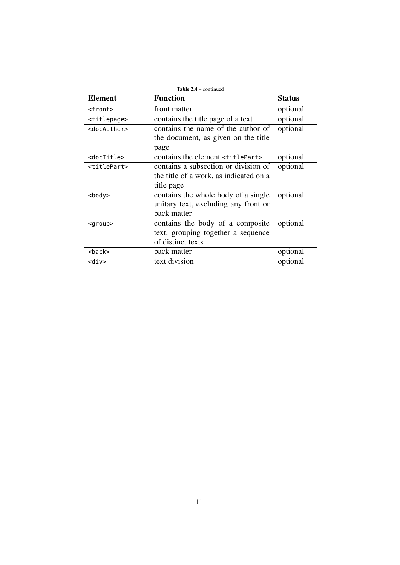| <b>Element</b>          | <b>Function</b>                              | <b>Status</b> |
|-------------------------|----------------------------------------------|---------------|
| <front></front>         | front matter                                 | optional      |
| <titlepage></titlepage> | contains the title page of a text            | optional      |
| <docauthor></docauthor> | contains the name of the author of           | optional      |
|                         | the document, as given on the title          |               |
|                         | page                                         |               |
| <doctitle></doctitle>   | contains the element <titlepart></titlepart> | optional      |
| <titlepart></titlepart> | contains a subsection or division of         | optional      |
|                         | the title of a work, as indicated on a       |               |
|                         | title page                                   |               |
| <body></body>           | contains the whole body of a single          | optional      |
|                         | unitary text, excluding any front or         |               |
|                         | back matter                                  |               |
| $<$ group $>$           | contains the body of a composite             | optional      |
|                         | text, grouping together a sequence           |               |
|                         | of distinct texts                            |               |
| <back></back>           | back matter                                  | optional      |
| <div></div>             | text division                                | optional      |

11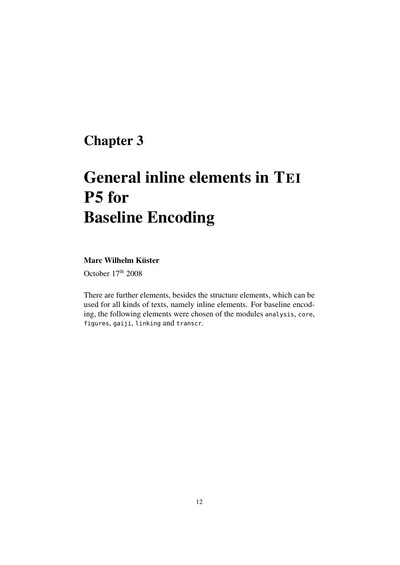# <span id="page-13-0"></span>Chapter 3

# General inline elements in TEI P5 for Baseline Encoding

### Marc Wilhelm Küster

October  $17<sup>th</sup> 2008$ 

There are further elements, besides the structure elements, which can be used for all kinds of texts, namely inline elements. For baseline encoding, the following elements were chosen of the modules analysis, core, figures, gaiji, linking and transcr.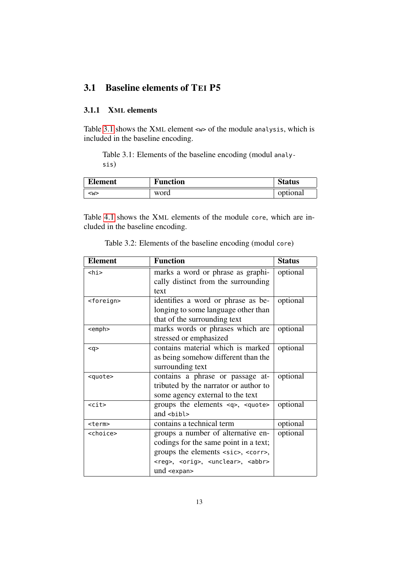## <span id="page-14-0"></span>3.1 Baseline elements of TEI P5

### <span id="page-14-1"></span>3.1.1 XML elements

Table [3.1](#page-14-2) shows the XML element <w> of the module analysis, which is included in the baseline encoding.

<span id="page-14-2"></span>Table 3.1: Elements of the baseline encoding (modul analysis)

| <b>Element</b> | <b>Function</b> | <b>Status</b> |
|----------------|-----------------|---------------|
| <w></w>        | word            | optional      |

Table [4.1](#page-21-2) shows the XML elements of the module core, which are included in the baseline encoding.

<span id="page-14-3"></span>

| <b>Element</b>      | <b>Function</b>                                                | <b>Status</b> |
|---------------------|----------------------------------------------------------------|---------------|
| <hi></hi>           | marks a word or phrase as graphi-                              | optional      |
|                     | cally distinct from the surrounding                            |               |
|                     | text                                                           |               |
| <foreign></foreign> | identifies a word or phrase as be-                             | optional      |
|                     | longing to some language other than                            |               |
|                     | that of the surrounding text                                   |               |
| <emph></emph>       | marks words or phrases which are                               | optional      |
|                     | stressed or emphasized                                         |               |
| $q$                 | contains material which is marked                              | optional      |
|                     | as being somehow different than the                            |               |
|                     | surrounding text                                               |               |
| <quote></quote>     | contains a phrase or passage at-                               | optional      |
|                     | tributed by the narrator or author to                          |               |
|                     | some agency external to the text                               |               |
| $<$ cit $>$         | groups the elements $\langle q \rangle$ , $\langle q \rangle$  | optional      |
|                     | and $shift$                                                    |               |
| <term></term>       | contains a technical term                                      | optional      |
| <choice></choice>   | groups a number of alternative en-                             | optional      |
|                     | codings for the same point in a text;                          |               |
|                     | groups the elements <sic>, <corr>,</corr></sic>                |               |
|                     | <reg>, <orig>, <unclear>, <abbr></abbr></unclear></orig></reg> |               |
|                     | und <expan></expan>                                            |               |

Table 3.2: Elements of the baseline encoding (modul core)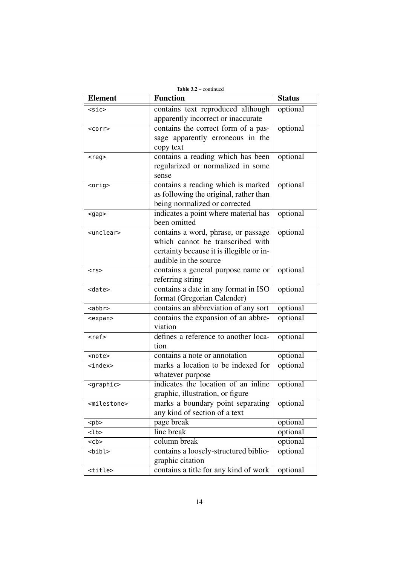| Table $3.2$ – continued |                                          |               |  |
|-------------------------|------------------------------------------|---------------|--|
| <b>Element</b>          | <b>Function</b>                          | <b>Status</b> |  |
| <sic></sic>             | contains text reproduced although        | optional      |  |
|                         | apparently incorrect or inaccurate       |               |  |
| $<$ corr $>$            | contains the correct form of a pas-      | optional      |  |
|                         | sage apparently erroneous in the         |               |  |
|                         | copy text                                |               |  |
| $<$ reg>                | contains a reading which has been        | optional      |  |
|                         | regularized or normalized in some        |               |  |
|                         | sense                                    |               |  |
| $orig$                  | contains a reading which is marked       | optional      |  |
|                         | as following the original, rather than   |               |  |
|                         | being normalized or corrected            |               |  |
| $<$ gap $>$             | indicates a point where material has     | optional      |  |
|                         | been omitted                             |               |  |
| <unclear></unclear>     | contains a word, phrase, or passage      | optional      |  |
|                         | which cannot be transcribed with         |               |  |
|                         | certainty because it is illegible or in- |               |  |
|                         | audible in the source                    |               |  |
| $<$ rs>                 | contains a general purpose name or       | optional      |  |
|                         | referring string                         |               |  |
| <date></date>           | contains a date in any format in ISO     | optional      |  |
|                         | format (Gregorian Calender)              |               |  |
| $<$ abbr $>$            | contains an abbreviation of any sort     | optional      |  |
| <expan></expan>         | contains the expansion of an abbre-      | optional      |  |
|                         | viation                                  |               |  |
| $ref$                   | defines a reference to another loca-     | optional      |  |
|                         | tion                                     |               |  |
| <note></note>           | contains a note or annotation            | optional      |  |
| <index></index>         | marks a location to be indexed for       | optional      |  |
|                         | whatever purpose                         |               |  |
| <graphic></graphic>     | indicates the location of an inline      | optional      |  |
|                         | graphic, illustration, or figure         |               |  |
| <milestone></milestone> | marks a boundary point separating        | optional      |  |
|                         | any kind of section of a text            |               |  |
| $<$ pb>                 | page break                               | optional      |  |
| $<$ lb>                 | line break                               | optional      |  |
| $<$ c $b$ >             | column break                             | optional      |  |
| <bibl></bibl>           | contains a loosely-structured biblio-    | optional      |  |
|                         | graphic citation                         |               |  |
| <title></title>         | contains a title for any kind of work    | optional      |  |

14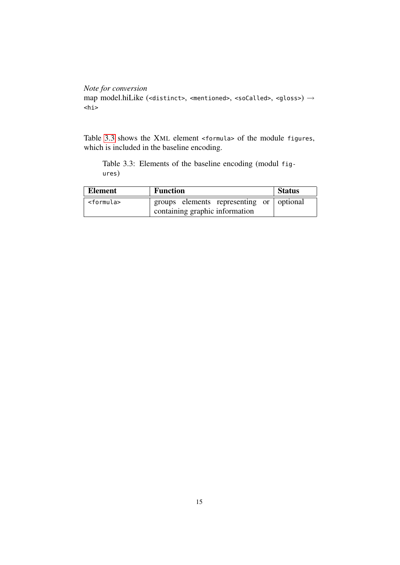```
Note for conversion
map model.hiLike (<distinct>, <mentioned>, <soCalled>, <gloss>) \rightarrow<hi>
```
Table [3.3](#page-16-0) shows the XML element <formula> of the module figures, which is included in the baseline encoding.

<span id="page-16-0"></span>Table 3.3: Elements of the baseline encoding (modul figures)

| Element             | <b>Function</b>                                                            | <b>Status</b> |
|---------------------|----------------------------------------------------------------------------|---------------|
| <formula></formula> | groups elements representing or optional<br>containing graphic information |               |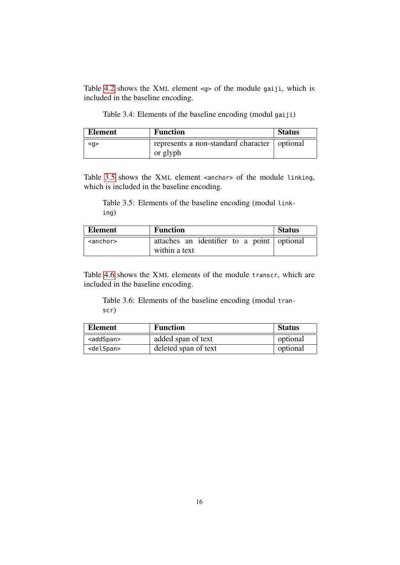Table [4.2](#page-22-0) shows the XML element <g> of the module gaiji, which is included in the baseline encoding.

Table 3.4: Elements of the baseline encoding (modul gaiji)

<span id="page-17-0"></span>

| <b>Element</b> | <b>Function</b>                                | <b>Status</b> |
|----------------|------------------------------------------------|---------------|
| $q$            | represents a non-standard character   optional |               |
|                | or glyph                                       |               |

Table [3.5](#page-17-1) shows the XML element <anchor> of the module linking, which is included in the baseline encoding.

<span id="page-17-1"></span>Table 3.5: Elements of the baseline encoding (modul linking)

| Element   | <b>Function</b>                            | <b>Status</b> |
|-----------|--------------------------------------------|---------------|
| $anchor>$ | attaches an identifier to a point optional |               |
|           | within a text                              |               |

Table [4.6](#page-25-2) shows the XML elements of the module transcr, which are included in the baseline encoding.

<span id="page-17-2"></span>Table 3.6: Elements of the baseline encoding (modul transcr)

| <b>Element</b>      | <b>Function</b>      | <b>Status</b> |
|---------------------|----------------------|---------------|
| <addspan></addspan> | added span of text   | optional      |
| <delspan></delspan> | deleted span of text | optional      |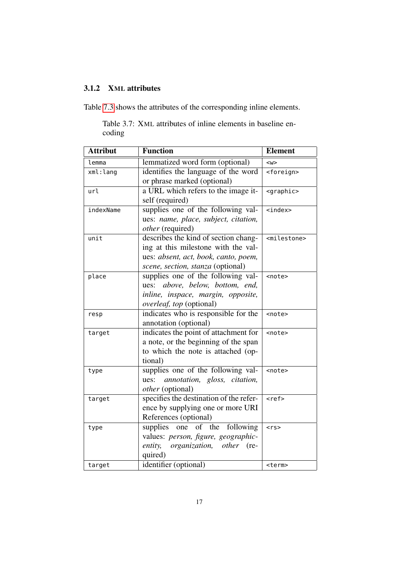## <span id="page-18-0"></span>3.1.2 XML attributes

<span id="page-18-1"></span>Table [7.3](#page-64-1) shows the attributes of the corresponding inline elements.

Table 3.7: XML attributes of inline elements in baseline encoding

| <b>Attribut</b> | <b>Function</b>                               | <b>Element</b>          |
|-----------------|-----------------------------------------------|-------------------------|
| lemma           | lemmatized word form (optional)               | $<\wedge$               |
| xml:lang        | identifies the language of the word           | <foreign></foreign>     |
|                 | or phrase marked (optional)                   |                         |
| url             | a URL which refers to the image it-           | <graphic></graphic>     |
|                 | self (required)                               |                         |
| indexName       | supplies one of the following val-            | $index>$                |
|                 | ues: name, place, subject, citation,          |                         |
|                 | other (required)                              |                         |
| unit            | describes the kind of section chang-          | <milestone></milestone> |
|                 | ing at this milestone with the val-           |                         |
|                 | ues: absent, act, book, canto, poem,          |                         |
|                 | scene, section, stanza (optional)             |                         |
| place           | supplies one of the following val-            | <note></note>           |
|                 | above, below, bottom, end,<br>ues:            |                         |
|                 | inline, inspace, margin, opposite,            |                         |
|                 | overleaf, top (optional)                      |                         |
| resp            | indicates who is responsible for the          | <note></note>           |
|                 | annotation (optional)                         |                         |
| target          | indicates the point of attachment for         | <note></note>           |
|                 | a note, or the beginning of the span          |                         |
|                 | to which the note is attached (op-            |                         |
|                 | tional)                                       |                         |
| type            | supplies one of the following val-            | <note></note>           |
|                 | annotation, gloss, citation,<br>ues:          |                         |
|                 | other (optional)                              |                         |
| target          | specifies the destination of the refer-       | <ref></ref>             |
|                 | ence by supplying one or more URI             |                         |
|                 | References (optional)                         |                         |
| type            | supplies one of the<br>following              | $<$ rs>                 |
|                 | values: person, figure, geographic-           |                         |
|                 | entity,<br>organization,<br><i>other</i> (re- |                         |
|                 | quired)                                       |                         |
| target          | identifier (optional)                         | <term></term>           |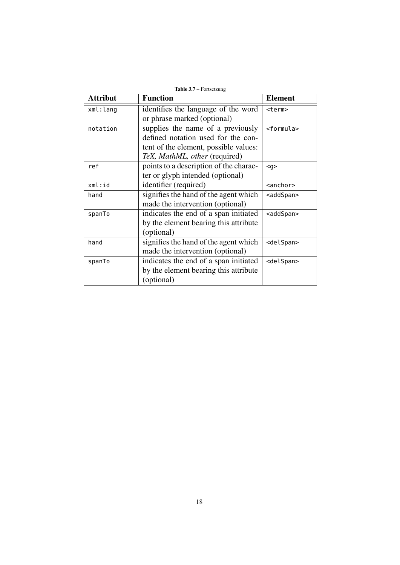| <b>Attribut</b> | <b>Function</b>                        | <b>Element</b>      |
|-----------------|----------------------------------------|---------------------|
| xml:lang        | identifies the language of the word    | <term></term>       |
|                 | or phrase marked (optional)            |                     |
| notation        | supplies the name of a previously      | <formula></formula> |
|                 | defined notation used for the con-     |                     |
|                 | tent of the element, possible values:  |                     |
|                 | TeX, MathML, other (required)          |                     |
| ref             | points to a description of the charac- | $q$                 |
|                 | ter or glyph intended (optional)       |                     |
| xml:id          | identifier (required)                  | <anchor></anchor>   |
| hand            | signifies the hand of the agent which  | <addspan></addspan> |
|                 | made the intervention (optional)       |                     |
| spanTo          | indicates the end of a span initiated  | <addspan></addspan> |
|                 | by the element bearing this attribute  |                     |
|                 | (optional)                             |                     |
| hand            | signifies the hand of the agent which  | <delspan></delspan> |
|                 | made the intervention (optional)       |                     |
| spanTo          | indicates the end of a span initiated  | <delspan></delspan> |
|                 | by the element bearing this attribute  |                     |
|                 | (optional)                             |                     |

 $Table 3.7 - Fortset2$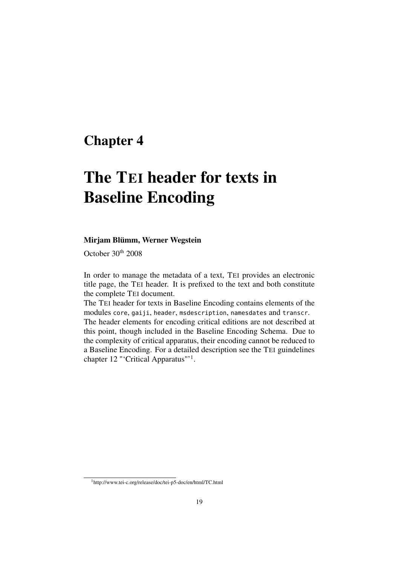# <span id="page-20-0"></span>Chapter 4

# The TEI header for texts in Baseline Encoding

#### Mirjam Blümm, Werner Wegstein

October 30<sup>th</sup> 2008

In order to manage the metadata of a text, TEI provides an electronic title page, the TEI header. It is prefixed to the text and both constitute the complete TEI document.

The TEI header for texts in Baseline Encoding contains elements of the modules core, gaiji, header, msdescription, namesdates and transcr.

The header elements for encoding critical editions are not described at this point, though included in the Baseline Encoding Schema. Due to the complexity of critical apparatus, their encoding cannot be reduced to a Baseline Encoding. For a detailed description see the TEI guindelines chapter 12 "'Critical Apparatus"'<sup>1</sup>.

<sup>1</sup>http://www.tei-c.org/release/doc/tei-p5-doc/en/html/TC.html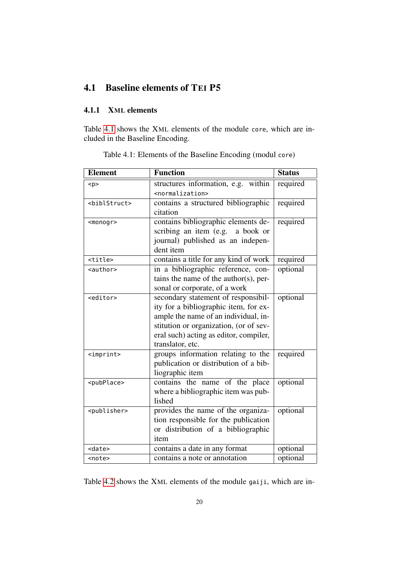# <span id="page-21-0"></span>4.1 Baseline elements of TEI P5

### <span id="page-21-1"></span>4.1.1 XML elements

Table [4.1](#page-21-2) shows the XML elements of the module core, which are included in the Baseline Encoding.

<span id="page-21-2"></span>

| <b>Element</b>            | <b>Function</b>                                                                                                                                                                                                              | <b>Status</b> |
|---------------------------|------------------------------------------------------------------------------------------------------------------------------------------------------------------------------------------------------------------------------|---------------|
| < p >                     | structures information, e.g. within<br><normalization></normalization>                                                                                                                                                       | required      |
| <biblstruct></biblstruct> | contains a structured bibliographic<br>citation                                                                                                                                                                              | required      |
| $monog$                   | contains bibliographic elements de-<br>scribing an item (e.g. a book or<br>journal) published as an indepen-<br>dent item                                                                                                    | required      |
| <title></title>           | contains a title for any kind of work                                                                                                                                                                                        | required      |
| <author></author>         | in a bibliographic reference, con-<br>tains the name of the author(s), per-<br>sonal or corporate, of a work                                                                                                                 | optional      |
| <editor></editor>         | secondary statement of responsibil-<br>ity for a bibliographic item, for ex-<br>ample the name of an individual, in-<br>stitution or organization, (or of sev-<br>eral such) acting as editor, compiler,<br>translator, etc. | optional      |
| <imprint></imprint>       | groups information relating to the<br>publication or distribution of a bib-<br>liographic item                                                                                                                               | required      |
| <pubplace></pubplace>     | contains the name of the place<br>where a bibliographic item was pub-<br>lished                                                                                                                                              | optional      |
| <publisher></publisher>   | provides the name of the organiza-<br>tion responsible for the publication<br>or distribution of a bibliographic<br>item                                                                                                     | optional      |
| <date></date>             | contains a date in any format                                                                                                                                                                                                | optional      |
| <note></note>             | contains a note or annotation                                                                                                                                                                                                | optional      |

Table 4.1: Elements of the Baseline Encoding (modul core)

Table [4.2](#page-22-0) shows the XML elements of the module gaiji, which are in-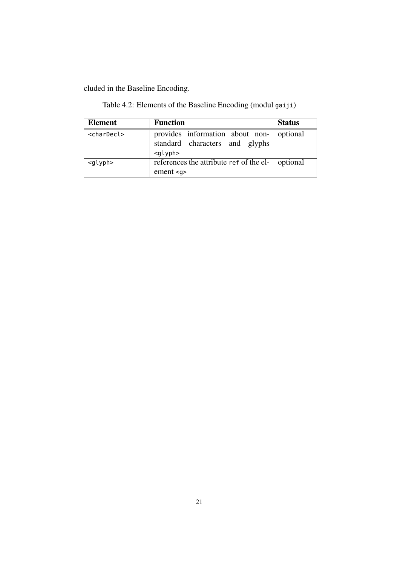cluded in the Baseline Encoding.

<span id="page-22-0"></span>Table 4.2: Elements of the Baseline Encoding (modul gaiji)

| <b>Element</b>        | <b>Function</b>                                                                               | <b>Status</b> |
|-----------------------|-----------------------------------------------------------------------------------------------|---------------|
| <chardecl></chardecl> | provides information about non- optional<br>standard characters and glyphs<br><glyph></glyph> |               |
| <glyph></glyph>       | references the attribute ref of the el-   optional<br>ement <sub>q</sub>                      |               |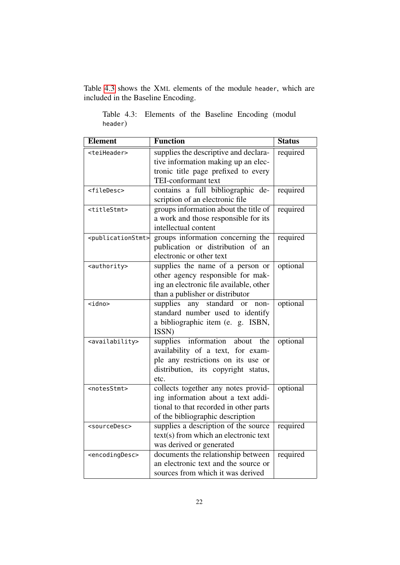Table [4.3](#page-23-0) shows the XML elements of the module header, which are included in the Baseline Encoding.

| <b>Element</b>                      | <b>Function</b>                                                                                                                                             | <b>Status</b> |
|-------------------------------------|-------------------------------------------------------------------------------------------------------------------------------------------------------------|---------------|
| <teiheader></teiheader>             | supplies the descriptive and declara-<br>tive information making up an elec-                                                                                | required      |
|                                     | tronic title page prefixed to every<br>TEI-conformant text                                                                                                  |               |
| <filedesc></filedesc>               | contains a full bibliographic de-<br>scription of an electronic file                                                                                        | required      |
| <titlestmt></titlestmt>             | groups information about the title of<br>a work and those responsible for its<br>intellectual content                                                       | required      |
| <publicationstmt></publicationstmt> | groups information concerning the<br>publication or distribution of an<br>electronic or other text                                                          | required      |
| <authority></authority>             | supplies the name of a person or<br>other agency responsible for mak-<br>ing an electronic file available, other<br>than a publisher or distributor         | optional      |
| <idno></idno>                       | standard<br>supplies<br>any<br><sub>or</sub><br>non-<br>standard number used to identify<br>a bibliographic item (e. g. ISBN,<br>ISSN)                      | optional      |
| <availability></availability>       | information about the<br>supplies<br>availability of a text, for exam-<br>ple any restrictions on its use or<br>distribution, its copyright status,<br>etc. | optional      |
| <notesstmt></notesstmt>             | collects together any notes provid-<br>ing information about a text addi-<br>tional to that recorded in other parts<br>of the bibliographic description     | optional      |
| <sourcedesc></sourcedesc>           | supplies a description of the source<br>text(s) from which an electronic text<br>was derived or generated                                                   | required      |
| <encodingdesc></encodingdesc>       | documents the relationship between<br>an electronic text and the source or<br>sources from which it was derived                                             | required      |

<span id="page-23-0"></span>Table 4.3: Elements of the Baseline Encoding (modul header)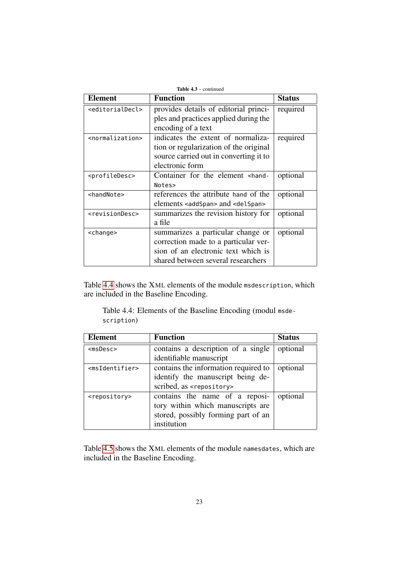| Element                         | <b>Function</b>                                                    | <b>Status</b> |
|---------------------------------|--------------------------------------------------------------------|---------------|
| <editorialdecl></editorialdecl> | provides details of editorial princi-                              | required      |
|                                 | ples and practices applied during the                              |               |
|                                 | encoding of a text                                                 |               |
| <normalization></normalization> | indicates the extent of normaliza-                                 | required      |
|                                 | tion or regularization of the original                             |               |
|                                 | source carried out in converting it to                             |               |
|                                 | electronic form                                                    |               |
| <profiledesc></profiledesc>     | Container for the element <hand-< td=""><td>optional</td></hand-<> | optional      |
|                                 | Notes>                                                             |               |
| <handnote></handnote>           | references the attribute hand of the                               | optional      |
|                                 | elements <addspan> and <delspan></delspan></addspan>               |               |
| <revisiondesc></revisiondesc>   | summarizes the revision history for                                | optional      |
|                                 | a file                                                             |               |
| <change></change>               | summarizes a particular change or                                  | optional      |
|                                 | correction made to a particular ver-                               |               |
|                                 | sion of an electronic text which is                                |               |
|                                 | shared between several researchers                                 |               |

Table [4.4](#page-24-0) shows the XML elements of the module msdescription, which are included in the Baseline Encoding.

<span id="page-24-0"></span>Table 4.4: Elements of the Baseline Encoding (modul msdescription)

| <b>Element</b>                | <b>Function</b>                       | <b>Status</b> |
|-------------------------------|---------------------------------------|---------------|
| $msDesc$                      | contains a description of a single    | optional      |
|                               | identifiable manuscript               |               |
| <msidentifier></msidentifier> | contains the information required to  | optional      |
|                               | identify the manuscript being de-     |               |
|                               | scribed, as <repository></repository> |               |
| <repository></repository>     | contains the name of a reposi-        | optional      |
|                               | tory within which manuscripts are     |               |
|                               | stored, possibly forming part of an   |               |
|                               | institution                           |               |

Table [4.5](#page-25-1) shows the XML elements of the module namesdates, which are included in the Baseline Encoding.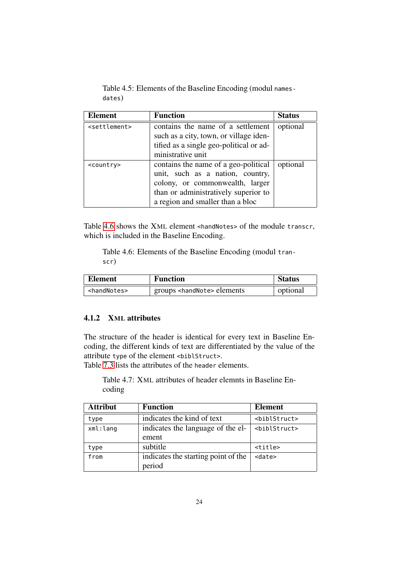<span id="page-25-1"></span>Table 4.5: Elements of the Baseline Encoding (modul namesdates)

| <b>Element</b>            | <b>Function</b>                                                                                                                                                                         | <b>Status</b> |
|---------------------------|-----------------------------------------------------------------------------------------------------------------------------------------------------------------------------------------|---------------|
| <settlement></settlement> | contains the name of a settlement<br>such as a city, town, or village iden-<br>tified as a single geo-political or ad-<br>ministrative unit                                             | optional      |
| <country></country>       | contains the name of a geo-political<br>unit, such as a nation, country,<br>colony, or commonwealth, larger<br>than or administratively superior to<br>a region and smaller than a bloc | optional      |

Table [4.6](#page-25-2) shows the XML element <handNotes> of the module transcr, which is included in the Baseline Encoding.

<span id="page-25-2"></span>Table 4.6: Elements of the Baseline Encoding (modul transcr)

| <b>Element</b><br><b>Function</b> |                                       | <b>Status</b> |
|-----------------------------------|---------------------------------------|---------------|
| <handnotes></handnotes>           | groups <handnote> elements</handnote> | optional      |

### <span id="page-25-0"></span>4.1.2 XML attributes

The structure of the header is identical for every text in Baseline Encoding, the different kinds of text are differentiated by the value of the attribute type of the element <biblStruct>.

<span id="page-25-3"></span>Table [7.3](#page-64-1) lists the attributes of the header elements.

Table 4.7: XML attributes of header elemnts in Baseline Encoding

| <b>Attribut</b> | <b>Function</b>                     | <b>Element</b>            |
|-----------------|-------------------------------------|---------------------------|
| type            | indicates the kind of text          | <br>biblStruct>           |
| xml:lang        | indicates the language of the el-   | <biblstruct></biblstruct> |
|                 | ement                               |                           |
| type            | subtitle                            | <title></title>           |
| from            | indicates the starting point of the | <date></date>             |
|                 | period                              |                           |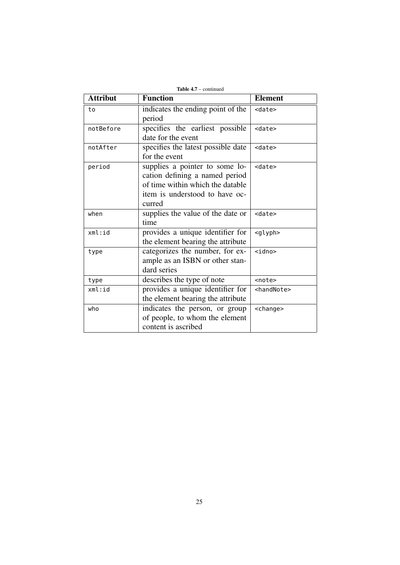| <b>Attribut</b> | <b>Function</b>                                                                                                                                  | <b>Element</b>        |
|-----------------|--------------------------------------------------------------------------------------------------------------------------------------------------|-----------------------|
| to              | indicates the ending point of the<br>period                                                                                                      | <date></date>         |
| notBefore       | specifies the earliest possible<br>date for the event                                                                                            | <date></date>         |
| notAfter        | specifies the latest possible date<br><date><br/>for the event</date>                                                                            |                       |
| period          | supplies a pointer to some lo-<br>cation defining a named period<br>of time within which the datable<br>item is understood to have oc-<br>curred | <date></date>         |
| when            | supplies the value of the date or<br>time                                                                                                        | <date></date>         |
| xml:id          | provides a unique identifier for<br>the element bearing the attribute                                                                            | <glyph></glyph>       |
| type            | categorizes the number, for ex-<br>ample as an ISBN or other stan-<br>dard series                                                                | $<$ idno $>$          |
| type            | describes the type of note                                                                                                                       | <note></note>         |
| xml:id          | provides a unique identifier for<br>the element bearing the attribute                                                                            | <handnote></handnote> |
| who             | indicates the person, or group<br>of people, to whom the element<br>content is ascribed                                                          | <change></change>     |

Table 4.7 – continued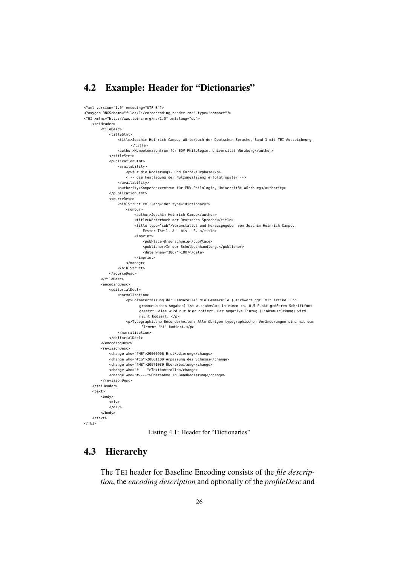## <span id="page-27-0"></span>4.2 Example: Header for "Dictionaries"

```
<?xml version="1.0" encoding="UTF-8"?>
<?oxygen RNGSchema="file:/C:/coreencoding_header.rnc" type="compact"?>
<TEI xmlns="http://www.tei-c.org/ns/1.0" xml:lang="de">
    <teiHeader>
        <fileDesc>
            <titleStmt>
                <title>Joachim Heinrich Campe, Wörterbuch der Deutschen Sprache, Band 1 mit TEI-Auszeichnung
                      \epsilon/title:
                <author>Kompetenzzentrum für EDV-Philologie, Universität Würzburg</author>
            </titleStmt>
            <publicationStmt>
                <availability>
                   <p>für die Kodierungs- und Korrekturphase</p>
                    <!-- die Festlegung der Nutzungslizenz erfolgt später -->
                </availability>
                <authority>Kompetenzzentrum für EDV-Philologie, Universität Würzburg</authority>
            </publicationStmt>
            <sourceDesc>
                <biblStruct xml:lang="de" type="dictionary">
                    <monogr>
                        <author>Joachim Heinrich Campe</author>
                        <title>Wörterbuch der Deutschen Sprache</title>
                        <title type="sub">Veranstaltet und herausgegeben von Joachim Heinrich Campe.
                           Erster Theil. A - bis - E. </title>
                        <imprint>
                            <pubPlace>Braunschweig</pubPlace>
                            <publisher>In der Schulbuchhandlung.</publisher>
                            <date when="1807">1807</date>
                        </imprint>
                    </monogr>
                </biblStruct>
            </sourceDesc>
        </fileDesc>
        <encodingDesc>
            <editorialDecl>
                <normalization>
                    <p>Formaterfassung der Lemmazeile: die Lemmazeile (Stichwort ggf. mit Artikel und
                          grammatischen Angaben) ist ausnahmslos in einem ca. 0,5 Punkt größeren Schriftfont
                          gesetzt; dies wird nur hier notiert. Der negative Einzug (Linksausrückung) wird
                          nicht kodiert. </p>
                    <p>Typographische Besonderheiten: Alle übrigen typographischen Veränderungen sind mit dem
                           Element "hi" kodiert.</p>
                </normalization>
           </editorialDecl>
        </encodingDesc>
        <revisionDesc>
            <change who="#MB">20060906 Erstkodierung</change>
            <change who="#CG">20061108 Anpassung des Schemas</change>
            <change who="#MB">20071030 Überarbeitung</change>
            <change who="#----">Textkontrolle</change>
            <change who="#----">Übernahme in Bandkodierung</change>
        </revisionDesc>
    </teiHeader>
    <text><body>
            <div></div>
        </body>
    </text>
</TEI>
```
Listing 4.1: Header for "Dictionaries"

### <span id="page-27-1"></span>4.3 Hierarchy

The TEI header for Baseline Encoding consists of the *file description*, the *encoding description* and optionally of the *profileDesc* and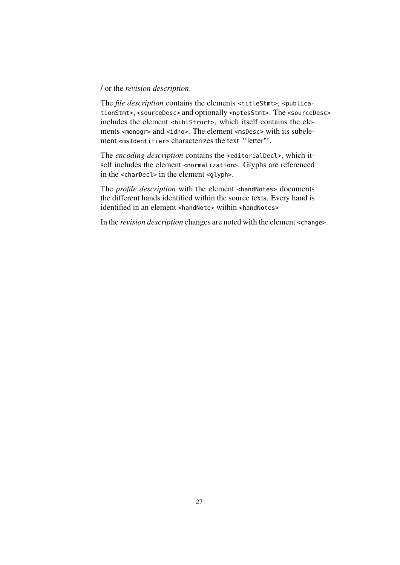#### / or the *revision description*.

The *file description* contains the elements <titleStmt>, <publicationStmt>, <sourceDesc> and optionally <notesStmt>. The <sourceDesc> includes the element <br/>shiblStruct>, which itself contains the elements <monogr> and <idno>. The element <msDesc> with its subelement <msIdentifier> characterizes the text "'letter"'.

The *encoding description* contains the <editorialDecl>, which itself includes the element <normalization>. Glyphs are referenced in the <charDecl> in the element <glyph>.

The *profile description* with the element <handNotes> documents the different hands identified within the source texts. Every hand is identified in an element <handNote> within <handNotes>

In the *revision description* changes are noted with the element <change>.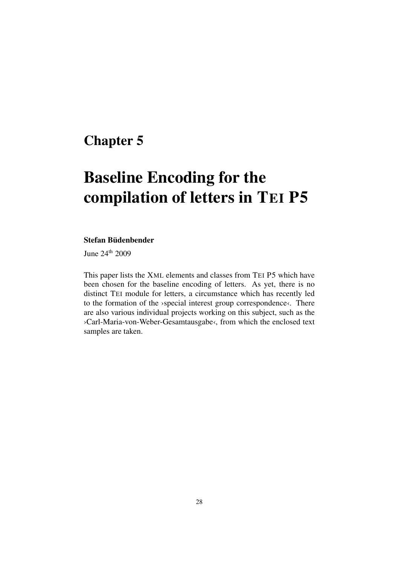# <span id="page-29-0"></span>Chapter 5

# Baseline Encoding for the compilation of letters in TEI P5

### Stefan Büdenbender

June 24th 2009

This paper lists the XML elements and classes from TEI P5 which have been chosen for the baseline encoding of letters. As yet, there is no distinct TEI module for letters, a circumstance which has recently led to the formation of the ›special interest group correspondence‹. There are also various individual projects working on this subject, such as the ›Carl-Maria-von-Weber-Gesamtausgabe‹, from which the enclosed text samples are taken.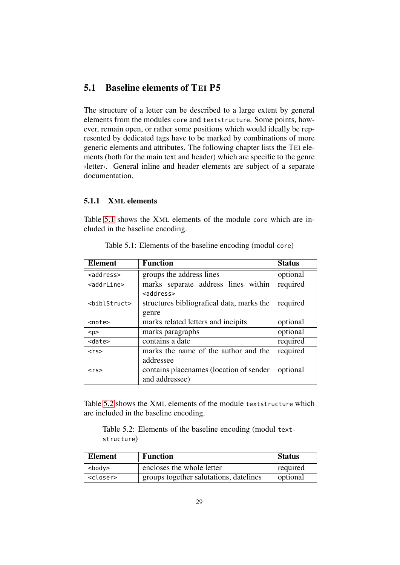## <span id="page-30-0"></span>5.1 Baseline elements of TEI P5

The structure of a letter can be described to a large extent by general elements from the modules core and textstructure. Some points, however, remain open, or rather some positions which would ideally be represented by dedicated tags have to be marked by combinations of more generic elements and attributes. The following chapter lists the TEI elements (both for the main text and header) which are specific to the genre ›letter‹. General inline and header elements are subject of a separate documentation.

### <span id="page-30-1"></span>5.1.1 XML elements

Table [5.1](#page-30-2) shows the XML elements of the module core which are included in the baseline encoding.

<span id="page-30-2"></span>

| Element               | <b>Function</b>                           | <b>Status</b> |
|-----------------------|-------------------------------------------|---------------|
| $<$ address $>$       | groups the address lines                  | optional      |
| <addrline></addrline> | marks separate address lines within       | required      |
|                       | <address></address>                       |               |
| $<$ bibl $Struct$     | structures bibliografical data, marks the | required      |
|                       | genre                                     |               |
| <note></note>         | marks related letters and incipits        | optional      |
| < p >                 | marks paragraphs                          | optional      |
| <date></date>         | contains a date                           | required      |
| $\langle$ rs>         | marks the name of the author and the      | required      |
|                       | addressee                                 |               |
| $<$ rs>               | contains placenames (location of sender   | optional      |
|                       | and addressee)                            |               |

Table 5.1: Elements of the baseline encoding (modul core)

Table [5.2](#page-30-3) shows the XML elements of the module textstructure which are included in the baseline encoding.

<span id="page-30-3"></span>Table 5.2: Elements of the baseline encoding (modul textstructure)

| Element           | <b>Function</b>                        | <b>Status</b> |
|-------------------|----------------------------------------|---------------|
| $<$ body $>$      | encloses the whole letter              | required      |
| <closer></closer> | groups together salutations, datelines | optional      |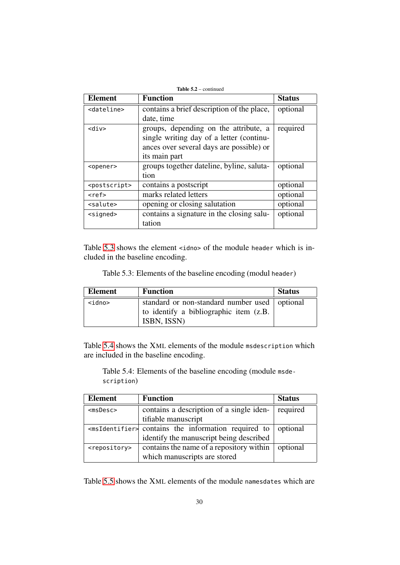| <b>Table 5.2</b> – continued |                                            |               |
|------------------------------|--------------------------------------------|---------------|
| <b>Element</b>               | <b>Function</b>                            | <b>Status</b> |
| <dateline></dateline>        | contains a brief description of the place, | optional      |
|                              | date, time                                 |               |
| sdiv>                        | groups, depending on the attribute, a      | required      |
|                              | single writing day of a letter (continu-   |               |
|                              | ances over several days are possible) or   |               |
|                              | its main part                              |               |
| <opener></opener>            | groups together dateline, byline, saluta-  | optional      |
|                              | tion                                       |               |
| <postscript></postscript>    | contains a postscript                      | optional      |
| <ref></ref>                  | marks related letters                      | optional      |
| <salute></salute>            | opening or closing salutation              | optional      |
| <signed></signed>            | contains a signature in the closing salu-  | optional      |
|                              | tation                                     |               |

Table [5.3](#page-31-0) shows the element <idno> of the module header which is included in the baseline encoding.

Table 5.3: Elements of the baseline encoding (modul header)

<span id="page-31-0"></span>

| <b>Element</b> | <b>Function</b>                                                                                          | <b>Status</b> |
|----------------|----------------------------------------------------------------------------------------------------------|---------------|
| <idno></idno>  | standard or non-standard number used   optional<br>to identify a bibliographic item (z.B.<br>ISBN, ISSN) |               |

Table [5.4](#page-31-1) shows the XML elements of the module msdescription which are included in the baseline encoding.

<span id="page-31-1"></span>Table 5.4: Elements of the baseline encoding (module msdescription)

| <b>Element</b>            | <b>Function</b>                                            | <b>Status</b> |
|---------------------------|------------------------------------------------------------|---------------|
| $m$ sDesc $>$             | contains a description of a single iden-                   | required      |
|                           | tifiable manuscript                                        |               |
|                           | $\leq m$ sIdentifier> contains the information required to | optional      |
|                           | identify the manuscript being described                    |               |
| <repository></repository> | contains the name of a repository within                   | optional      |
|                           | which manuscripts are stored                               |               |

Table [5.5](#page-32-0) shows the XML elements of the module namesdates which are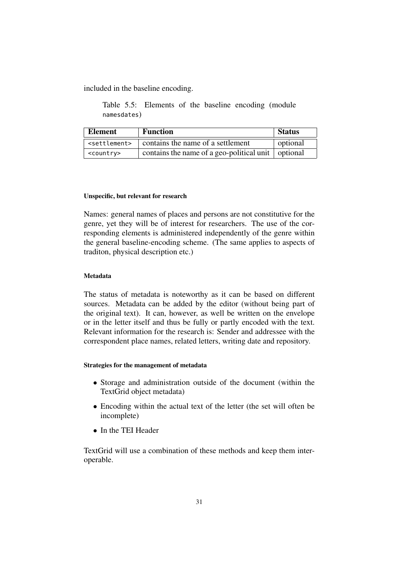<span id="page-32-0"></span>included in the baseline encoding.

Table 5.5: Elements of the baseline encoding (module namesdates)

| Element                   | <b>Function</b>                                            | <b>Status</b> |
|---------------------------|------------------------------------------------------------|---------------|
| <settlement></settlement> | contains the name of a settlement                          | optional      |
| <country></country>       | contains the name of a geo-political unit $\vert$ optional |               |

#### Unspecific, but relevant for research

Names: general names of places and persons are not constitutive for the genre, yet they will be of interest for researchers. The use of the corresponding elements is administered independently of the genre within the general baseline-encoding scheme. (The same applies to aspects of traditon, physical description etc.)

#### Metadata

The status of metadata is noteworthy as it can be based on different sources. Metadata can be added by the editor (without being part of the original text). It can, however, as well be written on the envelope or in the letter itself and thus be fully or partly encoded with the text. Relevant information for the research is: Sender and addressee with the correspondent place names, related letters, writing date and repository.

#### Strategies for the management of metadata

- Storage and administration outside of the document (within the TextGrid object metadata)
- Encoding within the actual text of the letter (the set will often be incomplete)
- In the TEI Header

TextGrid will use a combination of these methods and keep them interoperable.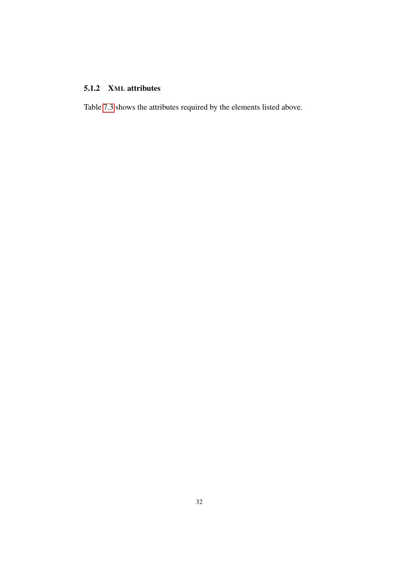## <span id="page-33-0"></span>5.1.2 XML attributes

Table [7.3](#page-64-1) shows the attributes required by the elements listed above.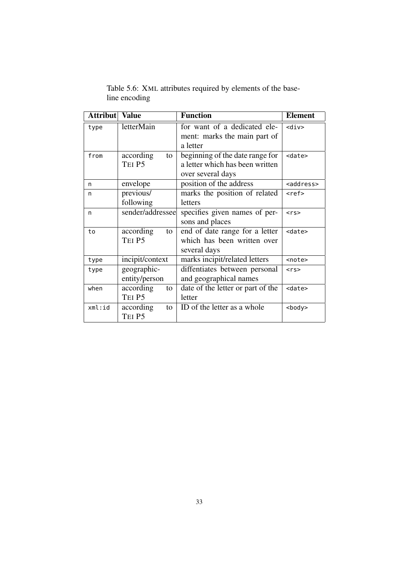| <b>Attribut</b> | <b>Value</b>     | <b>Function</b>                   | <b>Element</b>      |
|-----------------|------------------|-----------------------------------|---------------------|
| type            | letterMain       | for want of a dedicated ele-      | $<$ div $>$         |
|                 |                  | ment: marks the main part of      |                     |
|                 |                  | a letter                          |                     |
| from            | according<br>to  | beginning of the date range for   | <date></date>       |
|                 | TEI P5           | a letter which has been written   |                     |
|                 |                  | over several days                 |                     |
| n               | envelope         | position of the address           | <address></address> |
| n               | previous/        | marks the position of related     | <ref></ref>         |
|                 | following        | letters                           |                     |
| n               | sender/addressee | specifies given names of per-     | $\langle$ rs>       |
|                 |                  | sons and places                   |                     |
| to              | according<br>to  | end of date range for a letter    | <date></date>       |
|                 | TEI P5           | which has been written over       |                     |
|                 |                  | several days                      |                     |
| type            | incipit/context  | marks incipit/related letters     | <note></note>       |
| type            | geographic-      | diffentiates between personal     | $<$ rs>             |
|                 | entity/person    | and geographical names            |                     |
| when            | according<br>to  | date of the letter or part of the | <date></date>       |
|                 | TEI P5           | letter                            |                     |
| xml:id          | according<br>to  | ID of the letter as a whole       | <body></body>       |
|                 | TEI P5           |                                   |                     |

<span id="page-34-0"></span>Table 5.6: XML attributes required by elements of the baseline encoding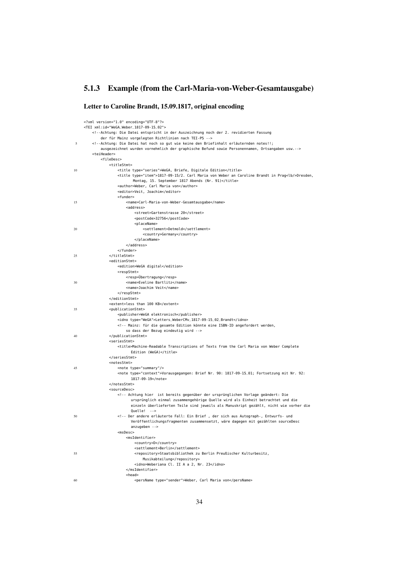# <span id="page-35-0"></span>5.1.3 Example (from the Carl-Maria-von-Weber-Gesamtausgabe)

### Letter to Caroline Brandt, 15.09.1817, original encoding

|    | xml version="1.0" encoding="UTF-8"?                                                                                                                                                                                                                                                                              |
|----|------------------------------------------------------------------------------------------------------------------------------------------------------------------------------------------------------------------------------------------------------------------------------------------------------------------|
|    | <tei xml:id="WeGA_Weber_1817-09-15_02"></tei>                                                                                                                                                                                                                                                                    |
|    | Achtung: Die Datei entspricht in der Auszeichnung noch der 2. revidierten Fassung</td></tr><tr><th></th><th>der für Mainz vorgelegten Richtlinien nach TEI-P5                                                                                                                                                    |
| 5  | Achtung: Die Datei hat noch so gut wie keine den Briefinhalt erläuternden notes!!;</th></tr><tr><td></td><td>ausgezeichnet wurden vornehmlich der graphische Befund sowie Personennamen, Ortsangaben usw.                                                                                                        |
|    | <teiheader><br/><filedesc></filedesc></teiheader>                                                                                                                                                                                                                                                                |
|    | <titlestmt></titlestmt>                                                                                                                                                                                                                                                                                          |
| 10 | <title type="series">WeGA, Briefe, Digitale Edition</title>                                                                                                                                                                                                                                                      |
|    | -title type="item">1817-09-15/2. Carl Maria von Weber an Caroline Brandt in Prag <lb></lb> Dresden,                                                                                                                                                                                                              |
|    | Montag, 15. September 1817 Abends (Nr. 91)                                                                                                                                                                                                                                                                       |
|    | <author>Weber, Carl Maria von</author>                                                                                                                                                                                                                                                                           |
|    | <editor>Veit, Joachim</editor>                                                                                                                                                                                                                                                                                   |
|    | <funder></funder>                                                                                                                                                                                                                                                                                                |
| 15 | <name>Carl-Maria-von-Weber-Gesamtausgabe</name>                                                                                                                                                                                                                                                                  |
|    | <address></address>                                                                                                                                                                                                                                                                                              |
|    | <street>Gartenstrasse 20</street>                                                                                                                                                                                                                                                                                |
|    | <postcode>32756</postcode>                                                                                                                                                                                                                                                                                       |
| 20 | <placename><br/><settlement>Detmold</settlement></placename>                                                                                                                                                                                                                                                     |
|    | <country>Germany</country>                                                                                                                                                                                                                                                                                       |
|    |                                                                                                                                                                                                                                                                                                                  |
|    |                                                                                                                                                                                                                                                                                                                  |
|    | $\langle$ funder>                                                                                                                                                                                                                                                                                                |
| 25 |                                                                                                                                                                                                                                                                                                                  |
|    | <editionstmt></editionstmt>                                                                                                                                                                                                                                                                                      |
|    | <edition>WeGA digital</edition>                                                                                                                                                                                                                                                                                  |
|    | <respstmt></respstmt>                                                                                                                                                                                                                                                                                            |
|    | <resp>Übertragung</resp>                                                                                                                                                                                                                                                                                         |
| 30 | <name>Eveline Bartlitz</name>                                                                                                                                                                                                                                                                                    |
|    | <name>Joachim Veit</name><br>                                                                                                                                                                                                                                                                                    |
|    |                                                                                                                                                                                                                                                                                                                  |
|    | <extent>less than 100 KB</extent>                                                                                                                                                                                                                                                                                |
| 35 | <publicationstmt></publicationstmt>                                                                                                                                                                                                                                                                              |
|    | <publisher>WeGA elektronisch</publisher>                                                                                                                                                                                                                                                                         |
|    | <idno type="WeGA">Letters_WeberCMv_1817-09-15_02_Brandt</idno>                                                                                                                                                                                                                                                   |
|    | Mainz: für die gesamte Edition könnte eine ISBN-ID angefordert werden,</td></tr><tr><td></td><td>so dass der Bezug eindeutig wird                                                                                                                                                                                |
| 40 |                                                                                                                                                                                                                                                                                                                  |
|    | <seriesstmt></seriesstmt>                                                                                                                                                                                                                                                                                        |
|    | <title>Machine-Readable Transcriptions of Texts from the Carl Maria von Weber Complete<br/>Edition (WeGA)</title>                                                                                                                                                                                                |
|    |                                                                                                                                                                                                                                                                                                                  |
|    | <notesstmt></notesstmt>                                                                                                                                                                                                                                                                                          |
| 45 | <note type="summary"></note>                                                                                                                                                                                                                                                                                     |
|    | <note type="context">Vorausgegangen: Brief Nr. 90: 1817-09-15_01; Fortsetzung mit Nr. 92:</note>                                                                                                                                                                                                                 |
|    | 1817-09-19                                                                                                                                                                                                                                                                                                       |
|    |                                                                                                                                                                                                                                                                                                                  |
|    | <sourcedesc></sourcedesc>                                                                                                                                                                                                                                                                                        |
|    | Achtung hier ist bereits gegenüber der ursprünglichen Vorlage geändert: Die</td></tr><tr><td></td><td>ursprünglich einmal zusammengehörige Quelle wird als Einheit betrachtet und die<br>einzeln überlieferten Teile sind jeweils als Manuskript gezählt, nicht wie vorher die</td></tr><tr><td></td><td>Quelle! |
| 50 | <!-- Der andere erläuterte Fall: Ein Brief, der sich aus Autograph-, Entwurfs- und</td>                                                                                                                                                                                                                          |
|    | Veröffentlichungsfragmenten zusammensetzt, wäre dagegen mit gezählten sourceDesc                                                                                                                                                                                                                                 |
|    | $anzuqeben -$                                                                                                                                                                                                                                                                                                    |
|    | $m$ sDesc>                                                                                                                                                                                                                                                                                                       |
|    | <msidentifier></msidentifier>                                                                                                                                                                                                                                                                                    |
|    | <country>D</country>                                                                                                                                                                                                                                                                                             |
|    | <settlement>Berlin</settlement>                                                                                                                                                                                                                                                                                  |
| 55 | <repository>Staatsbibliothek zu Berlin Preußischer Kulturbesitz,</repository>                                                                                                                                                                                                                                    |
|    | Musikabteilung                                                                                                                                                                                                                                                                                                   |
|    | <idno>Weberiana Cl. II A a 2, Nr. 23</idno><br>                                                                                                                                                                                                                                                                  |
|    | <head></head>                                                                                                                                                                                                                                                                                                    |
| 60 | <persname type="sender">Weber, Carl Maria von</persname>                                                                                                                                                                                                                                                         |
|    |                                                                                                                                                                                                                                                                                                                  |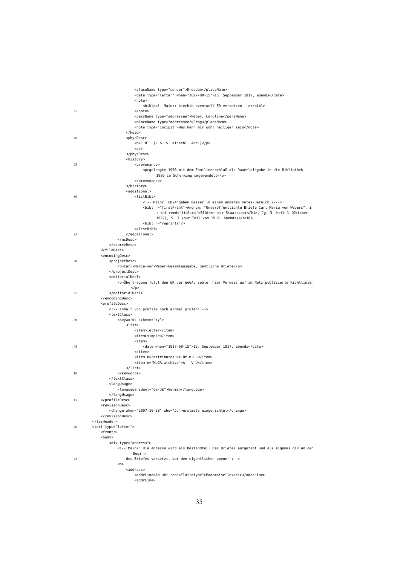|     | <placename type="sender">Dresden</placename>                                                      |
|-----|---------------------------------------------------------------------------------------------------|
|     | <date type="letter" when="1817-09-15">15. September 1817, abends</date>                           |
|     | <note></note>                                                                                     |
| 65  | <bibl><!--Mainz: hierhin eventuell ED versetzen --></bibl><br>                                    |
|     | <persname type="addressee">Weber, Caroline</persname>                                             |
|     | <placename type="addressee">Prag</placename>                                                      |
|     | <note type="incipit">Was kann mir wohl heiliger sein</note><br>                                   |
| 70  | <physdesc></physdesc>                                                                             |
|     | <p>1 Bl. (2 b. S. einschl. Adr.)</p>                                                              |
|     | < p/<br>                                                                                          |
|     | <history></history>                                                                               |
| 75  | <provenance></provenance>                                                                         |
|     | <p>gelangte 1956 mit dem Familiennachlaß als Dauerleihgabe in die Bibliothek,</p>                 |
|     | 1986 in Schenkung umgewandelt<br>                                                                 |
|     |                                                                                                   |
|     | <additional></additional>                                                                         |
| 80  | <listbibl><br/><!-- Mainz: ED-Angaben besser in einen anderen notes-Bereich ??--></listbibl>      |
|     | <bibl n="firstPrint">Anonym: "Unveröffentlichte Briefe Carl Maria von Webers", in</bibl>          |
|     | : <hi rend="italics">Blätter der Staatsoper</hi> , Jg. 3, Heft 1 (Oktober                         |
|     | 1922), S. 7 (nur Teil vom 15.9. abends)<br><bibl n="reprints"></bibl>                             |
|     |                                                                                                   |
| 85  |                                                                                                   |
|     |                                                                                                   |
|     | <br>                                                                                              |
|     | <encodingdesc></encodingdesc>                                                                     |
| 90  | <projectdesc></projectdesc>                                                                       |
|     | <p>Carl-Maria-von-Weber-Gesamtausgabe, Sämtliche Briefe</p><br>                                   |
|     | <editorialdecl></editorialdecl>                                                                   |
|     | <p>Übertragung folgt den ER der WeGA; später hier Verweis auf im Netz publizierte Richtlinien</p> |
|     | $<$ /p>                                                                                           |
| 95  | <br>                                                                                              |
|     | <profiledesc></profiledesc>                                                                       |
|     | Inhalt von profile noch einmal prüfen!                                                            |
| 100 | <textclass><br/><keywords scheme="xy"></keywords></textclass>                                     |
|     | <list></list>                                                                                     |
|     | <item>letter</item>                                                                               |
|     | <item>simple</item><br><item></item>                                                              |
| 105 | <date when="1817-09-15">15. September 1817, abends</date>                                         |
|     | $\texttt{~}/\texttt{item}$                                                                        |
|     | <item n="attributes">e.Br.m.U.</item>                                                             |
|     | <item n="WeGA.archive">A - V Ü</item><br>$\langle$ list>                                          |
| 110 |                                                                                                   |
|     |                                                                                                   |
|     | <langusage><br/><language ident="de-DE">German</language></langusage>                             |
|     |                                                                                                   |
| 115 |                                                                                                   |
|     | <revisiondesc></revisiondesc>                                                                     |
|     | <change when="2007-10-28" who="Jv">erstmals eingerichtet</change><br>                             |
|     |                                                                                                   |
| 120 | <text type="letter"></text>                                                                       |
|     | <front></front><br>$<$ body $>$                                                                   |
|     | <div type="address"></div>                                                                        |
|     | -!-- Mainz: Die Adresse wird als Bestandteil des Briefes aufgefaßt und als eigenes div an den     |
|     | Beginn                                                                                            |
| 125 | des Briefes versetzt, vor den eigentlichen opener ;--><br>< p >                                   |
|     | <address></address>                                                                               |
|     | <addrline>An <hi rend="latintype">Mademoiselle</hi></addrline>                                    |
|     | <addrline></addrline>                                                                             |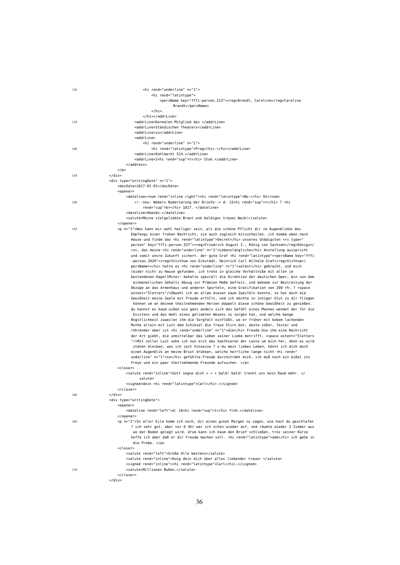| 130 | <hi n="1" rend="underline"></hi>                                                                                                                                                                                                                                                                                           |
|-----|----------------------------------------------------------------------------------------------------------------------------------------------------------------------------------------------------------------------------------------------------------------------------------------------------------------------------|
|     | <hi rend="latintype"></hi>                                                                                                                                                                                                                                                                                                 |
|     | <persname key="fffi-person_213"><reg>Brandt, Caroline</reg>Carolina<br/>Brandt</persname>                                                                                                                                                                                                                                  |
|     | $\langle$ /hi>.                                                                                                                                                                                                                                                                                                            |
|     |                                                                                                                                                                                                                                                                                                                            |
| 135 | <addrline>Dermalen Mitglied des </addrline>                                                                                                                                                                                                                                                                                |
|     | <addrline>Ständischen Theaters</addrline>                                                                                                                                                                                                                                                                                  |
|     | <addrline>zu</addrline>                                                                                                                                                                                                                                                                                                    |
|     | <addrline></addrline>                                                                                                                                                                                                                                                                                                      |
|     | <hi n="1" rend="underline"></hi>                                                                                                                                                                                                                                                                                           |
| 140 | <hi rend="latintype">Prag</hi> .<br><addrline>Kohlmarkt 514.</addrline>                                                                                                                                                                                                                                                    |
|     | <addrline>2<hi rend="sup">t</hi> Stok.</addrline>                                                                                                                                                                                                                                                                          |
|     |                                                                                                                                                                                                                                                                                                                            |
|     | $<$ /p>                                                                                                                                                                                                                                                                                                                    |
| 145 | $<$ /div>                                                                                                                                                                                                                                                                                                                  |
|     | <div n="1" type="writingDate"></div>                                                                                                                                                                                                                                                                                       |
|     | <docdate>1817-01-01</docdate>                                                                                                                                                                                                                                                                                              |
|     | <opener></opener>                                                                                                                                                                                                                                                                                                          |
|     | <dateline><num rend="inline right"><hi rend="latintype">No:</hi> 91</num></dateline>                                                                                                                                                                                                                                       |
| 150 | neu: Webers Numerierung der Briefe d: 15 <hi rend="sup">t</hi> 7 <hi< th=""></hi<>                                                                                                                                                                                                                                         |
|     | rend="sup">br 1817.                                                                                                                                                                                                                                                                                                        |
|     | <dateline>Abends.</dateline>                                                                                                                                                                                                                                                                                               |
|     | <salute>Meine vielgeliebte Braut und baldiges treues Weib!</salute>                                                                                                                                                                                                                                                        |
| 155 | <br><p n="1">Was kann mir wohl heiliger sein, als die schöne Pflicht dir im Augenblikke des</p>                                                                                                                                                                                                                            |
|     | Empfangs einer frohen Nachricht, sie auch sogleich mitzutheilen. ich komme eben nach                                                                                                                                                                                                                                       |
|     | Hause und finde das <hi rend="latintype">Decret</hi> unseres Gnädigsten <rs key="fffi-person_537" type="&lt;/th&gt;&lt;/tr&gt;&lt;tr&gt;&lt;th&gt;&lt;/th&gt;&lt;th&gt;person"><reg>Friedrich August I., König von Sachsen</reg>Königs<!--</th--></rs>                                                                     |
|     | rs>, das meine <hi n="1" rend="underline">Lebenslängliche</hi> Anstellung ausspricht                                                                                                                                                                                                                                       |
|     | und somit unsre Zukunft sichert. der gute Graf <hi rend="latintype"><persname key="fffi&lt;/th&gt;&lt;/tr&gt;&lt;tr&gt;&lt;th&gt;&lt;/th&gt;&lt;th&gt;-person_2020"><req>Vitzthum von Eckstädt, Heinrich Carl Wilhelm Graf</req>Vizthum<!--</th--></persname></hi>                                                         |
|     | persName> hatte es <hi n="1" rend="underline">selbst</hi> gebracht, und mich                                                                                                                                                                                                                                               |
|     | leider nicht zu Hause gefunden. ich trete in gleiche Verhältniße mit allen je                                                                                                                                                                                                                                              |
|     | bestandenen KapellMster: behalte speziell die Direktion der deutschen Oper, bin von dem                                                                                                                                                                                                                                    |
|     | einmonatlichen Gehalts Abzug zur Prämien Maße befreit, und bekome zur Bestreitung der<br>Abzüge an das Armenhaus und anderer Sporteln, eine Gratifikation von 200 rh: ? < space                                                                                                                                            |
|     | extent="5letters"/>Obwohl ich an allem diesen kaum Zweifeln konnte, so hat doch die                                                                                                                                                                                                                                        |
|     | Gewißheit meine Seele mit Freude erfüllt, und ich möchte in inniger Glut zu dir fliegen                                                                                                                                                                                                                                    |
|     | können um an deinem theilnehmenden Herzen doppelt diese schöne Gewißheit zu genießen.                                                                                                                                                                                                                                      |
|     | du kannst es kaum wißen wie ganz anders sich das Gefühl eines Mannes wendet der für die                                                                                                                                                                                                                                    |
|     | Existenz und das Wohl eines geliebten Wesens zu sorgen hat, und welche bange                                                                                                                                                                                                                                               |
|     | Ängstlichkeit zuweilen ihm die Sorgfalt einflößt, wo er früher mit kekem lachenden                                                                                                                                                                                                                                         |
|     | Muthe allein mit Lust dem Schiksal die freye Stirn bot, desto süßer, fester und                                                                                                                                                                                                                                            |
|     | rührender aber ist <hi n="1" rend="underline">die</hi> Freude die ihm eine Nachricht                                                                                                                                                                                                                                       |
|     | der Art giebt, die unmittelbar das Leben seiner Liebe betrifft. <space extent="5letters&lt;/th&gt;&lt;/tr&gt;&lt;tr&gt;&lt;th&gt;&lt;/th&gt;&lt;th&gt;"></space> Mit voller Lust sehe ich nun erst das hanthieren der Leute um mich her, denn es wird                                                                      |
|     | stehen bleiben, was ich jezt hinsezze ? o du mein liebes Leben, könnt ich dich doch<br>einen Augenblik an meine Brust drükken, welche herrliche lange nicht <hi n="1" rend="&lt;/th&gt;&lt;/tr&gt;&lt;tr&gt;&lt;th&gt;&lt;/th&gt;&lt;th&gt;underline">so</hi> gefühlte Freude durchströmt mich. ich muß noch ein bißel ins |
|     | Freye und ein paar theilnehmende Freunde aufsuchen.                                                                                                                                                                                                                                                                        |
|     | <closer></closer>                                                                                                                                                                                                                                                                                                          |
|     | <salute rend="inline">Gott segne dich + + + bald! bald! trennt uns kein Raum mehr. <!--</th--></salute>                                                                                                                                                                                                                    |
|     | salute>                                                                                                                                                                                                                                                                                                                    |
|     | <signed>dein <hi rend="latintype">Carl</hi>.</signed>                                                                                                                                                                                                                                                                      |
|     |                                                                                                                                                                                                                                                                                                                            |
| 160 |                                                                                                                                                                                                                                                                                                                            |
|     | <div type="writingDate"></div>                                                                                                                                                                                                                                                                                             |
|     | <opener><br/><dateline rend="left">d: 16<hi rend="sup">t</hi> früh.</dateline></opener>                                                                                                                                                                                                                                    |
|     |                                                                                                                                                                                                                                                                                                                            |
| 165 | <p n="1">In aller Eile komm ich noch, dir einen guten Morgen zu sagen, wie hast du geschlafen</p>                                                                                                                                                                                                                          |
|     | ? ich sehr gut. aber vor 6 Uhr war ich schon wieder auf, und räumte wieder 2 Zimmer aus                                                                                                                                                                                                                                    |
|     | wo der Boden gelegt wird. drum kann ich kaum den Brief schließen, troz seiner Kürze                                                                                                                                                                                                                                        |
|     | hoffe ich aber daß er dir Freude machen soll. < hi rend="latintype">ade ich gehe in                                                                                                                                                                                                                                        |
|     | die Probe.                                                                                                                                                                                                                                                                                                                 |
|     | <closer></closer>                                                                                                                                                                                                                                                                                                          |
|     | <salute rend="left">Grüße Alle bestens</salute>                                                                                                                                                                                                                                                                            |
|     | <salute rend="inline">Ewig dein dich über alles liebender treuer </salute>                                                                                                                                                                                                                                                 |
|     | <signed rend="inline"><hi rend="latintype">Carl</hi>.</signed>                                                                                                                                                                                                                                                             |
| 170 | <salute>Millionen Bußen.</salute>                                                                                                                                                                                                                                                                                          |
|     | <br>$\langle$ /div $\rangle$                                                                                                                                                                                                                                                                                               |
|     |                                                                                                                                                                                                                                                                                                                            |

## 36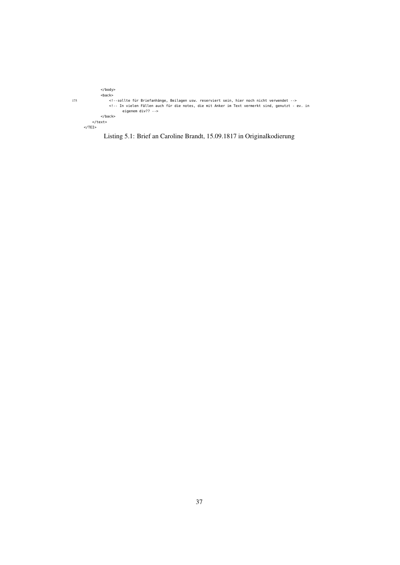```
</body>
<back>
175 <!--sollte für Briefanhänge, Beilagen usw. reserviert sein, hier noch nicht verwendet -->
<!-- In vielen Fällen auch für die notes, die mit Anker im Text vermerkt sind, genutzt - ev. in
eigenem div?? -->
</back>
               </text>
        </TEI>
```
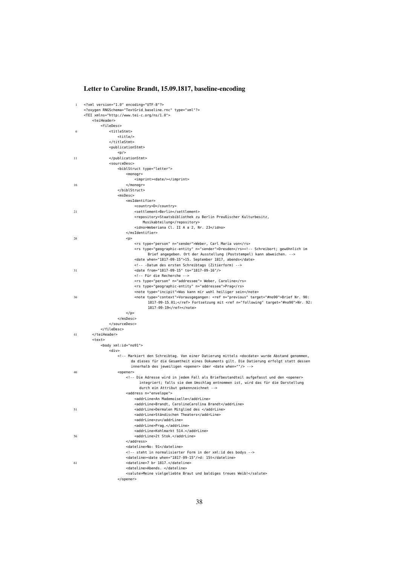## Letter to Caroline Brandt, 15.09.1817, baseline-encoding

| 1  | xml version="1.0" encoding="UTF-8"?                                                                                                                                                                                                                              |
|----|------------------------------------------------------------------------------------------------------------------------------------------------------------------------------------------------------------------------------------------------------------------|
|    | oxygen RNGSchema="TextGrid_baseline.rnc" type="xml"?                                                                                                                                                                                                             |
|    | <tei xmlns="http://www.tei-c.org/ns/1.0"></tei>                                                                                                                                                                                                                  |
|    | <teiheader><br/><filedesc></filedesc></teiheader>                                                                                                                                                                                                                |
| 6  | <titlestmt></titlestmt>                                                                                                                                                                                                                                          |
|    | <title></title>                                                                                                                                                                                                                                                  |
|    |                                                                                                                                                                                                                                                                  |
|    | <publicationstmt></publicationstmt>                                                                                                                                                                                                                              |
|    | < p/                                                                                                                                                                                                                                                             |
| 11 |                                                                                                                                                                                                                                                                  |
|    | <sourcedesc></sourcedesc>                                                                                                                                                                                                                                        |
|    | <biblstruct type="letter"></biblstruct>                                                                                                                                                                                                                          |
|    | $monogr$                                                                                                                                                                                                                                                         |
|    | <imprint><date></date></imprint>                                                                                                                                                                                                                                 |
| 16 | $<$ /monogr>                                                                                                                                                                                                                                                     |
|    |                                                                                                                                                                                                                                                                  |
|    | $m$ sDesc>                                                                                                                                                                                                                                                       |
|    | <msidentifier></msidentifier>                                                                                                                                                                                                                                    |
|    | <country>D</country>                                                                                                                                                                                                                                             |
| 21 | <settlement>Berlin</settlement>                                                                                                                                                                                                                                  |
|    | <repository>Staatsbibliothek zu Berlin Preußischer Kulturbesitz,</repository>                                                                                                                                                                                    |
|    | Musikabteilung                                                                                                                                                                                                                                                   |
|    | <idno>Weberiana Cl. II A a 2, Nr. 23</idno><br>                                                                                                                                                                                                                  |
| 26 |                                                                                                                                                                                                                                                                  |
|    | < p ><br><rs n="sender" type="person">Weber, Carl Maria von</rs>                                                                                                                                                                                                 |
|    | <rs n="sender" type="geographic-entity">Dresden</rs> Schreibort; gewöhnlich im</td></tr><tr><td></td><td>Brief angegeben. Ort der Ausstellung (Poststempel) kann abweichen.                                                                                      |
|    | <date when="1817-09-15">15. September 1817, abends</date>                                                                                                                                                                                                        |
|    | -Datum des ersten Schreibtags (Zitierform)                                                                                                                                                                                                                       |
| 31 | <date from="1817-09-15" to="1817-09-16"></date>                                                                                                                                                                                                                  |
|    | Für die Recherche                                                                                                                                                                                                                                                |
|    | <rs n="addressee" type="person"> Weber, Caroline</rs>                                                                                                                                                                                                            |
|    | <rs n="addressee" type="geographic-entity">Prag</rs>                                                                                                                                                                                                             |
|    | <note type="incipit">Was kann mir wohl heiliger sein</note>                                                                                                                                                                                                      |
| 36 | <note type="context">Vorausgegangen: <ref n="previous" target="#no90">Brief Nr. 90:</ref></note>                                                                                                                                                                 |
|    | 1817-09-15_01; Fortsetzung mit <ref n="following" target="#no90">Nr. 92:</ref>                                                                                                                                                                                   |
|    | 1817-09-19                                                                                                                                                                                                                                                       |
|    | $<$ /p>                                                                                                                                                                                                                                                          |
|    |                                                                                                                                                                                                                                                                  |
|    |                                                                                                                                                                                                                                                                  |
|    |                                                                                                                                                                                                                                                                  |
| 41 |                                                                                                                                                                                                                                                                  |
|    | <text></text>                                                                                                                                                                                                                                                    |
|    | <body xml:id="no91"></body>                                                                                                                                                                                                                                      |
|    | <div></div>                                                                                                                                                                                                                                                      |
|    | Markiert den Schreibtag. Von einer Datierung mittels <docdate> wurde Abstand genommen,</td></tr><tr><td></td><td>da dieses für die Gesamtheit eines Dokuments gilt. Die Datierung erfolgt statt dessen<br>innerhalb des jeweiligen <opener> über <date when=""/> |
| 46 | <opener></opener>                                                                                                                                                                                                                                                |
|    | Die Adresse wird in jedem Fall als Briefbestandteil aufgefasst und den <opener></td></tr><tr><td></td><td>integriert; falls sie dem Umschlag entnommen ist, wird das für die Darstellung</td></tr><tr><td></td><td>durch ein Attribut gekennzeichnet             |
|    | <address n="envelope"></address>                                                                                                                                                                                                                                 |
|    | <addrline>An Mademoiselle</addrline>                                                                                                                                                                                                                             |
|    | <addrline>Brandt, CarolineCarolina Brandt</addrline>                                                                                                                                                                                                             |
| 51 | <addrline>Dermalen Mitglied des </addrline>                                                                                                                                                                                                                      |
|    | <addrline>Ständischen Theaters</addrline>                                                                                                                                                                                                                        |
|    | <addrline>zu</addrline>                                                                                                                                                                                                                                          |
|    | <addrline>Prag.</addrline>                                                                                                                                                                                                                                       |
|    | <addrline>Kohlmarkt 514.</addrline>                                                                                                                                                                                                                              |
| 56 | <addrline>2t Stok.</addrline>                                                                                                                                                                                                                                    |
|    |                                                                                                                                                                                                                                                                  |
|    | <dateline>No: 91</dateline>                                                                                                                                                                                                                                      |
|    | steht in normalisierter Form in der xml:id des bodys                                                                                                                                                                                                             |
|    | <dateline><date when="1817-09-15"></date>d: 15t</dateline>                                                                                                                                                                                                       |
| 61 | <dateline>7 br 1817.</dateline>                                                                                                                                                                                                                                  |
|    | <dateline>Abends. </dateline>                                                                                                                                                                                                                                    |
|    | <salute>Meine vielgeliebte Braut und baldiges treues Weib!</salute>                                                                                                                                                                                              |
|    |                                                                                                                                                                                                                                                                  |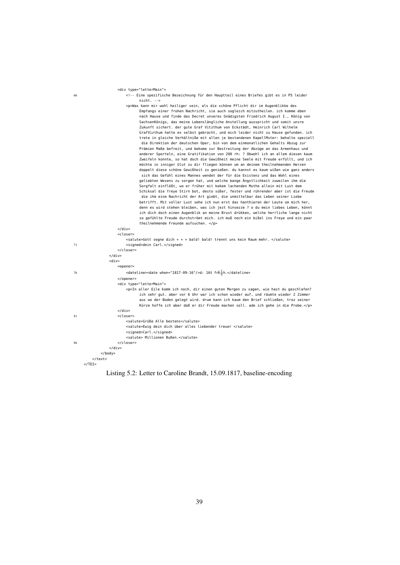|    | <div type="letterMain"></div>                                                                                                                                                                                                                             |
|----|-----------------------------------------------------------------------------------------------------------------------------------------------------------------------------------------------------------------------------------------------------------|
| 66 | <!-- Eine spezifische Bezeichnung für den Hauptteil eines Briefes gibt es in P5 leider<br> $nicht. --$                                                                                                                                                    |
|    | <p>Was kann mir wohl heiliger sein, als die schöne Pflicht dir im Augenblikke des</p>                                                                                                                                                                     |
|    | Empfangs einer frohen Nachricht, sie auch sogleich mitzutheilen. ich komme eben                                                                                                                                                                           |
|    | nach Hause und finde das Decret unseres Gnädigsten Friedrich August I., König von                                                                                                                                                                         |
|    | SachsenKönigs, das meine Lebenslängliche Anstellung ausspricht und somit unsre                                                                                                                                                                            |
|    | Zukunft sichert. der qute Graf Vitzthum von Eckstädt, Heinrich Carl Wilhelm                                                                                                                                                                               |
|    | GrafVizthum hatte es selbst gebracht, und mich leider nicht zu Hause gefunden. ich                                                                                                                                                                        |
|    | trete in gleiche Verhältniße mit allen je bestandenen KapellMster: behalte speziell<br>die Direktion der deutschen Oper, bin von dem einmonatlichen Gehalts Abzug zur<br>Prämien Maße befreit, und bekome zur Bestreitung der Abzüge an das Armenhaus und |
|    | anderer Sporteln, eine Gratifikation von 200 rh: ? Obwohl ich an allem diesen kaum<br>Zweifeln konnte, so hat doch die Gewißheit meine Seele mit Freude erfüllt, und ich                                                                                  |
|    | möchte in inniger Glut zu dir fliegen können um an deinem theilnehmenden Herzen<br>doppelt diese schöne Gewißheit zu genießen. du kannst es kaum wißen wie ganz anders                                                                                    |
|    | sich das Gefühl eines Mannes wendet der für die Existenz und das Wohl eines                                                                                                                                                                               |
|    | geliebten Wesens zu sorgen hat, und welche bange Ängstlichkeit zuweilen ihm die                                                                                                                                                                           |
|    | Sorgfalt einflößt, wo er früher mit kekem lachenden Muthe allein mit Lust dem                                                                                                                                                                             |
|    | Schiksal die freye Stirn bot, desto süßer, fester und rührender aber ist die Freude                                                                                                                                                                       |
|    | die ihm eine Nachricht der Art giebt, die unmittelbar das Leben seiner Liebe<br>betrifft. Mit voller Lust sehe ich nun erst das hanthieren der Leute um mich her,                                                                                         |
|    | denn es wird stehen bleiben, was ich jezt hinsezze ? o du mein liebes Leben, könnt                                                                                                                                                                        |
|    | ich dich doch einen Augenblik an meine Brust drükken, welche herrliche lange nicht                                                                                                                                                                        |
|    | so gefühlte Freude durchströmt mich. ich muß noch ein bißel ins Freye und ein paar                                                                                                                                                                        |
|    | theilnehmende Freunde aufsuchen.                                                                                                                                                                                                                          |
|    | $\langle$ /div $\rangle$                                                                                                                                                                                                                                  |
|    | <closer><br/><salute>Gott segne dich + + + bald! bald! trennt uns kein Raum mehr. </salute></closer>                                                                                                                                                      |
| 71 | <signed>dein Carl.</signed>                                                                                                                                                                                                                               |
|    |                                                                                                                                                                                                                                                           |
|    | $<$ /div>                                                                                                                                                                                                                                                 |
|    | $<$ div $>$                                                                                                                                                                                                                                               |
|    | <opener></opener>                                                                                                                                                                                                                                         |
| 76 | <dateline><date when="1817-09-16"></date>d: 16t fr<math>\tilde{A}^{\frac{1}{4}}</math>h.</dateline>                                                                                                                                                       |
|    |                                                                                                                                                                                                                                                           |
|    | <div type="letterMain"><br/><p>In aller Eile komm ich noch, dir einen guten Morgen zu sagen, wie hast du geschlafen?</p></div>                                                                                                                            |
|    | ich sehr gut. aber vor 6 Uhr war ich schon wieder auf, und räumte wieder 2 Zimmer                                                                                                                                                                         |
|    | aus wo der Boden gelegt wird. drum kann ich kaum den Brief schließen, troz seiner                                                                                                                                                                         |
|    | Kürze hoffe ich aber daß er dir Freude machen soll. ade ich gehe in die Probe.                                                                                                                                                                            |
|    | $<$ /div>                                                                                                                                                                                                                                                 |
| 81 | <closer></closer>                                                                                                                                                                                                                                         |
|    | <salute>Grüße Alle bestens</salute>                                                                                                                                                                                                                       |
|    | <salute>Ewig dein dich über alles liebender treuer </salute><br><signed>Carl.</signed>                                                                                                                                                                    |
|    | <salute> Millionen Bußen.</salute>                                                                                                                                                                                                                        |
| 86 |                                                                                                                                                                                                                                                           |
|    | $\langle$ /div $\rangle$                                                                                                                                                                                                                                  |
|    | $<$ /body>                                                                                                                                                                                                                                                |
|    |                                                                                                                                                                                                                                                           |
|    | $<$ /TEI>                                                                                                                                                                                                                                                 |

Listing 5.2: Letter to Caroline Brandt, 15.09.1817, baseline-encoding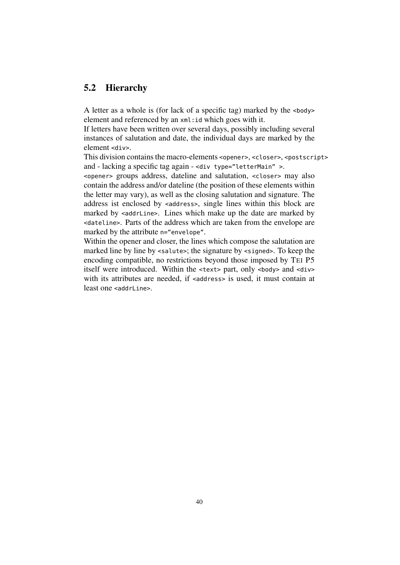## 5.2 Hierarchy

A letter as a whole is (for lack of a specific tag) marked by the <body> element and referenced by an xml:id which goes with it.

If letters have been written over several days, possibly including several instances of salutation and date, the individual days are marked by the element <div>.

This division contains the macro-elements <opener>, <closer>, <postscript> and - lacking a specific tag again - <div type="letterMain" >.

<opener> groups address, dateline and salutation, <closer> may also contain the address and/or dateline (the position of these elements within the letter may vary), as well as the closing salutation and signature. The address ist enclosed by <address>, single lines within this block are marked by <addrLine>. Lines which make up the date are marked by <dateline>. Parts of the address which are taken from the envelope are marked by the attribute n="envelope".

Within the opener and closer, the lines which compose the salutation are marked line by line by <salute>; the signature by <signed>. To keep the encoding compatible, no restrictions beyond those imposed by TEI P5 itself were introduced. Within the <text> part, only <br/>>body> and <div> with its attributes are needed, if <address> is used, it must contain at least one <addrLine>.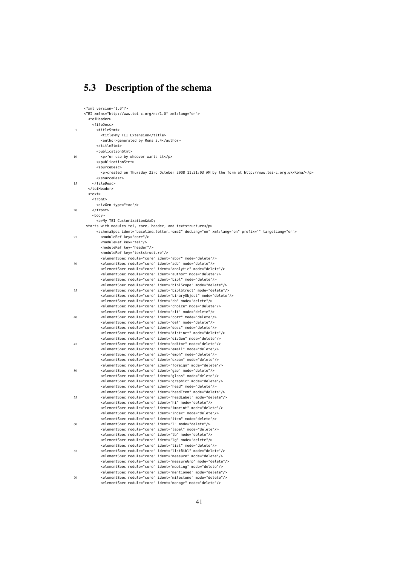## 5.3 Description of the schema

|    | xml version="1.0"?                                                                                           |
|----|--------------------------------------------------------------------------------------------------------------|
|    | <tei xml:lang="en" xmlns="http://www.tei-c.org/ns/1.0"></tei>                                                |
|    | <teiheader></teiheader>                                                                                      |
|    | <filedesc></filedesc>                                                                                        |
|    | <titlestmt></titlestmt>                                                                                      |
| 5  |                                                                                                              |
|    | <title>My TEI Extension</title>                                                                              |
|    | <author>generated by Roma 3.4</author>                                                                       |
|    |                                                                                                              |
|    | <publicationstmt></publicationstmt>                                                                          |
| 10 | <p>for use by whoever wants it</p>                                                                           |
|    |                                                                                                              |
|    | <sourcedesc></sourcedesc>                                                                                    |
|    | <p>created on Thursday 23rd October 2008 11:21:03 AM by the form at http://www.tei-c.org.uk/Roma/</p>        |
|    |                                                                                                              |
| 15 |                                                                                                              |
|    |                                                                                                              |
|    | <text></text>                                                                                                |
|    | <front></front>                                                                                              |
|    |                                                                                                              |
|    | <divgen type="toc"></divgen>                                                                                 |
| 20 |                                                                                                              |
|    | <body></body>                                                                                                |
|    | <p>My TEI Customization
</p>                                                                                 |
|    | starts with modules tei, core, header, and textstructure                                                     |
|    | <schemaspec doclang="en" ident="baseline_letter_roma2" prefix="" targetlang="en" xml:lang="en"></schemaspec> |
| 25 | <moduleref key="core"></moduleref>                                                                           |
|    | <moduleref key="tei"></moduleref>                                                                            |
|    | <moduleref key="header"></moduleref>                                                                         |
|    | <moduleref key="textstructure"></moduleref>                                                                  |
|    | <elementspec ident="abbr" mode="delete" module="core"></elementspec>                                         |
| 30 | <elementspec ident="add" mode="delete" module="core"></elementspec>                                          |
|    | <elementspec ident="analytic" mode="delete" module="core"></elementspec>                                     |
|    |                                                                                                              |
|    | <elementspec ident="author" mode="delete" module="core"></elementspec>                                       |
|    | <elementspec ident="bibl" mode="delete" module="core"></elementspec>                                         |
|    | <elementspec ident="biblScope" mode="delete" module="core"></elementspec>                                    |
| 35 | <elementspec ident="biblStruct" mode="delete" module="core"></elementspec>                                   |
|    | <elementspec ident="binaryObject" mode="delete" module="core"></elementspec>                                 |
|    | <elementspec ident="cb" mode="delete" module="core"></elementspec>                                           |
|    | <elementspec ident="choice" mode="delete" module="core"></elementspec>                                       |
|    | <elementspec ident="cit" mode="delete" module="core"></elementspec>                                          |
| 40 | <elementspec ident="corr" mode="delete" module="core"></elementspec>                                         |
|    | <elementspec ident="del" mode="delete" module="core"></elementspec>                                          |
|    | <elementspec ident="desc" mode="delete" module="core"></elementspec>                                         |
|    | <elementspec ident="distinct" mode="delete" module="core"></elementspec>                                     |
|    | <elementspec ident="divGen" mode="delete" module="core"></elementspec>                                       |
| 45 |                                                                                                              |
|    | <elementspec ident="editor" mode="delete" module="core"></elementspec>                                       |
|    | <elementspec ident="email" mode="delete" module="core"></elementspec>                                        |
|    | <elementspec ident="emph" mode="delete" module="core"></elementspec>                                         |
|    | <elementspec ident="expan" mode="delete" module="core"></elementspec>                                        |
|    | <elementspec ident="foreign" mode="delete" module="core"></elementspec>                                      |
| 50 | <elementspec ident="gap" mode="delete" module="core"></elementspec>                                          |
|    | <elementspec ident="gloss" mode="delete" module="core"></elementspec>                                        |
|    | <elementspec ident="graphic" mode="delete" module="core"></elementspec>                                      |
|    | <elementspec ident="head" mode="delete" module="core"></elementspec>                                         |
|    | <elementspec ident="headItem" mode="delete" module="core"></elementspec>                                     |
| 55 | <elementspec ident="headLabel" mode="delete" module="core"></elementspec>                                    |
|    | <elementspec ident="hi" mode="delete" module="core"></elementspec>                                           |
|    | <elementspec ident="imprint" mode="delete" module="core"></elementspec>                                      |
|    | <elementspec ident="index" mode="delete" module="core"></elementspec>                                        |
|    |                                                                                                              |
|    | <elementspec ident="item" mode="delete" module="core"></elementspec>                                         |
| 60 | <elementspec ident="l" mode="delete" module="core"></elementspec>                                            |
|    | <elementspec ident="label" mode="delete" module="core"></elementspec>                                        |
|    | <elementspec ident="lb" mode="delete" module="core"></elementspec>                                           |
|    | <elementspec ident="lg" mode="delete" module="core"></elementspec>                                           |
|    | <elementspec ident="list" mode="delete" module="core"></elementspec>                                         |
| 65 | <elementspec ident="listBibl" mode="delete" module="core"></elementspec>                                     |
|    | <elementspec ident="measure" mode="delete" module="core"></elementspec>                                      |
|    | <elementspec ident="measureGrp" mode="delete" module="core"></elementspec>                                   |
|    | <elementspec ident="meeting" mode="delete" module="core"></elementspec>                                      |
|    | <elementspec ident="mentioned" mode="delete" module="core"></elementspec>                                    |
| 70 | <elementspec ident="milestone" mode="delete" module="core"></elementspec>                                    |
|    | <elementspec ident="monogr" mode="delete" module="core"></elementspec>                                       |
|    |                                                                                                              |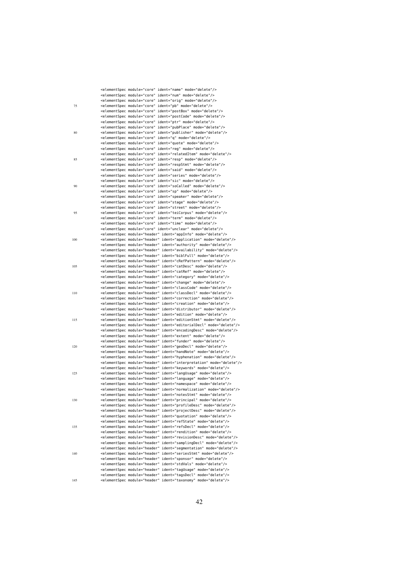|     | <elementspec ident="name" mode="delete" module="core"></elementspec>             |
|-----|----------------------------------------------------------------------------------|
|     | <elementspec ident="num" mode="delete" module="core"></elementspec>              |
|     | <elementspec ident="orig" mode="delete" module="core"></elementspec>             |
| 75  | <elementspec ident="pb" mode="delete" module="core"></elementspec>               |
|     | <elementspec ident="postBox" mode="delete" module="core"></elementspec>          |
|     | <elementspec ident="postCode" mode="delete" module="core"></elementspec>         |
|     | <elementspec ident="ptr" mode="delete" module="core"></elementspec>              |
|     | <elementspec ident="pubPlace" mode="delete" module="core"></elementspec>         |
| 80  | <elementspec ident="publisher" mode="delete" module="core"></elementspec>        |
|     |                                                                                  |
|     | <elementspec ident="q" mode="delete" module="core"></elementspec>                |
|     | <elementspec ident="quote" mode="delete" module="core"></elementspec>            |
|     | <elementspec ident="reg" mode="delete" module="core"></elementspec>              |
|     | <elementspec ident="relatedItem" mode="delete" module="core"></elementspec>      |
| 85  | <elementspec ident="resp" mode="delete" module="core"></elementspec>             |
|     | <elementspec ident="respStmt" mode="delete" module="core"></elementspec>         |
|     | <elementspec ident="said" mode="delete" module="core"></elementspec>             |
|     | <elementspec ident="series" mode="delete" module="core"></elementspec>           |
|     | <elementspec ident="sic" mode="delete" module="core"></elementspec>              |
| 90  | <elementspec ident="soCalled" mode="delete" module="core"></elementspec>         |
|     | <elementspec ident="sp" mode="delete" module="core"></elementspec>               |
|     | <elementspec ident="speaker" mode="delete" module="core"></elementspec>          |
|     |                                                                                  |
|     | <elementspec ident="stage" mode="delete" module="core"></elementspec>            |
|     | <elementspec ident="street" mode="delete" module="core"></elementspec>           |
| 95  | <elementspec ident="teiCorpus" mode="delete" module="core"></elementspec>        |
|     | <elementspec ident="term" mode="delete" module="core"></elementspec>             |
|     | <elementspec ident="time" mode="delete" module="core"></elementspec>             |
|     | <elementspec ident="unclear" mode="delete" module="core"></elementspec>          |
|     | <elementspec ident="appInfo" mode="delete" module="header"></elementspec>        |
| 100 | <elementspec ident="application" mode="delete" module="header"></elementspec>    |
|     | <elementspec ident="authority" mode="delete" module="header"></elementspec>      |
|     | <elementspec ident="availability" mode="delete" module="header"></elementspec>   |
|     |                                                                                  |
|     | <elementspec ident="biblFull" mode="delete" module="header"></elementspec>       |
|     | <elementspec ident="cRefPattern" mode="delete" module="header"></elementspec>    |
| 105 | <elementspec ident="catDesc" mode="delete" module="header"></elementspec>        |
|     | <elementspec ident="catRef" mode="delete" module="header"></elementspec>         |
|     | <elementspec ident="category" mode="delete" module="header"></elementspec>       |
|     | <elementspec ident="change" mode="delete" module="header"></elementspec>         |
|     | <elementspec ident="classCode" mode="delete" module="header"></elementspec>      |
| 110 | <elementspec ident="classDecl" mode="delete" module="header"></elementspec>      |
|     | <elementspec ident="correction" mode="delete" module="header"></elementspec>     |
|     | <elementspec ident="creation" mode="delete" module="header"></elementspec>       |
|     | <elementspec ident="distributor" mode="delete" module="header"></elementspec>    |
|     | <elementspec ident="edition" mode="delete" module="header"></elementspec>        |
| 115 | <elementspec ident="editionStmt" mode="delete" module="header"></elementspec>    |
|     | <elementspec ident="editorialDecl" mode="delete" module="header"></elementspec>  |
|     |                                                                                  |
|     | <elementspec ident="encodingDesc" mode="delete" module="header"></elementspec>   |
|     | <elementspec ident="extent" mode="delete" module="header"></elementspec>         |
|     | <elementspec ident="funder" mode="delete" module="header"></elementspec>         |
| 120 | <elementspec ident="geoDecl" mode="delete" module="header"></elementspec>        |
|     | <elementspec ident="handNote" mode="delete" module="header"></elementspec>       |
|     | <elementspec ident="hyphenation" mode="delete" module="header"></elementspec>    |
|     | <elementspec ident="interpretation" mode="delete" module="header"></elementspec> |
|     | <elementspec ident="keywords" mode="delete" module="header"></elementspec>       |
| 125 | <elementspec ident="langUsage" mode="delete" module="header"></elementspec>      |
|     | <elementspec ident="language" mode="delete" module="header"></elementspec>       |
|     | <elementspec ident="namespace" mode="delete" module="header"></elementspec>      |
|     | <elementspec ident="normalization" mode="delete" module="header"></elementspec>  |
|     | <elementspec ident="notesStmt" mode="delete" module="header"></elementspec>      |
| 130 |                                                                                  |
|     | <elementspec ident="principal" mode="delete" module="header"></elementspec>      |
|     | <elementspec ident="profileDesc" mode="delete" module="header"></elementspec>    |
|     | <elementspec ident="projectDesc" mode="delete" module="header"></elementspec>    |
|     | <elementspec ident="quotation" mode="delete" module="header"></elementspec>      |
|     | <elementspec ident="refState" mode="delete" module="header"></elementspec>       |
| 135 | <elementspec ident="refsDecl" mode="delete" module="header"></elementspec>       |
|     | <elementspec ident="rendition" mode="delete" module="header"></elementspec>      |
|     | <elementspec ident="revisionDesc" mode="delete" module="header"></elementspec>   |
|     | <elementspec ident="samplingDecl" mode="delete" module="header"></elementspec>   |
|     | <elementspec ident="segmentation" mode="delete" module="header"></elementspec>   |
| 140 | <elementspec ident="seriesStmt" mode="delete" module="header"></elementspec>     |
|     | <elementspec ident="sponsor" mode="delete" module="header"></elementspec>        |
|     |                                                                                  |
|     | <elementspec ident="stdVals" mode="delete" module="header"></elementspec>        |
|     | <elementspec ident="tagUsage" mode="delete" module="header"></elementspec>       |
|     | <elementspec ident="tagsDecl" mode="delete" module="header"></elementspec>       |
| 145 | <elementspec ident="taxonomy" mode="delete" module="header"></elementspec>       |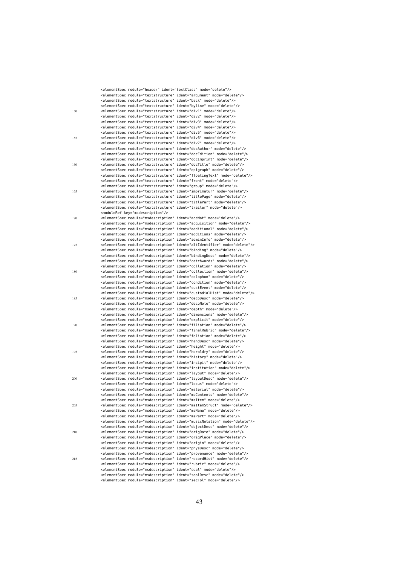|     | <elementspec ident="argument" mode="delete" module="textstructure"></elementspec>                                                                                         |                                                                                        |
|-----|---------------------------------------------------------------------------------------------------------------------------------------------------------------------------|----------------------------------------------------------------------------------------|
|     | <elementspec ident="back" mode="delete" module="textstructure"></elementspec>                                                                                             |                                                                                        |
|     | <elementspec ident="byline" mode="delete" module="textstructure"></elementspec>                                                                                           |                                                                                        |
| 150 | <elementspec ident="div1" mode="delete" module="textstructure"></elementspec>                                                                                             |                                                                                        |
|     | <elementspec ident="div2" mode="delete" module="textstructure"></elementspec>                                                                                             |                                                                                        |
|     | <elementspec ident="div3" mode="delete" module="textstructure"></elementspec>                                                                                             |                                                                                        |
|     | <elementspec ident="div4" mode="delete" module="textstructure"></elementspec>                                                                                             |                                                                                        |
|     | <elementspec ident="div5" mode="delete" module="textstructure"></elementspec>                                                                                             |                                                                                        |
| 155 | <elementspec ident="div6" mode="delete" module="textstructure"></elementspec>                                                                                             |                                                                                        |
|     | <elementspec ident="div7" mode="delete" module="textstructure"></elementspec>                                                                                             |                                                                                        |
|     | <elementspec ident="docAuthor" mode="delete" module="textstructure"></elementspec><br><elementspec ident="docEdition" mode="delete" module="textstructure"></elementspec> |                                                                                        |
|     | <elementspec ident="docImprint" mode="delete" module="textstructure"></elementspec>                                                                                       |                                                                                        |
| 160 | <elementspec ident="docTitle" mode="delete" module="textstructure"></elementspec>                                                                                         |                                                                                        |
|     | <elementspec ident="epigraph" mode="delete" module="textstructure"></elementspec>                                                                                         |                                                                                        |
|     |                                                                                                                                                                           | <elementspec ident="floatingText" mode="delete" module="textstructure"></elementspec>  |
|     | <elementspec ident="front" mode="delete" module="textstructure"></elementspec>                                                                                            |                                                                                        |
|     | <elementspec ident="group" mode="delete" module="textstructure"></elementspec>                                                                                            |                                                                                        |
| 165 | <elementspec ident="imprimatur" mode="delete" module="textstructure"></elementspec>                                                                                       |                                                                                        |
|     | <elementspec ident="titlePage" mode="delete" module="textstructure"></elementspec>                                                                                        |                                                                                        |
|     | <elementspec ident="titlePart" mode="delete" module="textstructure"></elementspec>                                                                                        |                                                                                        |
|     | <elementspec ident="trailer" mode="delete" module="textstructure"></elementspec>                                                                                          |                                                                                        |
|     | <moduleref key="msdescription"></moduleref>                                                                                                                               |                                                                                        |
| 170 | <elementspec ident="accMat" mode="delete" module="msdescription"></elementspec>                                                                                           |                                                                                        |
|     | <elementspec ident="additional" mode="delete" module="msdescription"></elementspec>                                                                                       | <elementspec ident="acquisition" mode="delete" module="msdescription"></elementspec>   |
|     | <elementspec ident="additions" mode="delete" module="msdescription"></elementspec>                                                                                        |                                                                                        |
|     | <elementspec ident="adminInfo" mode="delete" module="msdescription"></elementspec>                                                                                        |                                                                                        |
| 175 |                                                                                                                                                                           | <elementspec ident="altIdentifier" mode="delete" module="msdescription"></elementspec> |
|     | <elementspec ident="binding" mode="delete" module="msdescription"></elementspec>                                                                                          |                                                                                        |
|     |                                                                                                                                                                           | <elementspec ident="bindingDesc" mode="delete" module="msdescription"></elementspec>   |
|     | <elementspec ident="catchwords" mode="delete" module="msdescription"></elementspec>                                                                                       |                                                                                        |
|     | <elementspec ident="collation" mode="delete" module="msdescription"></elementspec>                                                                                        |                                                                                        |
| 180 | <elementspec ident="collection" mode="delete" module="msdescription"></elementspec>                                                                                       |                                                                                        |
|     | <elementspec ident="colophon" mode="delete" module="msdescription"></elementspec><br><elementspec ident="condition" mode="delete" module="msdescription"></elementspec>   |                                                                                        |
|     | <elementspec ident="custEvent" mode="delete" module="msdescription"></elementspec>                                                                                        |                                                                                        |
|     |                                                                                                                                                                           | <elementspec ident="custodialHist" mode="delete" module="msdescription"></elementspec> |
| 185 | <elementspec ident="decoDesc" mode="delete" module="msdescription"></elementspec>                                                                                         |                                                                                        |
|     | <elementspec ident="decoNote" mode="delete" module="msdescription"></elementspec>                                                                                         |                                                                                        |
|     | <elementspec ident="depth" mode="delete" module="msdescription"></elementspec>                                                                                            |                                                                                        |
|     | <elementspec ident="dimensions" mode="delete" module="msdescription"></elementspec>                                                                                       |                                                                                        |
|     | <elementspec ident="explicit" mode="delete" module="msdescription"></elementspec><br><elementspec ident="filiation" mode="delete" module="msdescription"></elementspec>   |                                                                                        |
| 190 |                                                                                                                                                                           | <elementspec ident="finalRubric" mode="delete" module="msdescription"></elementspec>   |
|     | <elementspec ident="foliation" mode="delete" module="msdescription"></elementspec>                                                                                        |                                                                                        |
|     | <elementspec ident="handDesc" mode="delete" module="msdescription"></elementspec>                                                                                         |                                                                                        |
|     | <elementspec ident="height" mode="delete" module="msdescription"></elementspec>                                                                                           |                                                                                        |
| 195 | <elementspec ident="heraldry" mode="delete" module="msdescription"></elementspec>                                                                                         |                                                                                        |
|     | <elementspec ident="history" mode="delete" module="msdescription"></elementspec>                                                                                          |                                                                                        |
|     | <elementspec ident="incipit" mode="delete" module="msdescription"></elementspec>                                                                                          |                                                                                        |
|     |                                                                                                                                                                           | <elementspec ident="institution" mode="delete" module="msdescription"></elementspec>   |
|     | <elementspec ident="layout" mode="delete" module="msdescription"></elementspec>                                                                                           |                                                                                        |
| 200 | <elementspec ident="layoutDesc" mode="delete" module="msdescription"></elementspec>                                                                                       |                                                                                        |
|     | <elementspec ident="locus" mode="delete" module="msdescription"></elementspec><br><elementspec ident="material" mode="delete" module="msdescription"></elementspec>       |                                                                                        |
|     | <elementspec ident="msContents" mode="delete" module="msdescription"></elementspec>                                                                                       |                                                                                        |
|     | <elementspec ident="msItem" mode="delete" module="msdescription"></elementspec>                                                                                           |                                                                                        |
| 205 |                                                                                                                                                                           | <elementspec ident="msItemStruct" mode="delete" module="msdescription"></elementspec>  |
|     | <elementspec ident="msName" mode="delete" module="msdescription"></elementspec>                                                                                           |                                                                                        |
|     | <elementspec ident="msPart" mode="delete" module="msdescription"></elementspec>                                                                                           |                                                                                        |
|     |                                                                                                                                                                           | <elementspec ident="musicNotation" mode="delete" module="msdescription"></elementspec> |
|     | <elementspec ident="objectDesc" mode="delete" module="msdescription"></elementspec>                                                                                       |                                                                                        |
| 210 | <elementspec ident="origDate" mode="delete" module="msdescription"></elementspec>                                                                                         |                                                                                        |
|     | <elementspec ident="origPlace" mode="delete" module="msdescription"></elementspec>                                                                                        |                                                                                        |
|     | <elementspec ident="origin" mode="delete" module="msdescription"></elementspec>                                                                                           |                                                                                        |
|     | <elementspec ident="physDesc" mode="delete" module="msdescription"></elementspec><br><elementspec ident="provenance" mode="delete" module="msdescription"></elementspec>  |                                                                                        |
| 215 | <elementspec ident="recordHist" mode="delete" module="msdescription"></elementspec>                                                                                       |                                                                                        |
|     | <elementspec ident="rubric" mode="delete" module="msdescription"></elementspec>                                                                                           |                                                                                        |
|     | <elementspec ident="seal" mode="delete" module="msdescription"></elementspec>                                                                                             |                                                                                        |
|     | <elementspec ident="sealDesc" mode="delete" module="msdescription"></elementspec>                                                                                         |                                                                                        |
|     | <elementspec ident="secFol" mode="delete" module="msdescription"></elementspec>                                                                                           |                                                                                        |
|     |                                                                                                                                                                           |                                                                                        |

<elementSpec module="header" ident="textClass" mode="delete"/>

43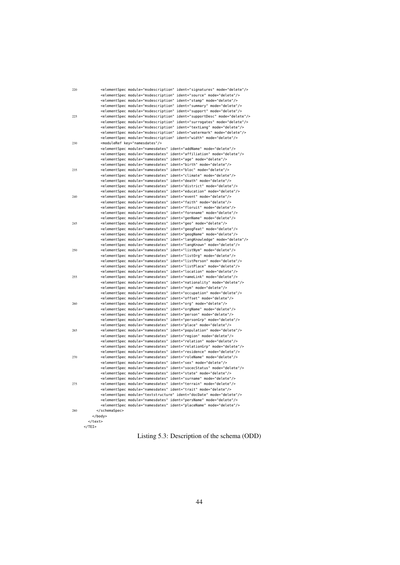| 220 | <elementspec ident="signatures" mode="delete" module="msdescription"></elementspec><br><elementspec ident="source" mode="delete" module="msdescription"></elementspec><br><elementspec ident="stamp" mode="delete" module="msdescription"></elementspec> |
|-----|----------------------------------------------------------------------------------------------------------------------------------------------------------------------------------------------------------------------------------------------------------|
|     | <elementspec ident="summary" mode="delete" module="msdescription"></elementspec>                                                                                                                                                                         |
|     | <elementspec ident="support" mode="delete" module="msdescription"></elementspec>                                                                                                                                                                         |
| 225 | <elementspec ident="supportDesc" mode="delete" module="msdescription"></elementspec>                                                                                                                                                                     |
|     | <elementspec ident="surrogates" mode="delete" module="msdescription"></elementspec>                                                                                                                                                                      |
|     | <elementspec ident="textLang" mode="delete" module="msdescription"></elementspec>                                                                                                                                                                        |
|     | <elementspec ident="watermark" mode="delete" module="msdescription"></elementspec>                                                                                                                                                                       |
| 230 | <elementspec ident="width" mode="delete" module="msdescription"></elementspec><br><moduleref key="namesdates"></moduleref>                                                                                                                               |
|     | <elementspec ident="addName" mode="delete" module="namesdates"></elementspec>                                                                                                                                                                            |
|     | <elementspec ident="affiliation" mode="delete" module="namesdates"></elementspec>                                                                                                                                                                        |
|     | <elementspec ident="age" mode="delete" module="namesdates"></elementspec>                                                                                                                                                                                |
|     | <elementspec ident="birth" mode="delete" module="namesdates"></elementspec>                                                                                                                                                                              |
| 235 | <elementspec ident="bloc" mode="delete" module="namesdates"></elementspec>                                                                                                                                                                               |
|     | <elementspec ident="climate" mode="delete" module="namesdates"></elementspec>                                                                                                                                                                            |
|     | <elementspec ident="death" mode="delete" module="namesdates"></elementspec>                                                                                                                                                                              |
|     | <elementspec ident="district" mode="delete" module="namesdates"></elementspec>                                                                                                                                                                           |
|     | <elementspec ident="education" mode="delete" module="namesdates"></elementspec>                                                                                                                                                                          |
| 240 | <elementspec ident="event" mode="delete" module="namesdates"></elementspec>                                                                                                                                                                              |
|     | <elementspec ident="faith" mode="delete" module="namesdates"></elementspec>                                                                                                                                                                              |
|     | <elementspec ident="floruit" mode="delete" module="namesdates"></elementspec><br><elementspec ident="forename" mode="delete" module="namesdates"></elementspec>                                                                                          |
|     | <elementspec ident="genName" mode="delete" module="namesdates"></elementspec>                                                                                                                                                                            |
| 245 | <elementspec ident="geo" mode="delete" module="namesdates"></elementspec>                                                                                                                                                                                |
|     | <elementspec ident="geogFeat" mode="delete" module="namesdates"></elementspec>                                                                                                                                                                           |
|     | <elementspec ident="geogName" mode="delete" module="namesdates"></elementspec>                                                                                                                                                                           |
|     | <elementspec ident="langKnowledge" mode="delete" module="namesdates"></elementspec>                                                                                                                                                                      |
|     | <elementspec ident="langKnown" mode="delete" module="namesdates"></elementspec>                                                                                                                                                                          |
| 250 | <elementspec ident="listNym" mode="delete" module="namesdates"></elementspec>                                                                                                                                                                            |
|     | <elementspec ident="listOrg" mode="delete" module="namesdates"></elementspec>                                                                                                                                                                            |
|     | <elementspec ident="listPerson" mode="delete" module="namesdates"></elementspec>                                                                                                                                                                         |
|     | <elementspec ident="listPlace" mode="delete" module="namesdates"></elementspec>                                                                                                                                                                          |
| 255 | <elementspec ident="location" mode="delete" module="namesdates"></elementspec><br><elementspec ident="nameLink" mode="delete" module="namesdates"></elementspec>                                                                                         |
|     | <elementspec ident="nationality" mode="delete" module="namesdates"></elementspec>                                                                                                                                                                        |
|     | <elementspec ident="nym" mode="delete" module="namesdates"></elementspec>                                                                                                                                                                                |
|     | <elementspec ident="occupation" mode="delete" module="namesdates"></elementspec>                                                                                                                                                                         |
|     | <elementspec ident="offset" mode="delete" module="namesdates"></elementspec>                                                                                                                                                                             |
| 260 | <elementspec ident="org" mode="delete" module="namesdates"></elementspec>                                                                                                                                                                                |
|     | <elementspec ident="orgName" mode="delete" module="namesdates"></elementspec>                                                                                                                                                                            |
|     | <elementspec ident="person" mode="delete" module="namesdates"></elementspec>                                                                                                                                                                             |
|     | <elementspec ident="personGrp" mode="delete" module="namesdates"></elementspec>                                                                                                                                                                          |
|     | <elementspec ident="place" mode="delete" module="namesdates"></elementspec>                                                                                                                                                                              |
| 265 | <elementspec ident="population" mode="delete" module="namesdates"></elementspec>                                                                                                                                                                         |
|     | <elementspec ident="region" mode="delete" module="namesdates"></elementspec><br><elementspec ident="relation" mode="delete" module="namesdates"></elementspec>                                                                                           |
|     | <elementspec ident="relationGrp" mode="delete" module="namesdates"></elementspec>                                                                                                                                                                        |
|     | <elementspec ident="residence" mode="delete" module="namesdates"></elementspec>                                                                                                                                                                          |
| 270 | <elementspec ident="roleName" mode="delete" module="namesdates"></elementspec>                                                                                                                                                                           |
|     | <elementspec ident="sex" mode="delete" module="namesdates"></elementspec>                                                                                                                                                                                |
|     | <elementspec ident="socecStatus" mode="delete" module="namesdates"></elementspec>                                                                                                                                                                        |
|     | <elementspec ident="state" mode="delete" module="namesdates"></elementspec>                                                                                                                                                                              |
|     | <elementspec ident="surname" mode="delete" module="namesdates"></elementspec>                                                                                                                                                                            |
| 275 | <elementspec ident="terrain" mode="delete" module="namesdates"></elementspec>                                                                                                                                                                            |
|     | <elementspec ident="trait" mode="delete" module="namesdates"></elementspec>                                                                                                                                                                              |
|     | <elementspec ident="docDate" mode="delete" module="textstructure"></elementspec>                                                                                                                                                                         |
|     | <elementspec ident="persName" mode="delete" module="namesdates"></elementspec>                                                                                                                                                                           |
| 280 | <elementspec ident="placeName" mode="delete" module="namesdates"></elementspec><br>                                                                                                                                                                      |
|     |                                                                                                                                                                                                                                                          |
|     |                                                                                                                                                                                                                                                          |

```
</TEI>
```
Listing 5.3: Description of the schema (ODD)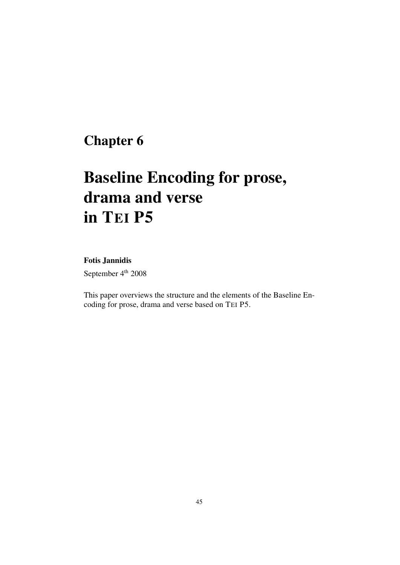## Chapter 6

# Baseline Encoding for prose, drama and verse in TEI P5

### Fotis Jannidis

September 4<sup>th</sup> 2008

This paper overviews the structure and the elements of the Baseline Encoding for prose, drama and verse based on TEI P5.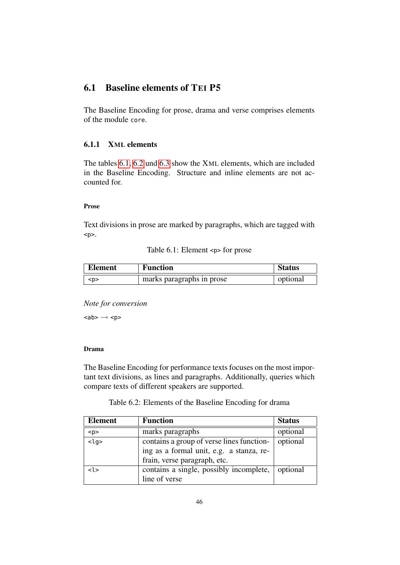## 6.1 Baseline elements of TEI P5

The Baseline Encoding for prose, drama and verse comprises elements of the module core.

#### 6.1.1 XML elements

The tables [6.1,](#page-47-0) [6.2](#page-47-1) und [6.3](#page-49-0) show the XML elements, which are included in the Baseline Encoding. Structure and inline elements are not accounted for.

#### Prose

Text divisions in prose are marked by paragraphs, which are tagged with  $< p >$ .

Table 6.1: Element <p> for prose

<span id="page-47-0"></span>

| <b>Element</b> | <b>Function</b>           | <b>Status</b> |
|----------------|---------------------------|---------------|
| ≺p>            | marks paragraphs in prose | optional      |

*Note for conversion*

 $<sub>ab</sub> > \rightarrow <sub>pp</sub>$ </sub>

#### Drama

The Baseline Encoding for performance texts focuses on the most important text divisions, as lines and paragraphs. Additionally, queries which compare texts of different speakers are supported.

Table 6.2: Elements of the Baseline Encoding for drama

<span id="page-47-1"></span>

| <b>Element</b>     | <b>Function</b>                           | <b>Status</b> |
|--------------------|-------------------------------------------|---------------|
| < p >              | marks paragraphs                          | optional      |
| $\overline{<}$ lg> | contains a group of verse lines function- | optional      |
|                    | ing as a formal unit, e.g. a stanza, re-  |               |
|                    | frain, verse paragraph, etc.              |               |
| < l >              | contains a single, possibly incomplete,   | optional      |
|                    | line of verse                             |               |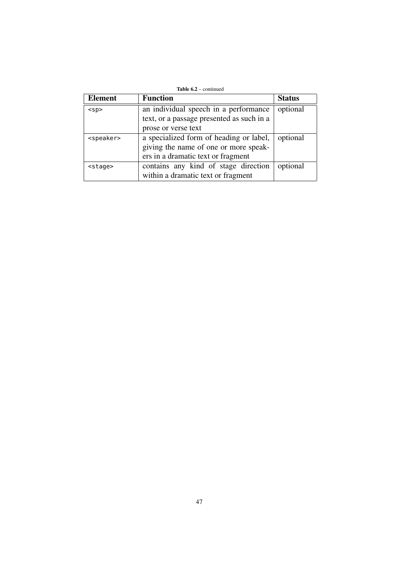|  |  | <b>Table 6.2</b> – continued |
|--|--|------------------------------|
|--|--|------------------------------|

| <b>Element</b>      | <b>Function</b>                           | <b>Status</b> |
|---------------------|-------------------------------------------|---------------|
| $<$ sp>             | an individual speech in a performance     | optional      |
|                     | text, or a passage presented as such in a |               |
|                     | prose or verse text                       |               |
| <speaker></speaker> | a specialized form of heading or label,   | optional      |
|                     | giving the name of one or more speak-     |               |
|                     | ers in a dramatic text or fragment        |               |
| <stage></stage>     | contains any kind of stage direction      | optional      |
|                     | within a dramatic text or fragment        |               |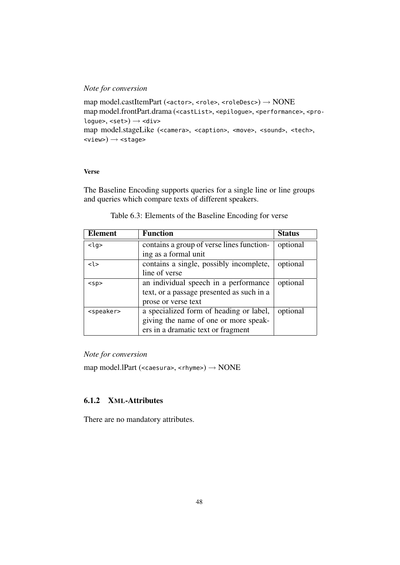#### *Note for conversion*

```
map model.castItemPart (<actor>, <role>, <roleDesc>) \rightarrow NONE
map model.frontPart.drama (<castList>, <epilogue>, <performance>, <pro-
logue>, <set>) \rightarrow <div>
map model.stageLike (<camera>, <caption>, <move>, <sound>, <tech>,
\langle\text{view}\rangle \rightarrow \langle\text{stage}\rangle
```
#### Verse

The Baseline Encoding supports queries for a single line or line groups and queries which compare texts of different speakers.

<span id="page-49-0"></span>

| Element                                                        | <b>Function</b>                           | <b>Status</b> |
|----------------------------------------------------------------|-------------------------------------------|---------------|
| $<$ lg>                                                        | contains a group of verse lines function- | optional      |
|                                                                | ing as a formal unit                      |               |
| < l >                                                          | contains a single, possibly incomplete,   | optional      |
|                                                                | line of verse                             |               |
| an individual speech in a performance<br>$<$ sp>               |                                           | optional      |
|                                                                | text, or a passage presented as such in a |               |
|                                                                | prose or verse text                       |               |
| a specialized form of heading or label,<br><speaker></speaker> |                                           | optional      |
|                                                                | giving the name of one or more speak-     |               |
|                                                                | ers in a dramatic text or fragment        |               |

| Table 6.3: Elements of the Baseline Encoding for verse |  |
|--------------------------------------------------------|--|
|--------------------------------------------------------|--|

#### *Note for conversion*

map model.lPart (<caesura>, <rhyme>)  $\rightarrow$  NONE

### 6.1.2 XML-Attributes

There are no mandatory attributes.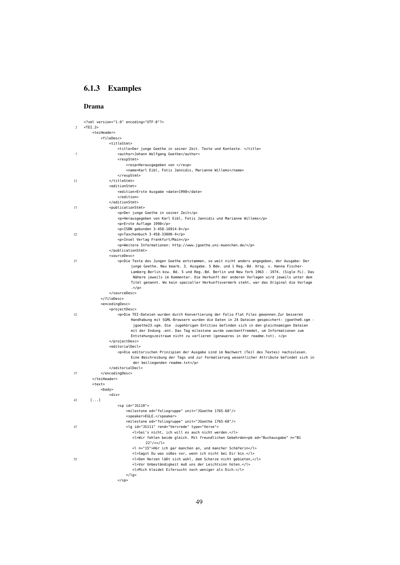#### 6.1.3 Examples

#### Drama

```
<?xml version="1.0" encoding="UTF-8"?>
2 \times TFT<teiHeader>
            <fileDesc>
                <titleStmt>
                    <title>Der junge Goethe in seiner Zeit. Texte und Kontexte. </title>
7 <author>Johann Wolfgang Goethe</author>
                   <respStmt>
                       <resp>Herausgegeben von </resp>
                       <name>Karl Eibl, Fotis Jannidis, Marianne Willems</name>
                    </respStmt>
12 </titleStmt>
                <editionStmt>
                   <edition>Erste Ausgabe <date>1998</date>
                   </edition>
                </editionStmt>
17 <publicationStmt>
                    <p>Der junge Goethe in seiner Zeit</p>
                    <p>Herausgegeben von Karl Eibl, Fotis Jannidis und Marianne Willems</p>
                    <p>Erste Auflage 1998</p>
                    <p>ISBN gebunden 3-458-16914-8</p>
22 <p>Taschenbuch 3-458-33800-4</p>
                    <p>Insel Verlag Frankfurt/Main</p>
                    <p>Weitere Informationen: http://www.jgoethe.uni-muenchen.de/</p>
                </publicationStmt>
                <sourceDesc>
27 <p>Die Texte des Jungen Goethe entstammen, so weit nicht anders angegeben, der Ausgabe: Der
                          junge Goethe. Neu bearb. 3. Ausgabe. 5 Bde. und 1 Reg.-Bd. Hrsg. v. Hanna Fischer-
                          Lamberg Berlin bzw. Bd. 5 und Reg.-Bd. Berlin und New York 1963 - 1974. (Sigle FL). Das
                          Nähere jeweils im Kommentar. Die Herkunft der anderen Vorlagen wird jeweils unter dem
                          Titel genannt. Wo kein spezieller Herkunftsvermerk steht, war das Original die Vorlage
                          .</p>
                </sourceDesc>
            </fileDesc>
            <encodingDesc>
                <projectDesc>
32 <p>Die TEI-Dateien wurden durch Konvertierung der Folio Flat Files gewonnen.Zur besseren
                          Handhabung mit SGML-Browsern wurden die Daten in 24 Dateien gespeichert: jgoethe0.sgm -
                          jgoethe23.sgm. Die zugehörigen Entities befinden sich in den gleichnamigen Dateien
                          mit der Endung .ent. Das Tag milestone wurde zweckentfremdet, um Informationen zum
                          Entstehungszeitraum nicht zu verlieren (genaueres in der readme.txt). </p>
                </projectDesc>
                <editorialDecl>
                    <p>Die editorischen Prinzipien der Ausgabe sind im Nachwort (Teil des Textes) nachzulesen.
                         Eine Beschreibung der Tags und zur Formatierung wesentlicher Attribute befindet sich in
                          der beiliegenden readme.txt</p>
                </editorialDecl>
37 </encodingDesc>
        </teiHeader>
        <text>
            <body>
                <div>
42 \quad \text{I...1}<sp id="JG110">
                       <milestone ed="foliogruppe" unit="JGoethe 1765-68"/>
                       <speaker>EGLE.</speaker>
                        <milestone ed="foliogruppe" unit="JGoethe 1765-68"/>
47 <lg id="JG111" rend="Versrede" type="Verse">
                          <l>Sei's nicht, ich will es auch nicht werden.</l>
                          <l>Wir fehlen beide gleich. Mit freundlichen Gebehrden<pb ed="Buchausgabe" n="B1
                               22"/></l>
                           <l n="15">Hör ich gar manchen an, und mancher Schäferin</l>
                          <l>Sagst Du was süßes vor, wenn ich nicht bei Dir bin.</l>
52 <l>Den Herzen läßt sich wohl, dem Scherze nicht gebieten,</l>
                           <l>Vor Unbeständigkeit muß uns der Leichtsinn hüten.</l>
                          <l>Mich kleidet Eifersucht noch weniger als Dich.</l>
                       \langlelg>
                   </sp>
```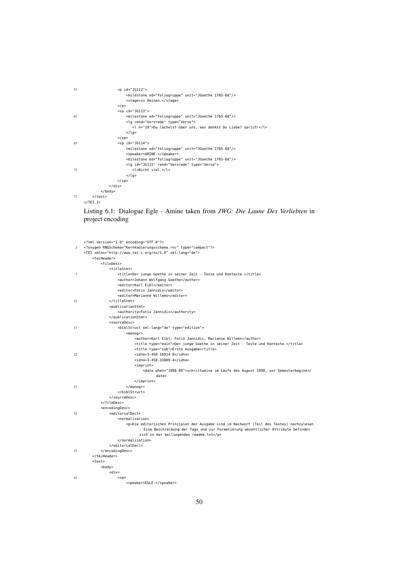| 57 | $<$ p id="JG112">                                                |  |
|----|------------------------------------------------------------------|--|
|    | <milestone ed="foliogruppe" unit="JGoethe 1765-68"></milestone>  |  |
|    | <stage>zu Aminen.</stage>                                        |  |
|    | $<$ /p>                                                          |  |
|    | $<$ sp id="JG113">                                               |  |
| 62 | <milestone ed="foliogruppe" unit="JGoethe 1765-68"></milestone>  |  |
|    | <lq rend="Versrede" type="Verse"></lq>                           |  |
|    | <l n="20">Du lächelst über uns, was denkst Du Liebe? sprich!</l> |  |
|    | $<$ /lg>                                                         |  |
|    | <td></td>                                                        |  |
| 67 | $<$ sp id="JG114">                                               |  |
|    | <milestone ed="foliogruppe" unit="JGoethe 1765-68"></milestone>  |  |
|    | <speaker>AMINE.</speaker>                                        |  |
|    | <milestone ed="foliogruppe" unit="JGoethe 1765-68"></milestone>  |  |
|    | <lq id="JG115" rend="Versrede" type="Verse"></lq>                |  |
| 72 | <l>Nicht viel.</l>                                               |  |
|    | $<$ /lg>                                                         |  |
|    | <td></td>                                                        |  |
|    | $\langle$ /div $\rangle$                                         |  |
|    | $<$ /body>                                                       |  |
| 77 |                                                                  |  |
|    | $<$ /TEI.2>                                                      |  |

### Listing 6.1: Dialogue Egle - Amine taken from *JWG: Die Laune Des Verliebten* in project encoding

|    | xml version="1.0" encoding="UTF-8"?                                                              |
|----|--------------------------------------------------------------------------------------------------|
| 2  | oxygen RNGSchema="Kernkodierungsschema.rnc" type="compact"?                                      |
|    | <tei xml:lang="de" xmlns="http://www.tei-c.org/ns/1.0"></tei>                                    |
|    | <teiheader></teiheader>                                                                          |
|    | <filedesc></filedesc>                                                                            |
|    | <titlestmt></titlestmt>                                                                          |
| 7  | <title>Der junge Goethe in seiner Zeit - Texte und Kontexte.</title>                             |
|    | <author>Johann Wolfgang Goethe</author>                                                          |
|    | <editor>Karl Eibl</editor>                                                                       |
|    | <editor>Fotis Jannidis</editor>                                                                  |
|    | <editor>Marianne Willems</editor>                                                                |
| 12 |                                                                                                  |
|    | <publicationstmt></publicationstmt>                                                              |
|    | <authority>Fotis Jannidis</authority>                                                            |
|    |                                                                                                  |
|    | <sourcedesc></sourcedesc>                                                                        |
| 17 | <biblstruct type="edition" xml:lang="de"></biblstruct>                                           |
|    | $monogr$                                                                                         |
|    | <author>Karl Eibl, Fotis Jannidis, Marianne Willems</author>                                     |
|    | <title type="main">Der junge Goethe in seiner Zeit - Texte und Kontexte.</title>                 |
|    | <title type="sub">Erste Ausgabe</title>                                                          |
| 22 | <idno>3-458-16914-8</idno>                                                                       |
|    | <idno>3-458-33800-4</idno>                                                                       |
|    | $import$                                                                                         |
|    | <date when="1998-08">schrittweise im Laufe des August 1998, vor Semesterbeginn<!--</th--></date> |
|    | date>                                                                                            |
|    | $<$ /imprint>                                                                                    |
| 27 | $<$ /monogr>                                                                                     |
|    |                                                                                                  |
|    |                                                                                                  |
|    |                                                                                                  |
|    | <encodingdesc></encodingdesc>                                                                    |
| 32 | <editorialdecl></editorialdecl>                                                                  |
|    | <normalization></normalization>                                                                  |
|    | <p>Die editorischen Prinzipien der Ausgabe sind im Nachwort (Teil des Textes) nachzulesen</p>    |
|    | . Eine Beschreibung der Tags und zur Formatierung wesentlicher Attribute befindet                |
|    | sich in der beiliegenden readme.txt                                                              |
|    |                                                                                                  |
|    |                                                                                                  |
| 37 |                                                                                                  |
|    |                                                                                                  |
|    | $<$ text>                                                                                        |
|    | $<$ body $>$                                                                                     |
|    | <div></div>                                                                                      |
| 42 | $<$ sp>                                                                                          |
|    | <speaker>EGLE.</speaker>                                                                         |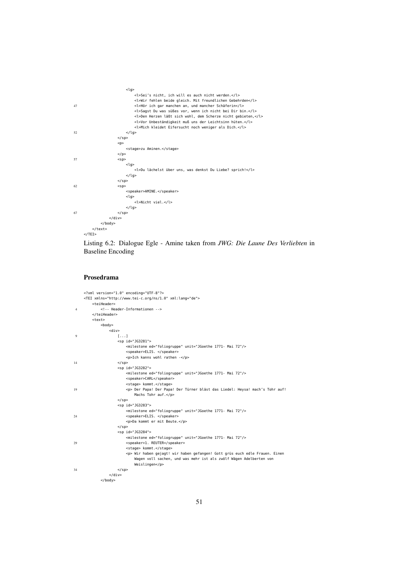|    | <lq></lq>                                                     |  |
|----|---------------------------------------------------------------|--|
|    | <l>Sei's nicht, ich will es auch nicht werden.</l>            |  |
|    | <l>Wir fehlen beide gleich. Mit freundlichen Gebehrden</l>    |  |
| 47 | <l>Hör ich gar manchen an, und mancher Schäferin</l>          |  |
|    | <l>Sagst Du was süßes vor, wenn ich nicht bei Dir bin.</l>    |  |
|    | <l>Den Herzen läßt sich wohl, dem Scherze nicht gebieten,</l> |  |
|    | <l>Vor Unbeständigkeit muß uns der Leichtsinn hüten.</l>      |  |
|    | <l>Mich kleidet Eifersucht noch weniger als Dich.</l>         |  |
| 52 | $<$ /lg>                                                      |  |
|    | <td></td>                                                     |  |
|    | < p >                                                         |  |
|    | <stage>zu Aminen.</stage>                                     |  |
|    | $<$ /p>                                                       |  |
| 57 | $<$ sp>                                                       |  |
|    | <lq></lq>                                                     |  |
|    | <l>Du lächelst über uns, was denkst Du Liebe? sprich!</l>     |  |
|    | $<$ /la>                                                      |  |
|    | <td></td>                                                     |  |
| 62 | $<$ sp>                                                       |  |
|    | <speaker>AMINE.</speaker>                                     |  |
|    | <lq></lq>                                                     |  |
|    | <l>Nicht viel.</l>                                            |  |
|    | $<$ /lg>                                                      |  |
| 67 | <th></th>                                                     |  |
|    | $<$ /div>                                                     |  |
|    | $<$ /body>                                                    |  |
|    |                                                               |  |
|    | $<$ /TEI>                                                     |  |



#### Prosedrama

```
<?xml version="1.0" encoding="UTF-8"?>
    <TEI xmlns="http://www.tei-c.org/ns/1.0" xml:lang="de">
       <teiHeader>
4 <!-- Header-Informationen -->
       </teiHeader>
       <text>
           <body>
              <div>
9 [...]
                  <sp id="JG3281">
                     <milestone ed="foliogruppe" unit="JGoethe 1771- Mai 72"/>
                     <speaker>ELIS. </speaker>
                     <p>Ich kanns wohl rathen -</p>
14 </sp>
                  <sp id="JG3282">
                     <milestone ed="foliogruppe" unit="JGoethe 1771- Mai 72"/>
                      <speaker>CARL</speaker>
                      <stage> kommt.</stage>
19 <p> Der Papa! Der Papa! Der Türner bläst das Liedel: Heysa! mach's Tohr auf!
                         Machs Tohr auf.</p>
                  \lt/sn>
                  <sp id="JG3283">
                     <milestone ed="foliogruppe" unit="JGoethe 1771- Mai 72"/>
24 <speaker>ELIS. </speaker>
                     <p>Da kommt er mit Beute.</p>
                  </sp>
                  <sp id="JG3284">
                     <milestone ed="foliogruppe" unit="JGoethe 1771- Mai 72"/>
29 <speaker>1. REUTER</speaker>
                      <stage> kommt.</stage>
                      <p> Wir haben gejagt! wir haben gefangen! Gott grüs euch edle Frauen. Einen
                         Wagen voll sachen, und was mehr ist als zwölf Wägen Adelberten von
                         Weislingen</p>
34 \leq /50</div>
           </body>
```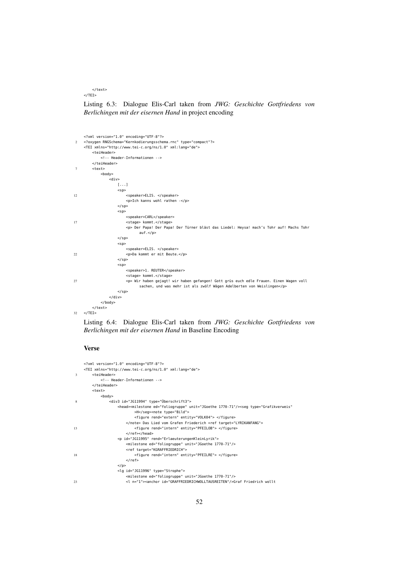</text>  $<$ /TFT $>$ 

Listing 6.3: Dialogue Elis-Carl taken from *JWG: Geschichte Gottfriedens von Berlichingen mit der eisernen Hand* in project encoding

```
<?xml version="1.0" encoding="UTF-8"?>
2 <?oxygen RNGSchema="Kernkodierungsschema.rnc" type="compact"?>
    <TEI xmlns="http://www.tei-c.org/ns/1.0" xml:lang="de">
       <teiHeader>
           <!-- Header-Informationen -->
        </teiHeader>
7 <text>
           <body>
               <div>
                  [...]
                   <sp>
12 <speaker>ELIS. </speaker>
                      <p>Ich kanns wohl rathen -</p>
                   \lt/sn>
                   <sn>
                      <speaker>CARL</speaker>
17 <stage> kommt.</stage>
                      <p> Der Papa! Der Papa! Der Türner bläst das Liedel: Heysa! mach's Tohr auf! Machs Tohr
                            auf.</p>
                   \langle/sp>
                   <sp>
                      <speaker>ELIS. </speaker>
22 <p>Da kommt er mit Beute.</p>
                   </sp>
                   <sp>
                      <speaker>1. REUTER</speaker>
                      <stage> kommt.</stage>
27 <p> Wir haben gejagt! wir haben gefangen! Gott grüs euch edle Frauen. Einen Wagen voll
                            sachen, und was mehr ist als zwölf Wägen Adelberten von Weislingen</p>
                   </sp>
               \langlediv></body>
        </text>
32 \times /TEI
```
Listing 6.4: Dialogue Elis-Carl taken from *JWG: Geschichte Gottfriedens von Berlichingen mit der eisernen Hand* in Baseline Encoding

#### Verse

```
<?xml version="1.0" encoding="UTF-8"?>
    <TEI xmlns="http://www.tei-c.org/ns/1.0" xml:lang="de">
3 <teiHeader>
           <!-- Header-Informationen -->
        </teiHeader>
        <text>
           <body>
8 <div3 id="JG11994" type="Überschrift3">
                   <head><milestone ed="foliogruppe" unit="JGoethe 1770-71"/><seg type="Grafikverweis"
                          >H</seg><note type="Bild">
                         <figure rend="extern" entity="VOLK04"> </figure>
                      </note> Das Lied vom Grafen Friederich <ref target="LYRIKANFANG">
13 <figure rend="intern" entity="PFEILOB"> </figure>
                      </ref></head>
                   <p id="JG11995" rend="ErlaeuterungenKleinLyrik">
                      <milestone ed="foliogruppe" unit="JGoethe 1770-71"/>
                      <ref target="KGRAFFRIEDRICH">
18 <figure rend="intern" entity="PFEILRE"> </figure>
                      </ref>
                   </p>
                  <lg id="JG11996" type="Strophe">
                       <milestone ed="foliogruppe" unit="JGoethe 1770-71"/>
23 <l n="1"><anchor id="GRAFFRIEDRICHWOLLTAUSREITEN"/>Graf Friedrich wollt
```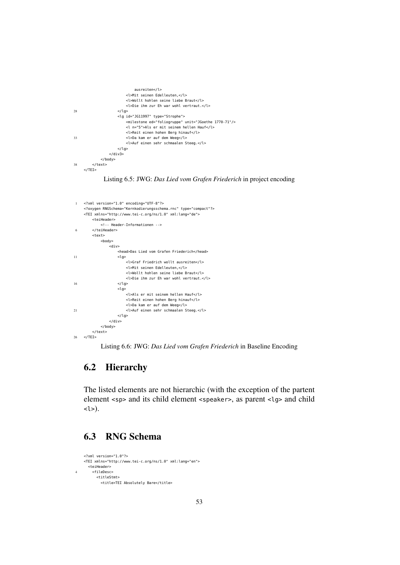```
ausreiten</l>
                       <l>Mit seinen Edelleuten,</l>
                       <l>Wollt hohlen seine liebe Braut</l>
                       <l>Die ihm zur Eh war wohl vertraut.</l>
28 </lg>
                   <lg id="JG11997" type="Strophe">
                       <milestone ed="foliogruppe" unit="JGoethe 1770-71"/>
                       <l n="5">Als er mit seinem hellen Hauf</l>
                       <l>Reit einen hohen Berg hinauf</l>
33 <l>Da kam er auf dem Weeg</l>
                       <l>Auf einen sehr schmaalen Steeg.</l>
                   </lg>
               \langlediv3>
           </body>
38 \times/text>
    </TEI>
```
#### Listing 6.5: JWG: *Das Lied vom Grafen Friederich* in project encoding

```
1 <?xml version="1.0" encoding="UTF-8"?>
    <?oxygen RNGSchema="Kernkodierungsschema.rnc" type="compact"?>
    <TEI xmlns="http://www.tei-c.org/ns/1.0" xml:lang="de">
       <teiHeader>
           <!-- Header-Informationen -->
6 </teiHeader>
        <text>
           <body>
                -<br><div>
                   <head>Das Lied vom Grafen Friederich</head>
11 \langlela>
                       <l>Graf Friedrich wollt ausreiten</l>
                       <l>Mit seinen Edelleuten,</l>
                       <l>Wollt hohlen seine liebe Braut</l>
                       <l>Die ihm zur Eh war wohl vertraut.</l>
16 </lg>
                   <lg>
                       <l>Als er mit seinem hellen Hauf</l>
                       <l>Reit einen hohen Berg hinauf</l>
                       <l>Da kam er auf dem Weeg</l>
21 <l>Auf einen sehr schmaalen Steeg.</l>
                   </la></div>
           </body>
        </text>
26 \times / \text{TEI}
```
Listing 6.6: JWG: *Das Lied vom Grafen Friederich* in Baseline Encoding

## 6.2 Hierarchy

The listed elements are not hierarchic (with the exception of the partent element <sp> and its child element <speaker>, as parent <lg> and child  $<$ l $>$ ).

## 6.3 RNG Schema

```
<?xml version="1.0"?>
    <TEI xmlns="http://www.tei-c.org/ns/1.0" xml:lang="en">
      <teiHeader>
4 <fileDesc>
         <titleStmt>
           <title>TEI Absolutely Bare</title>
```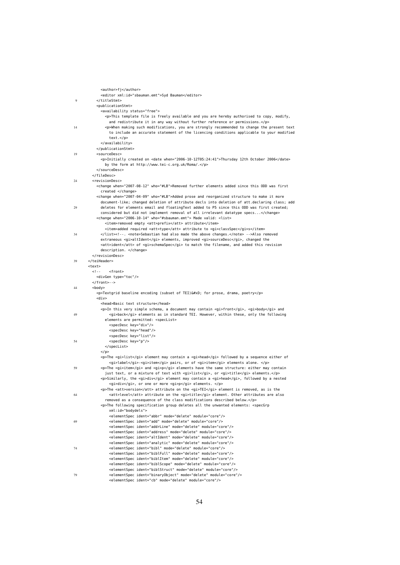|    | <author>fj</author>                                                                                                                                                                       |
|----|-------------------------------------------------------------------------------------------------------------------------------------------------------------------------------------------|
|    | <editor xml:id="sbauman.emt">Syd Bauman</editor>                                                                                                                                          |
| 9  |                                                                                                                                                                                           |
|    | <publicationstmt></publicationstmt>                                                                                                                                                       |
|    | <availability status="free"></availability>                                                                                                                                               |
|    | <p>This template file is freely available and you are hereby authorised to copy, modify,</p>                                                                                              |
| 14 | and redistribute it in any way without further reference or permissions.<br><p>When making such modifications, you are strongly recommended to change the present text</p>                |
|    | to include an accurate statement of the licencing conditions applicable to your modified                                                                                                  |
|    | text.                                                                                                                                                                                     |
|    |                                                                                                                                                                                           |
|    |                                                                                                                                                                                           |
| 19 | <sourcedesc></sourcedesc>                                                                                                                                                                 |
|    | <p>Initially created on <date when="2006-10-12T05:24:41">Thursday 12th October 2006</date></p>                                                                                            |
|    | by the form at http://www.tei-c.org.uk/Roma/.<br>                                                                                                                                         |
|    |                                                                                                                                                                                           |
| 24 | <revisiondesc></revisiondesc>                                                                                                                                                             |
|    | <change when="2007-08-12" who="#LB">Removed further elements added since this ODD was first</change>                                                                                      |
|    | created                                                                                                                                                                                   |
|    | <change when="2007-04-09" who="#LB">Added prose and reorganized structure to make it more</change>                                                                                        |
| 29 | document-like; changed deletion of attribute decls into deletion of att.declaring class; add<br>deletes for elements email and floatingText added to P5 since this ODD was first created; |
|    | considered but did not implement removal of all irrelevant datatype specs                                                                                                                 |
|    | <change when="2006-10-14" who="#sbauman.emt"> Made valid: <list></list></change>                                                                                                          |
|    | <item>removed empty <att>prefix</att> attribute</item>                                                                                                                                    |
|    | <item>added required <att>type</att> attribute to <gi>classSpec</gi>s</item>                                                                                                              |
| 34 | . <note>Sebastian had also made the above changes.</note> Also removed                                                                                                                    |
|    | extraneous <gi>altIdent</gi> elements, improved <gi>sourceDesc</gi> , changed the<br><att>ident</att> of <gi>schemaSpec</gi> to match the filename, and added this revision               |
|    | description.                                                                                                                                                                              |
|    |                                                                                                                                                                                           |
| 39 |                                                                                                                                                                                           |
|    | <text><br/><math>\leq</math> ! - -</text>                                                                                                                                                 |
|    | <front><br/><divgen type="toc"></divgen></front>                                                                                                                                          |
|    | -->                                                                                                                                                                                       |
| 44 | <body></body>                                                                                                                                                                             |
|    | <p>Textgrid baseline encoding (subset of TEI)
 for prose, drama, poetry</p>                                                                                                               |
|    | <div></div>                                                                                                                                                                               |
|    | <head>Basic text structure</head><br><p>In this very simple schema, a document may contain <gi>front</gi>, <gi>body</gi> and</p>                                                          |
| 49 | <gi>back</gi> elements as in standard TEI. However, within these, only the following                                                                                                      |
|    | elements are permitted: <speclist></speclist>                                                                                                                                             |
|    | <specdesc key="div"></specdesc>                                                                                                                                                           |
|    | <specdesc key="head"></specdesc>                                                                                                                                                          |
| 54 | <specdesc key="list"></specdesc><br><specdesc key="p"></specdesc>                                                                                                                         |
|    |                                                                                                                                                                                           |
|    | $<$ /p>                                                                                                                                                                                   |
|    | <p>The <gi>list</gi> element may contain a <gi>head</gi> followed by a sequence either of</p>                                                                                             |
|    | <gi>label</gi> - <gi>item</gi> pairs, or of <gi>item</gi> elements alone. </td                                                                                                            |
| 59 | <p>The <gi>item</gi> and <gi>p</gi> elements have the same structure: either may contain<br/>just text, or a mixture of text with <gi>list</gi>, or <gi>title</gi> elements.</p>          |
|    | <p>Similarly, the <gi>div</gi> element may contain a <gi>head</gi>, followed by a nested</p>                                                                                              |
|    | <gi>div</gi> , or one or more <gi>p</gi> elements.                                                                                                                                        |
|    | <p>The <att>version</att> attribute on the <gi>TEI</gi> element is removed, as is the</p>                                                                                                 |
| 64 | <att>level</att> attribute on the <gi>title</gi> element. Other attributes are also                                                                                                       |
|    | removed as a consequence of the class modifications described below.<br><p>The following specification group deletes all the unwanted elements: <specgrp< td=""></specgrp<></p>           |
|    | xml:id="bodydels">                                                                                                                                                                        |
|    | <elementspec ident="abbr" mode="delete" module="core"></elementspec>                                                                                                                      |
| 69 | <elementspec ident="add" mode="delete" module="core"></elementspec>                                                                                                                       |
|    | <elementspec ident="addrLine" mode="delete" module="core"></elementspec>                                                                                                                  |
|    | <elementspec ident="address" mode="delete" module="core"></elementspec>                                                                                                                   |
|    | <elementspec ident="altIdent" mode="delete" module="core"></elementspec><br><elementspec ident="analytic" mode="delete" module="core"></elementspec>                                      |
| 74 | <elementspec ident="bibl" mode="delete" module="core"></elementspec>                                                                                                                      |
|    | <elementspec ident="biblFull" mode="delete" module="core"></elementspec>                                                                                                                  |
|    | <elementspec ident="biblItem" mode="delete" module="core"></elementspec>                                                                                                                  |
|    | <elementspec ident="biblScope" mode="delete" module="core"></elementspec>                                                                                                                 |
| 79 | <elementspec ident="biblStruct" mode="delete" module="core"></elementspec><br><elementspec ident="binaryObject" mode="delete" module="core"></elementspec>                                |
|    | <elementspec ident="cb" mode="delete" module="core"></elementspec>                                                                                                                        |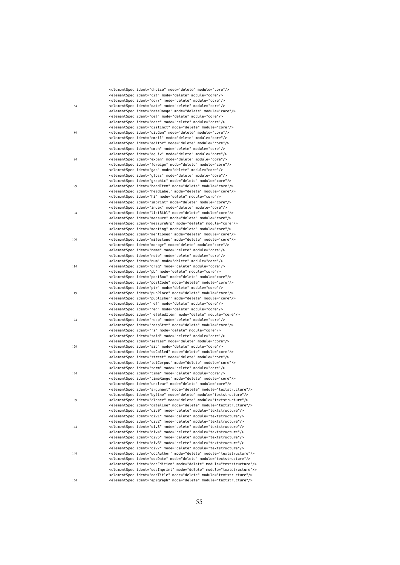|     | <elementspec ident="choice" mode="delete" module="core"></elementspec>                                                                                               |
|-----|----------------------------------------------------------------------------------------------------------------------------------------------------------------------|
|     | <elementspec ident="cit" mode="delete" module="core"></elementspec>                                                                                                  |
|     | <elementspec ident="corr" mode="delete" module="core"></elementspec>                                                                                                 |
| 84  | <elementspec ident="date" mode="delete" module="core"></elementspec>                                                                                                 |
|     | <elementspec ident="dateRange" mode="delete" module="core"></elementspec>                                                                                            |
|     | <elementspec ident="del" mode="delete" module="core"></elementspec>                                                                                                  |
|     | <elementspec ident="desc" mode="delete" module="core"></elementspec>                                                                                                 |
|     | <elementspec ident="distinct" mode="delete" module="core"></elementspec>                                                                                             |
| 89  | <elementspec ident="divGen" mode="delete" module="core"></elementspec>                                                                                               |
|     | <elementspec ident="email" mode="delete" module="core"></elementspec>                                                                                                |
|     | <elementspec ident="editor" mode="delete" module="core"></elementspec>                                                                                               |
|     | <elementspec ident="emph" mode="delete" module="core"></elementspec><br><elementspec ident="equiv" mode="delete" module="core"></elementspec>                        |
| 94  | <elementspec ident="expan" mode="delete" module="core"></elementspec>                                                                                                |
|     | <elementspec ident="foreign" mode="delete" module="core"></elementspec>                                                                                              |
|     | <elementspec ident="gap" mode="delete" module="core"></elementspec>                                                                                                  |
|     | <elementspec ident="gloss" mode="delete" module="core"></elementspec>                                                                                                |
|     | <elementspec ident="graphic" mode="delete" module="core"></elementspec>                                                                                              |
| 99  | <elementspec ident="headItem" mode="delete" module="core"></elementspec>                                                                                             |
|     | <elementspec ident="headLabel" mode="delete" module="core"></elementspec>                                                                                            |
|     | <elementspec ident="hi" mode="delete" module="core"></elementspec>                                                                                                   |
|     | <elementspec ident="imprint" mode="delete" module="core"></elementspec>                                                                                              |
|     | <elementspec ident="index" mode="delete" module="core"></elementspec>                                                                                                |
| 104 | <elementspec ident="listBibl" mode="delete" module="core"></elementspec>                                                                                             |
|     | <elementspec ident="measure" mode="delete" module="core"></elementspec>                                                                                              |
|     | <elementspec ident="measureGrp" mode="delete" module="core"></elementspec>                                                                                           |
|     | <elementspec ident="meeting" mode="delete" module="core"></elementspec>                                                                                              |
|     | <elementspec ident="mentioned" mode="delete" module="core"></elementspec>                                                                                            |
| 109 | <elementspec ident="milestone" mode="delete" module="core"></elementspec>                                                                                            |
|     | <elementspec ident="monogr" mode="delete" module="core"></elementspec><br><elementspec ident="name" mode="delete" module="core"></elementspec>                       |
|     | <elementspec ident="note" mode="delete" module="core"></elementspec>                                                                                                 |
|     | <elementspec ident="num" mode="delete" module="core"></elementspec>                                                                                                  |
| 114 | <elementspec ident="orig" mode="delete" module="core"></elementspec>                                                                                                 |
|     | <elementspec ident="pb" mode="delete" module="core"></elementspec>                                                                                                   |
|     | <elementspec ident="postBox" mode="delete" module="core"></elementspec>                                                                                              |
|     | <elementspec ident="postCode" mode="delete" module="core"></elementspec>                                                                                             |
|     | <elementspec ident="ptr" mode="delete" module="core"></elementspec>                                                                                                  |
| 119 | <elementspec ident="pubPlace" mode="delete" module="core"></elementspec>                                                                                             |
|     | <elementspec ident="publisher" mode="delete" module="core"></elementspec>                                                                                            |
|     | <elementspec ident="ref" mode="delete" module="core"></elementspec>                                                                                                  |
|     | <elementspec ident="reg" mode="delete" module="core"></elementspec>                                                                                                  |
|     | <elementspec ident="relatedItem" mode="delete" module="core"></elementspec>                                                                                          |
| 124 | <elementspec ident="resp" mode="delete" module="core"></elementspec>                                                                                                 |
|     | <elementspec ident="respStmt" mode="delete" module="core"></elementspec><br><elementspec ident="rs" mode="delete" module="core"></elementspec>                       |
|     | <elementspec ident="said" mode="delete" module="core"></elementspec>                                                                                                 |
|     | <elementspec ident="series" mode="delete" module="core"></elementspec>                                                                                               |
| 129 | <elementspec ident="sic" mode="delete" module="core"></elementspec>                                                                                                  |
|     | <elementspec ident="soCalled" mode="delete" module="core"></elementspec>                                                                                             |
|     | <elementspec ident="street" mode="delete" module="core"></elementspec>                                                                                               |
|     | <elementspec ident="teiCorpus" mode="delete" module="core"></elementspec>                                                                                            |
|     | <elementspec ident="term" mode="delete" module="core"></elementspec>                                                                                                 |
| 134 | <elementspec ident="time" mode="delete" module="core"></elementspec>                                                                                                 |
|     | <elementspec ident="timeRange" mode="delete" module="core"></elementspec>                                                                                            |
|     | <elementspec ident="unclear" mode="delete" module="core"></elementspec>                                                                                              |
|     | <elementspec ident="argument" mode="delete" module="textstructure"></elementspec>                                                                                    |
|     | <elementspec ident="byline" mode="delete" module="textstructure"></elementspec>                                                                                      |
| 139 | <elementspec ident="closer" mode="delete" module="textstructure"></elementspec><br><elementspec ident="dateline" mode="delete" module="textstructure"></elementspec> |
|     | <elementspec ident="div0" mode="delete" module="textstructure"></elementspec>                                                                                        |
|     | <elementspec ident="div1" mode="delete" module="textstructure"></elementspec>                                                                                        |
|     | <elementspec ident="div2" mode="delete" module="textstructure"></elementspec>                                                                                        |
| 144 | <elementspec ident="div3" mode="delete" module="textstructure"></elementspec>                                                                                        |
|     | <elementspec ident="div4" mode="delete" module="textstructure"></elementspec>                                                                                        |
|     | <elementspec ident="div5" mode="delete" module="textstructure"></elementspec>                                                                                        |
|     | <elementspec ident="div6" mode="delete" module="textstructure"></elementspec>                                                                                        |
|     | <elementspec ident="div7" mode="delete" module="textstructure"></elementspec>                                                                                        |
| 149 | <elementspec ident="docAuthor" mode="delete" module="textstructure"></elementspec>                                                                                   |
|     | <elementspec ident="docDate" mode="delete" module="textstructure"></elementspec>                                                                                     |
|     | <elementspec ident="docEdition" mode="delete" module="textstructure"></elementspec>                                                                                  |
|     | <elementspec ident="docImprint" mode="delete" module="textstructure"></elementspec>                                                                                  |
|     | <elementspec ident="docTitle" mode="delete" module="textstructure"></elementspec>                                                                                    |
| 154 | <elementspec ident="epigraph" mode="delete" module="textstructure"></elementspec>                                                                                    |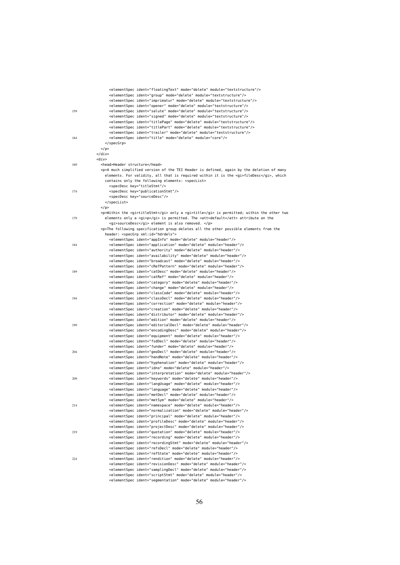|     | <elementspec ident="floatingText" mode="delete" module="textstructure"></elementspec>                                                                                  |
|-----|------------------------------------------------------------------------------------------------------------------------------------------------------------------------|
|     | <elementspec ident="group" mode="delete" module="textstructure"></elementspec><br><elementspec ident="imprimatur" mode="delete" module="textstructure"></elementspec>  |
|     | <elementspec ident="opener" mode="delete" module="textstructure"></elementspec>                                                                                        |
| 159 | <elementspec ident="salute" mode="delete" module="textstructure"></elementspec>                                                                                        |
|     | <elementspec ident="signed" mode="delete" module="textstructure"></elementspec>                                                                                        |
|     | <elementspec ident="titlePage" mode="delete" module="textstructure"></elementspec>                                                                                     |
|     | <elementspec ident="titlePart" mode="delete" module="textstructure"></elementspec><br><elementspec ident="trailer" mode="delete" module="textstructure"></elementspec> |
| 164 | <elementspec ident="title" mode="delete" module="core"></elementspec>                                                                                                  |
|     |                                                                                                                                                                        |
|     | $<$ /p>                                                                                                                                                                |
|     | $<$ /div>                                                                                                                                                              |
|     | <div></div>                                                                                                                                                            |
| 169 | <head>Header structure</head><br><p>A much simplified version of the TEI Header is defined, again by the deletion of many</p>                                          |
|     | elements. For validity, all that is required within it is the <gi>fileDesc</gi> , which                                                                                |
|     | contains only the following elements: <speclist></speclist>                                                                                                            |
|     | <specdesc key="titleStmt"></specdesc>                                                                                                                                  |
| 174 | <specdesc key="publicationStmt"></specdesc>                                                                                                                            |
|     | <specdesc key="sourceDesc"></specdesc>                                                                                                                                 |
|     | <br>$<$ /p>                                                                                                                                                            |
|     | <p>Within the <gi>titleStmt</gi> only a <gi>title</gi> is permitted; within the other two</p>                                                                          |
| 179 | elements only a <gi>p</gi> is permitted. The <att>default</att> attribute on the                                                                                       |
|     | <gi>sourceDesc</gi> element is also removed.                                                                                                                           |
|     | <p>The following specification group deletes all the other possible elements from the</p>                                                                              |
|     | header: <specgrp xml:id="hdrdels"><br/><elementspec ident="appInfo" mode="delete" module="header"></elementspec></specgrp>                                             |
| 184 | <elementspec ident="application" mode="delete" module="header"></elementspec>                                                                                          |
|     | <elementspec ident="authority" mode="delete" module="header"></elementspec>                                                                                            |
|     | <elementspec ident="availability" mode="delete" module="header"></elementspec>                                                                                         |
|     | <elementspec ident="broadcast" mode="delete" module="header"></elementspec>                                                                                            |
|     | <elementspec ident="cRefPattern" mode="delete" module="header"></elementspec>                                                                                          |
| 189 | <elementspec ident="catDesc" mode="delete" module="header"></elementspec><br><elementspec ident="catRef" mode="delete" module="header"></elementspec>                  |
|     | <elementspec ident="category" mode="delete" module="header"></elementspec>                                                                                             |
|     | <elementspec ident="change" mode="delete" module="header"></elementspec>                                                                                               |
|     | <elementspec ident="classCode" mode="delete" module="header"></elementspec>                                                                                            |
| 194 | <elementspec ident="classDecl" mode="delete" module="header"></elementspec>                                                                                            |
|     | <elementspec ident="correction" mode="delete" module="header"></elementspec><br><elementspec ident="creation" mode="delete" module="header"></elementspec>             |
|     | <elementspec ident="distributor" mode="delete" module="header"></elementspec>                                                                                          |
|     | <elementspec ident="edition" mode="delete" module="header"></elementspec>                                                                                              |
| 199 | <elementspec ident="editorialDecl" mode="delete" module="header"></elementspec>                                                                                        |
|     | <elementspec ident="encodingDesc" mode="delete" module="header"></elementspec>                                                                                         |
|     | <elementspec ident="equipment" mode="delete" module="header"></elementspec>                                                                                            |
|     | <elementspec ident="fsdDecl" mode="delete" module="header"></elementspec><br><elementspec ident="funder" mode="delete" module="header"></elementspec>                  |
| 204 | <elementspec ident="geoDecl" mode="delete" module="header"></elementspec>                                                                                              |
|     | <elementspec ident="handNote" mode="delete" module="header"></elementspec>                                                                                             |
|     | <elementspec ident="hyphenation" mode="delete" module="header"></elementspec>                                                                                          |
|     | <elementspec ident="idno" mode="delete" module="header"></elementspec>                                                                                                 |
| 209 | <elementspec ident="interpretation" mode="delete" module="header"></elementspec><br><elementspec ident="keywords" mode="delete" module="header"></elementspec>         |
|     | <elementspec ident="langUsage" mode="delete" module="header"></elementspec>                                                                                            |
|     | <elementspec ident="language" mode="delete" module="header"></elementspec>                                                                                             |
|     | <elementspec ident="metDecl" mode="delete" module="header"></elementspec>                                                                                              |
|     | <elementspec ident="metSym" mode="delete" module="header"></elementspec>                                                                                               |
| 214 | <elementspec ident="namespace" mode="delete" module="header"></elementspec><br><elementspec ident="normalization" mode="delete" module="header"></elementspec>         |
|     | <elementspec ident="principal" mode="delete" module="header"></elementspec>                                                                                            |
|     | <elementspec ident="profileDesc" mode="delete" module="header"></elementspec>                                                                                          |
|     | <elementspec ident="projectDesc" mode="delete" module="header"></elementspec>                                                                                          |
| 219 | <elementspec ident="quotation" mode="delete" module="header"></elementspec>                                                                                            |
|     | <elementspec ident="recording" mode="delete" module="header"></elementspec>                                                                                            |
|     | <elementspec ident="recordingStmt" mode="delete" module="header"></elementspec><br><elementspec ident="refsDecl" mode="delete" module="header"></elementspec>          |
|     | <elementspec ident="refState" mode="delete" module="header"></elementspec>                                                                                             |
| 224 | <elementspec ident="rendition" mode="delete" module="header"></elementspec>                                                                                            |
|     | <elementspec ident="revisionDesc" mode="delete" module="header"></elementspec>                                                                                         |
|     | <elementspec ident="samplingDecl" mode="delete" module="header"></elementspec>                                                                                         |
|     | <elementspec ident="scriptStmt" mode="delete" module="header"></elementspec><br><elementspec ident="segmentation" mode="delete" module="header"></elementspec>         |
|     |                                                                                                                                                                        |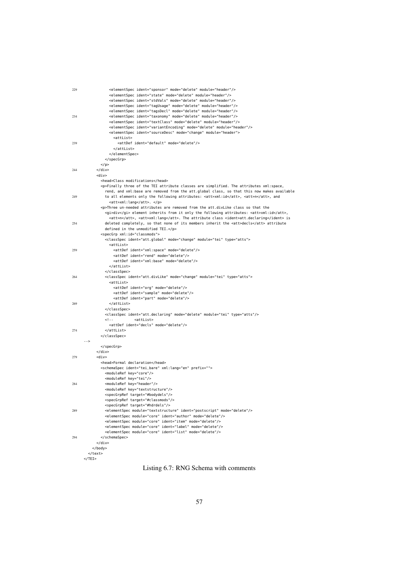| 229 | <elementspec ident="sponsor" mode="delete" module="header"></elementspec>                   |
|-----|---------------------------------------------------------------------------------------------|
|     | <elementspec ident="state" mode="delete" module="header"></elementspec>                     |
|     | <elementspec ident="stdVals" mode="delete" module="header"></elementspec>                   |
|     | <elementspec ident="tagUsage" mode="delete" module="header"></elementspec>                  |
|     | <elementspec ident="tagsDecl" mode="delete" module="header"></elementspec>                  |
| 234 | <elementspec ident="taxonomy" mode="delete" module="header"></elementspec>                  |
|     | <elementspec ident="textClass" mode="delete" module="header"></elementspec>                 |
|     | <elementspec ident="variantEncoding" mode="delete" module="header"></elementspec>           |
|     | <elementspec ident="sourceDesc" mode="change" module="header"></elementspec>                |
|     |                                                                                             |
|     | <attlist></attlist>                                                                         |
| 239 | <attdef ident="default" mode="delete"></attdef>                                             |
|     |                                                                                             |
|     |                                                                                             |
|     |                                                                                             |
|     | $<$ /p>                                                                                     |
| 244 | $\langle$ /div $\rangle$                                                                    |
|     | <div></div>                                                                                 |
|     | <head>Class modifications</head>                                                            |
|     | <p>Finally three of the TEI attribute classes are simplified. The attributes xml:space,</p> |
|     | rend, and xml:base are removed from the att.global class, so that this now makes available  |
| 249 | to all elements only the following attributes: <att>xml:id</att> , <att>n</att> , and       |
|     | <att>xml:lang</att> .                                                                       |
|     | <p>Three un-needed attributes are removed from the att.divLike class so that the</p>        |
|     | <gi>div</gi> element inherits from it only the following attributes: <att>xml:id</att> ,    |
|     | <att>n</att> , <att>xml:lang</att> . The attribute class <ident>att.declaring</ident> is    |
| 254 | deleted completely, so that none of its members inherit the <att>decls</att> attribute      |
|     |                                                                                             |
|     | defined in the unmodified TEI.                                                              |
|     | <specgrp xml:id="classmods"></specgrp>                                                      |
|     | <classspec ident="att.global" mode="change" module="tei" type="atts"></classspec>           |
|     | <attlist></attlist>                                                                         |
| 259 | <attdef ident="xml:space" mode="delete"></attdef>                                           |
|     | <attdef ident="rend" mode="delete"></attdef>                                                |
|     | <attdef ident="xml:base" mode="delete"></attdef>                                            |
|     |                                                                                             |
|     |                                                                                             |
| 264 | <classspec ident="att.divLike" mode="change" module="tei" type="atts"></classspec>          |
|     | <attlist></attlist>                                                                         |
|     | <attdef ident="org" mode="delete"></attdef>                                                 |
|     | <attdef ident="sample" mode="delete"></attdef>                                              |
|     | <attdef ident="part" mode="delete"></attdef>                                                |
| 269 |                                                                                             |
|     |                                                                                             |
|     |                                                                                             |
|     | <classspec ident="att.declaring" mode="delete" module="tei" type="atts"></classspec>        |
|     | $\leq$ ! - -<br><attlist></attlist>                                                         |
|     | <attdef ident="decls" mode="delete"></attdef>                                               |
| 274 |                                                                                             |
|     |                                                                                             |
|     | - ->                                                                                        |
|     |                                                                                             |
|     | $<$ /div>                                                                                   |
| 279 | <div></div>                                                                                 |
|     | <head>Formal declaration</head>                                                             |
|     | <schemaspec ident="tei_bare" prefix="" xml:lang="en"></schemaspec>                          |
|     | <moduleref key="core"></moduleref>                                                          |
|     | <moduleref key="tei"></moduleref>                                                           |
| 284 | <moduleref key="header"></moduleref>                                                        |
|     | <moduleref key="textstructure"></moduleref>                                                 |
|     | <specgrpref target="#bodydels"></specgrpref>                                                |
|     | <specgrpref target="#classmods"></specgrpref>                                               |
|     |                                                                                             |
|     | <specgrpref target="#hdrdels"></specgrpref>                                                 |
| 289 | <elementspec ident="postscript" mode="delete" module="textstructure"></elementspec>         |
|     | <elementspec ident="author" mode="delete" module="core"></elementspec>                      |
|     | <elementspec ident="item" mode="delete" module="core"></elementspec>                        |
|     | <elementspec ident="label" mode="delete" module="core"></elementspec>                       |
|     | <elementspec ident="list" mode="delete" module="core"></elementspec>                        |
| 294 |                                                                                             |
|     | $<$ /div>                                                                                   |
|     |                                                                                             |
|     |                                                                                             |
|     | $<$ /TEI>                                                                                   |
|     |                                                                                             |

Listing 6.7: RNG Schema with comments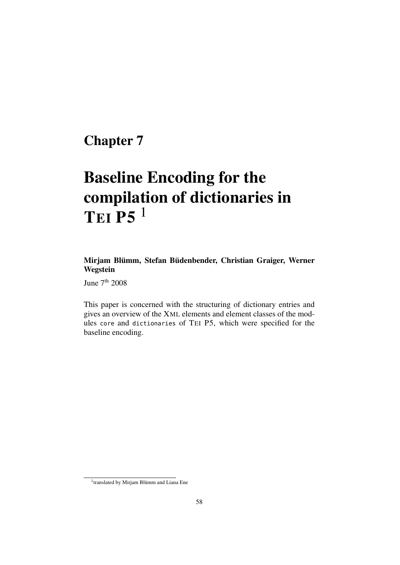## Chapter 7

# Baseline Encoding for the compilation of dictionaries in TEI P5<sup>1</sup>

## Mirjam Blümm, Stefan Büdenbender, Christian Graiger, Werner Wegstein

June 7<sup>th</sup> 2008

This paper is concerned with the structuring of dictionary entries and gives an overview of the XML elements and element classes of the modules core and dictionaries of TEI P5, which were specified for the baseline encoding.

<sup>&</sup>lt;sup>1</sup>translated by Mirjam Blümm and Liana Ene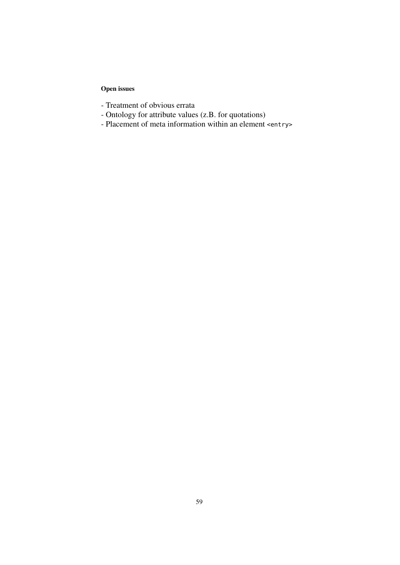## Open issues

- Treatment of obvious errata
- Ontology for attribute values (z.B. for quotations)
- Placement of meta information within an element <entry>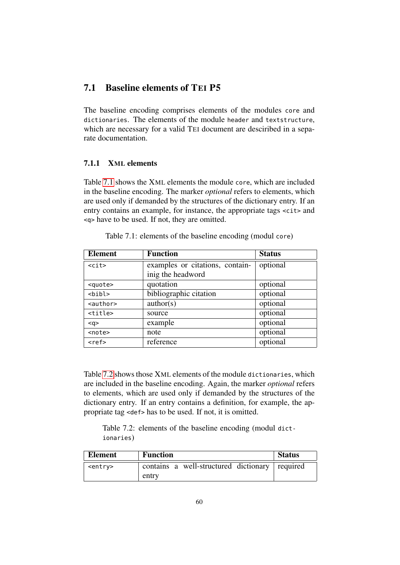## 7.1 Baseline elements of TEI P5

The baseline encoding comprises elements of the modules core and dictionaries. The elements of the module header and textstructure, which are necessary for a valid TEI document are desciribed in a separate documentation.

#### 7.1.1 XML elements

Table [7.1](#page-61-0) shows the XML elements the module core, which are included in the baseline encoding. The marker *optional* refers to elements, which are used only if demanded by the structures of the dictionary entry. If an entry contains an example, for instance, the appropriate tags <cit> and <q> have to be used. If not, they are omitted.

<span id="page-61-0"></span>

| <b>Element</b>    | <b>Function</b>                 | <b>Status</b> |
|-------------------|---------------------------------|---------------|
| $<$ cit $>$       | examples or citations, contain- | optional      |
|                   | inig the headword               |               |
| <quote></quote>   | quotation                       | optional      |
| <bibl></bibl>     | bibliographic citation          | optional      |
| <author></author> | $\text{author}(s)$              | optional      |
| <title></title>   | source                          | optional      |
| $q$               | example                         | optional      |
| <note></note>     | note                            | optional      |
| <ref></ref>       | reference                       | optional      |

Table 7.1: elements of the baseline encoding (modul core)

Table [7.2](#page-61-1) shows those XML elements of the module dictionaries, which are included in the baseline encoding. Again, the marker *optional* refers to elements, which are used only if demanded by the structures of the dictionary entry. If an entry contains a definition, for example, the appropriate tag <def> has to be used. If not, it is omitted.

<span id="page-61-1"></span>Table 7.2: elements of the baseline encoding (modul dictionaries)

| Element         | <b>Function</b>                                | <b>Status</b> |
|-----------------|------------------------------------------------|---------------|
| <entry></entry> | contains a well-structured dictionary required |               |
|                 | entry                                          |               |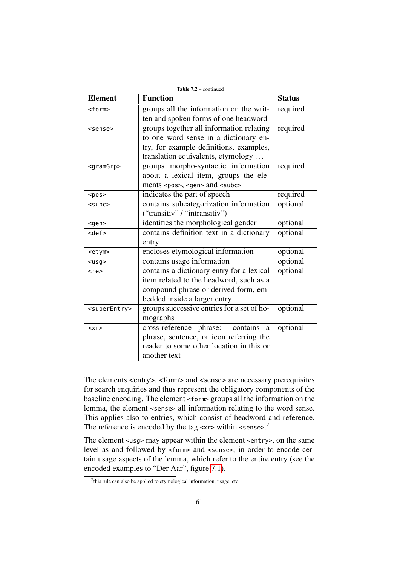| <b>Element</b>            | <b>Status</b>                                    |          |
|---------------------------|--------------------------------------------------|----------|
| <form></form>             | groups all the information on the writ-          |          |
|                           |                                                  |          |
| <sense></sense>           | groups together all information relating         | required |
|                           | to one word sense in a dictionary en-            |          |
|                           | try, for example definitions, examples,          |          |
|                           | translation equivalents, etymology               |          |
| <gramgrp></gramgrp>       | groups morpho-syntactic information              | required |
|                           | about a lexical item, groups the ele-            |          |
|                           | ments <pos>, <gen> and <subc></subc></gen></pos> |          |
| $<$ pos $>$               | indicates the part of speech                     | required |
| $subc$                    | contains subcategorization information           |          |
|                           | ("transitiv" / "intransitiv")                    |          |
| $<$ gen $>$               | identifies the morphological gender              | optional |
| <def></def>               | contains definition text in a dictionary         |          |
|                           | entry                                            |          |
| <etym></etym>             | encloses etymological information                |          |
| $usg$                     | contains usage information                       | optional |
| $<$ re>                   | contains a dictionary entry for a lexical        | optional |
|                           | item related to the headword, such as a          |          |
|                           | compound phrase or derived form, em-             |          |
|                           | bedded inside a larger entry                     |          |
| <superentry></superentry> | groups successive entries for a set of ho-       | optional |
|                           | mographs                                         |          |
| < x r                     | contains<br>cross-reference phrase:<br>a         | optional |
|                           | phrase, sentence, or icon referring the          |          |
|                           | reader to some other location in this or         |          |
|                           | another text                                     |          |

The elements <entry>, <form> and <sense> are necessary prerequisites for search enquiries and thus represent the obligatory components of the baseline encoding. The element <form> groups all the information on the lemma, the element <sense> all information relating to the word sense. This applies also to entries, which consist of headword and reference. The reference is encoded by the tag  $\langle x \rangle$  within  $\langle \text{sense} \rangle$ .

The element <usg> may appear within the element <entry>, on the same level as and followed by <form> and <sense>, in order to encode certain usage aspects of the lemma, which refer to the entire entry (see the encoded examples to "Der Aar", figure [7.1\)](#page-65-0).

<sup>&</sup>lt;sup>2</sup>this rule can also be applied to etymological information, usage, etc.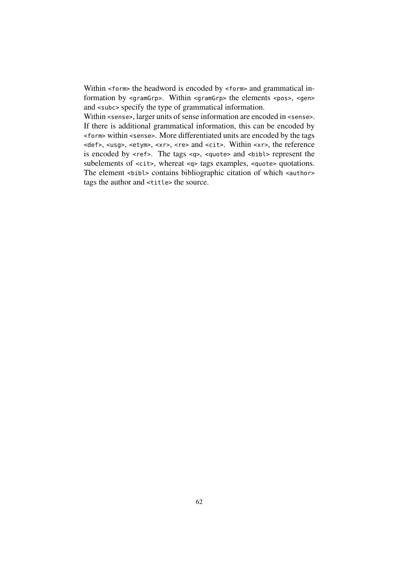Within <form> the headword is encoded by <form> and grammatical information by <gramGrp>. Within <gramGrp> the elements <pos>, <gen> and <subc> specify the type of grammatical information.

Within <sense>, larger units of sense information are encoded in <sense>. If there is additional grammatical information, this can be encoded by <form> within <sense>. More differentiated units are encoded by the tags <def>, <usg>, <etym>, <xr>, <re> and <cit>. Within <xr>, the reference is encoded by <ref>. The tags <q>, <quote> and <bibl> represent the subelements of <cit>, whereat <q> tags examples, <quote> quotations. The element <br/>shibliographic citation of which <author> tags the author and <title> the source.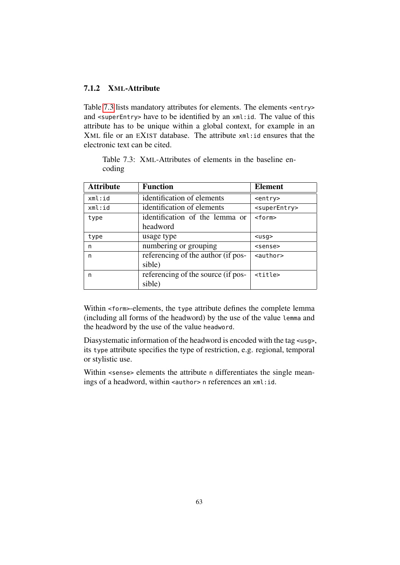#### 7.1.2 XML-Attribute

Table [7.3](#page-64-0) lists mandatory attributes for elements. The elements <entry> and <superEntry> have to be identified by an xml:id. The value of this attribute has to be unique within a global context, for example in an XML file or an EXIST database. The attribute xml:id ensures that the electronic text can be cited.

<span id="page-64-0"></span>Table 7.3: XML-Attributes of elements in the baseline encoding

| <b>Attribute</b> | <b>Function</b>                    | <b>Element</b>            |
|------------------|------------------------------------|---------------------------|
| xml:id           | identification of elements         | $<$ entry>                |
| xml:id           | identification of elements         | <superentry></superentry> |
| type             | identification of the lemma or     | <form></form>             |
|                  | headword                           |                           |
| type             | usage type                         | $usq$                     |
| n                | numbering or grouping              | <sense></sense>           |
| n                | referencing of the author (if pos- | $\alpha$ -author          |
|                  | sible)                             |                           |
| n                | referencing of the source (if pos- | $<$ title $>$             |
|                  | sible)                             |                           |

Within <form>-elements, the type attribute defines the complete lemma (including all forms of the headword) by the use of the value lemma and the headword by the use of the value headword.

Diasystematic information of the headword is encoded with the tag <usg>, its type attribute specifies the type of restriction, e.g. regional, temporal or stylistic use.

Within <sense> elements the attribute n differentiates the single meanings of a headword, within <author> n references an xml:id.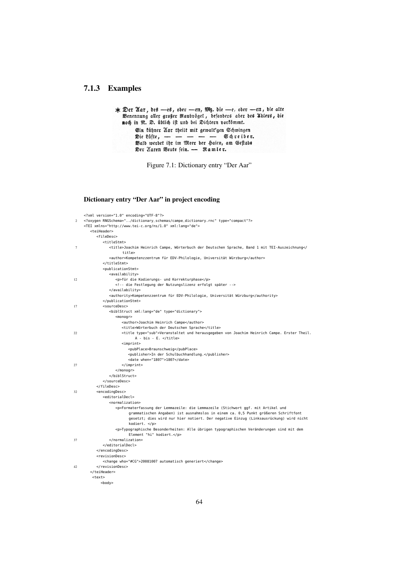#### 7.1.3 Examples

```
* Der Nar, des —es, ober —en, M3. die —e, ober —en, die alte<br>Benennung aller großer Raubvôgel, befonders aber des Ablers, die<br>noch in R. D. úblich ift und bei Dichtern vorfömmt.
              Ein kühner Nar theilt mit gewalt'gen Schwingen
              Die Lufte, - - - - - Schreiber.<br>Bald werdet ihr im Meer der haien, am Geftabe
              Der Zaren Beute fein. - Ramler.
```
<span id="page-65-0"></span>Figure 7.1: Dictionary entry "Der Aar"

#### Dictionary entry "Der Aar" in project encoding

|        | xml version="1.0" encoding="UTF-8"?                                                                             |
|--------|-----------------------------------------------------------------------------------------------------------------|
| 2      | oxygen RNGSchema="/dictionary_schemas/campe_dictionary.rnc" type="compact"?                                     |
|        | <tei xml:lang="de" xmlns="http://www.tei-c.org/ns/1.0"></tei>                                                   |
|        | <teiheader></teiheader>                                                                                         |
|        | <filedesc></filedesc>                                                                                           |
|        | <titlestmt></titlestmt>                                                                                         |
| $\tau$ | <title>Joachim Heinrich Campe, Wörterbuch der Deutschen Sprache, Band 1 mit TEI-Auszeichnung<!--</td--></title> |
|        | title>                                                                                                          |
|        | <author>Kompetenzzentrum für EDV-Philologie, Universität Würzburg</author>                                      |
|        |                                                                                                                 |
|        | <publicationstmt></publicationstmt>                                                                             |
|        | <availability></availability>                                                                                   |
| 12     | <p>für die Kodierungs- und Korrekturphase</p>                                                                   |
|        | die Festlegung der Nutzungslizenz erfolgt später                                                                |
|        |                                                                                                                 |
|        | <authority>Kompetenzzentrum für EDV-Philologie, Universität Würzburg</authority>                                |
|        |                                                                                                                 |
|        | <sourcedesc></sourcedesc>                                                                                       |
| 17     | <biblstruct type="dictionary" xml:lang="de"></biblstruct>                                                       |
|        |                                                                                                                 |
|        | $monogr$                                                                                                        |
|        | <author>Joachim Heinrich Campe</author>                                                                         |
|        | <title>Wörterbuch der Deutschen Sprache</title>                                                                 |
| 22     | <title type="sub">Veranstaltet und herausgegeben von Joachim Heinrich Campe. Erster Theil.</title>              |
|        | A - bis - E.                                                                                                    |
|        | <imprint></imprint>                                                                                             |
|        | <pubplace>Braunschweig</pubplace>                                                                               |
|        | <publisher>In der Schulbuchhandlung.</publisher>                                                                |
|        | <date when="1807">1807</date>                                                                                   |
| 27     |                                                                                                                 |
|        | $<$ /monogr>                                                                                                    |
|        |                                                                                                                 |
|        |                                                                                                                 |
|        |                                                                                                                 |
| 32     | <encodingdesc></encodingdesc>                                                                                   |
|        | <editorialdecl></editorialdecl>                                                                                 |
|        | <normalization></normalization>                                                                                 |
|        | <p>Formaterfassung der Lemmazeile: die Lemmazeile (Stichwort ggf. mit Artikel und</p>                           |
|        | grammatischen Angaben) ist ausnahmslos in einem ca. 0,5 Punkt größeren Schriftfont                              |
|        | gesetzt; dies wird nur hier notiert. Der negative Einzug (Linksausrückung) wird nicht                           |
|        | kodiert.                                                                                                        |
|        | <p>Typographische Besonderheiten: Alle übrigen typographischen Veränderungen sind mit dem</p>                   |
|        | Element "hi" kodiert.                                                                                           |
| 37     |                                                                                                                 |
|        |                                                                                                                 |
|        |                                                                                                                 |
|        | <revisiondesc></revisiondesc>                                                                                   |
|        | <change who="#CG">20081007 automatisch generiert</change>                                                       |
| 42     |                                                                                                                 |
|        |                                                                                                                 |
|        | <text></text>                                                                                                   |
|        | <body></body>                                                                                                   |
|        |                                                                                                                 |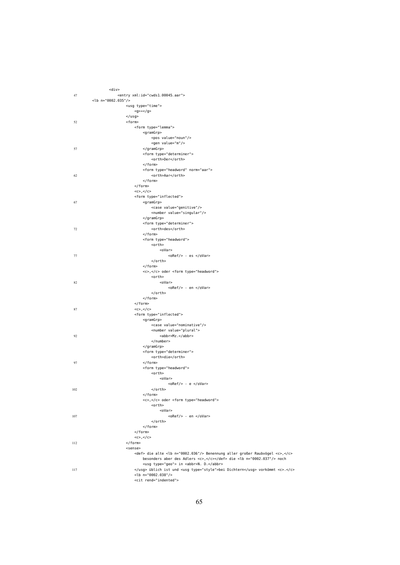|     | $<$ div $>$                                                                           |
|-----|---------------------------------------------------------------------------------------|
| 47  | <entry xml:id="cwds1_00045_aar"></entry>                                              |
|     | <lb n="0002.035"></lb>                                                                |
|     | <usg type="time"></usg>                                                               |
|     | $*/g>$                                                                                |
|     | $<$ /usg>                                                                             |
| 52  | <form></form>                                                                         |
|     | <form type="lemma"></form>                                                            |
|     | <gramgrp></gramgrp>                                                                   |
|     | <pos value="noun"></pos>                                                              |
|     | <gen value="m"></gen>                                                                 |
| 57  |                                                                                       |
|     | <form type="determiner"></form>                                                       |
|     | <orth>Der</orth>                                                                      |
|     | $<$ /form>                                                                            |
|     | <form norm="aar" type="headword"></form>                                              |
| 62  | <orth>Aar</orth>                                                                      |
|     | $<$ /form>                                                                            |
|     | $<$ /form>                                                                            |
|     | $<<$ $<<$ $<<$ $<<$ $<<$                                                              |
|     | <form type="inflected"></form>                                                        |
|     |                                                                                       |
| 67  | <gramgrp></gramgrp>                                                                   |
|     | <case value="genitive"></case>                                                        |
|     | <number value="singular"></number>                                                    |
|     |                                                                                       |
|     | <form type="determiner"></form>                                                       |
| 72  | <orth>des</orth>                                                                      |
|     | $<$ /form>                                                                            |
|     | <form type="headword"></form>                                                         |
|     | <orth></orth>                                                                         |
|     | <ovar></ovar>                                                                         |
| 77  | $<$ o $Ref$ /> - es $<$ /oVar>                                                        |
|     |                                                                                       |
|     | $<$ /form>                                                                            |
|     | <c>,</c> oder <form type="headword"></form>                                           |
|     | <orth></orth>                                                                         |
| 82  | <ovar></ovar>                                                                         |
|     | <oref></oref> - en                                                                    |
|     |                                                                                       |
|     | $<$ /form>                                                                            |
|     | $<$ /form>                                                                            |
| 87  | $<<$ $<<$ $<<$ $<<$ $<<$                                                              |
|     | <form type="inflected"></form>                                                        |
|     | <gramgrp></gramgrp>                                                                   |
|     | <case value="nominative"></case>                                                      |
|     | <number value="plural"></number>                                                      |
| 92  | <abbr>Mz.</abbr>                                                                      |
|     | $number>$                                                                             |
|     |                                                                                       |
|     | <form type="determiner"></form>                                                       |
|     | <orth>die</orth>                                                                      |
| 97  | $<$ /form>                                                                            |
|     | <form type="headword"></form>                                                         |
|     | <orth></orth>                                                                         |
|     | <ovar></ovar>                                                                         |
|     | $<$ o $Ref$ /> - e $<$ /o $Var$ >                                                     |
| 102 |                                                                                       |
|     |                                                                                       |
|     | <c>,</c> oder <form type="headword"></form>                                           |
|     | <orth></orth>                                                                         |
|     | <ovar></ovar>                                                                         |
| 107 | <oref></oref> - en                                                                    |
|     |                                                                                       |
|     | $<$ /form>                                                                            |
|     | $<$ /form>                                                                            |
|     | < c > c < c >                                                                         |
| 112 |                                                                                       |
|     | <sense></sense>                                                                       |
|     | <def> die alte <lb n="0002.036"></lb> Benennung aller großer Raubvögel <c>,</c></def> |
|     | besonders aber des Adlers <c>,</c> die <lb n="0002.037"></lb> noch                    |
|     | <usg type="geo"> in <abbr>N. D.</abbr></usg>                                          |
| 117 | üblich ist und <usg type="style">bei Dichtern</usg> vorkömmt <c>.</c>                 |
|     | $<$ lb n="0002.038"/>                                                                 |
|     | <cit rend="indented"></cit>                                                           |
|     |                                                                                       |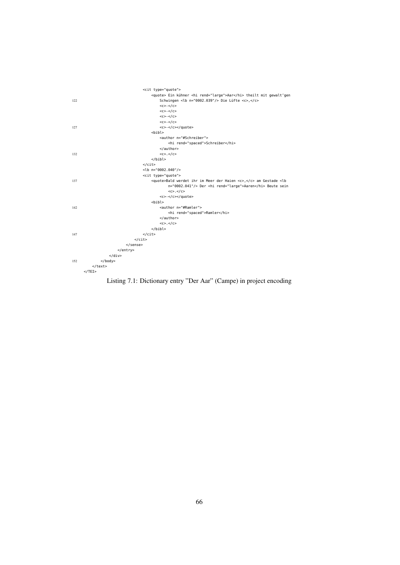

Listing 7.1: Dictionary entry "Der Aar" (Campe) in project encoding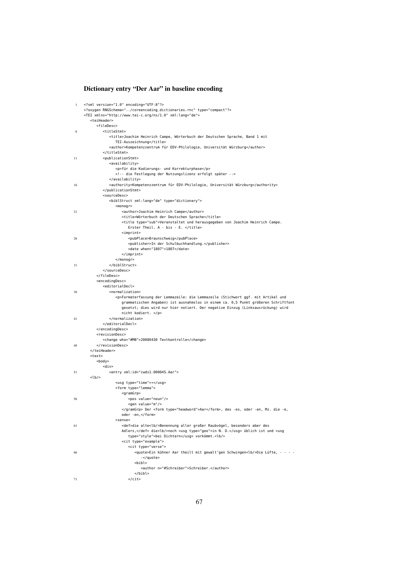#### Dictionary entry "Der Aar" in baseline encoding

```
1 <?xml version="1.0" encoding="UTF-8"?>
     <?oxygen RNGSchema="../coreencoding_dictionaries.rnc" type="compact"?>
     <TEI xmlns="http://www.tei-c.org/ns/1.0" xml:lang="de">
        <teiHeader>
          <fileDesc>
6 <titleStmt>
                 <title>Joachim Heinrich Campe, Wörterbuch der Deutschen Sprache, Band 1 mit
                   TEI-Auszeichnung</title>
                 <author>Kompetenzzentrum für EDV-Philologie, Universität Würzburg</author>
              </titleStmt>
11 <publicationStmt>
                 <availability>
                    <p>für die Kodierungs- und Korrekturphase</p>
                    <!-- die Festlegung der Nutzungslizenz erfolgt später -->
                 </availability>
16 <authority>Kompetenzzentrum für EDV-Philologie, Universität Würzburg</authority>
              </publicationStmt>
              <sourceDesc>
                 <biblStruct xml:lang="de" type="dictionary">
                    <monogr>
21 <author>Joachim Heinrich Campe</author>
                       <title>Wörterbuch der Deutschen Sprache</title>
                       <title type="sub">Veranstaltet und herausgegeben von Joachim Heinrich Campe.
                         Erster Theil. A - bis - E. </title>
                       <imprint>
26 <pubPlace>Braunschweig</pubPlace>
                          <publisher>In der Schulbuchhandlung.</publisher>
                          <date when="1807">1807</date>
                       </imprint>
                    </monogr>
\frac{31}{2} \frac{1}{2} \frac{1}{2} \frac{1}{2} \frac{1}{2} \frac{1}{2} \frac{1}{2} \frac{1}{2} \frac{1}{2} \frac{1}{2} \frac{1}{2} \frac{1}{2} \frac{1}{2} \frac{1}{2} \frac{1}{2} \frac{1}{2} \frac{1}{2} \frac{1}{2} \frac{1}{2} \frac{1}{2} \frac{1}{2} \frac{1}{2} 
              </sourceDesc>
          </fileDesc>
          <encodingDesc>
              <editorialDecl>
36 <normalization>
                    <p>Formaterfassung der Lemmazeile: die Lemmazeile (Stichwort ggf. mit Artikel und
                       grammatischen Angaben) ist ausnahmslos in einem ca. 0,5 Punkt größeren Schriftfont
                       gesetzt; dies wird nur hier notiert. Der negative Einzug (Linksausrückung) wird
                       nicht kodiert. </p>
41 </normalization>
              </editorialDecl>
          </encodingDesc>
          <revisionDesc>
             <change who="#MB">20080430 Textkontrolle</change>
46 </revisionDesc>
        </teiHeader>
        <text>
          <body>
              <div>
51 <entry xml:id="cwds1_000045_Aar">
        <lb/>
                    <usg type="time">*</usg>
                   <form type="lemma">
                       <gramGrp>
56 <pos value="noun"/>
                          <gen value="m"/>
                       </gramGrp> Der <form type="headword">Aar</form>, des -es, oder -en, Mz. die -e,
                       oder -en,</form>
                    <sense>
61 <def>die alte<lb/>Benennung aller großer Raubvögel, besonders aber des
                       Adlers,</def> die<lb/>noch <usg type="geo">in N. D.</usg> üblich ist und <usg
                          type="style">bei Dichtern</usg> vorkömmt.<lb/>
                       <cit type="example">
                          <cit type="verse">
66 <quote>Ein kühner Aar theilt mit gewalt'gen Schwingen<lb/>Die Lüfte, - - - -
                                -</quote>
                             <hibl>
                                <author n="#Schreiber">Schreiber.</author>
                             </bibl>
71 </cit>
```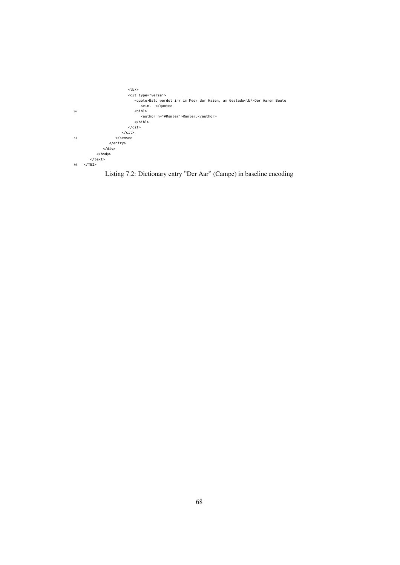

## Listing 7.2: Dictionary entry "Der Aar" (Campe) in baseline encoding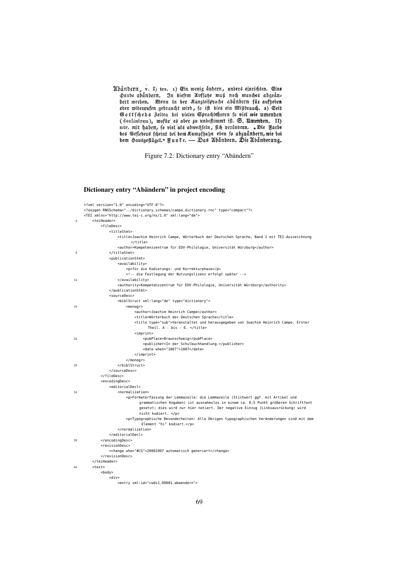Abåndern, v. I) trs. 1) Ein wenig anbern, anbers einrichten. Eine Haube abandern. In diefem Auffate muß noch manches abgeånzbert werden. Wenn in der Kanzleisprache abandern für aufheben ober widerrufen gebraucht wird, fo i Gottfchebs Zeiten bei vielen Sprachlehrern fo viel wie umenden (decliniren), wofur es aber zu unbestimmt ift. S. Umenden. II) ntr. mit haben, fo viel als abwechsein, fich verändern. "Die Farbe bes Geflebers fcheint bei bem Rampfhahn eben fo abzugnbern, wie bei bem Sausgeflüget. Funte. - Das Abandern. Die Abanberung.

Figure 7.2: Dictionary entry "Abändern"

#### Dictionary entry "Abändern" in project encoding

|                | xml version="1.0" encoding="UTF-8"?                                                                  |
|----------------|------------------------------------------------------------------------------------------------------|
|                | oxygen RNGSchema="/dictionary_schemas/campe_dictionary.rnc" type="compact"?                          |
|                | <tei xml:lang="de" xmlns="http://www.tei-c.org/ns/1.0"></tei>                                        |
| $\overline{4}$ | <teiheader></teiheader>                                                                              |
|                | <filedesc></filedesc>                                                                                |
|                | <titlestmt></titlestmt>                                                                              |
|                | <title>Joachim Heinrich Campe, Wörterbuch der Deutschen Sprache, Band 1 mit TEI-Auszeichnung</title> |
|                | $<$ /title>                                                                                          |
|                | <author>Kompetenzzentrum für EDV-Philologie, Universität Würzburg</author>                           |
| 9              |                                                                                                      |
|                | <publicationstmt></publicationstmt>                                                                  |
|                | <availability></availability>                                                                        |
|                | <p>für die Kodierungs- und Korrekturphase</p>                                                        |
|                | die Festlegung der Nutzungslizenz erfolgt später                                                     |
| 14             |                                                                                                      |
|                | <authority>Kompetenzzentrum für EDV-Philologie, Universität Würzburg</authority>                     |
|                |                                                                                                      |
|                | <sourcedesc></sourcedesc>                                                                            |
|                |                                                                                                      |
|                | <biblstruct type="dictionary" xml:lang="de"></biblstruct>                                            |
| 19             | $monogr$                                                                                             |
|                | <author>Joachim Heinrich Campe</author>                                                              |
|                | <title>Wörterbuch der Deutschen Sprache</title>                                                      |
|                | <title type="sub">Veranstaltet und herausgegeben von Joachim Heinrich Campe. Erster</title>          |
|                | Theil. A - bis - E.                                                                                  |
|                | $import$                                                                                             |
| 24             | <pubplace>Braunschweig</pubplace>                                                                    |
|                | <publisher>In der Schulbuchhandlung.</publisher>                                                     |
|                | <date when="1807">1807</date>                                                                        |
|                |                                                                                                      |
|                | $<$ /monogr>                                                                                         |
| 29             |                                                                                                      |
|                |                                                                                                      |
|                |                                                                                                      |
|                | <encodingdesc></encodingdesc>                                                                        |
|                | <editorialdecl></editorialdecl>                                                                      |
| 34             | <normalization></normalization>                                                                      |
|                | <p>Formaterfassung der Lemmazeile: die Lemmazeile (Stichwort ggf. mit Artikel und</p>                |
|                | grammatischen Angaben) ist ausnahmslos in einem ca. 0,5 Punkt größeren Schriftfont                   |
|                | gesetzt; dies wird nur hier notiert. Der negative Einzug (Linksausrückung) wird                      |
|                | nicht kodiert.                                                                                       |
|                | <p>Typographische Besonderheiten: Alle Übrigen typographischen Veränderungen sind mit dem</p>        |
|                | Element "hi" kodiert.                                                                                |
|                |                                                                                                      |
|                |                                                                                                      |
| 39             |                                                                                                      |
|                | <revisiondesc></revisiondesc>                                                                        |
|                | <change who="#CG">20081007 automatisch generiert</change>                                            |
|                |                                                                                                      |
|                |                                                                                                      |
| 44             | <text></text>                                                                                        |
|                | <body></body>                                                                                        |
|                | $<$ div $>$                                                                                          |
|                | <entry xml:id="cwds1_00081_abaendern"></entry>                                                       |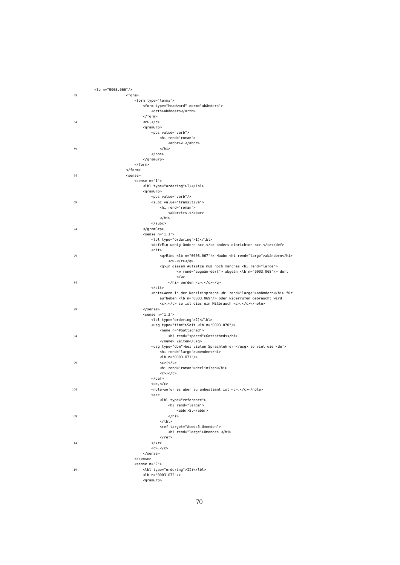|     | <lb n="0003.066"></lb>                                                     |
|-----|----------------------------------------------------------------------------|
| 49  | <form></form>                                                              |
|     | <form type="lemma"></form>                                                 |
|     | <form norm="abändern" type="headword"></form>                              |
|     | <orth>Abändern</orth>                                                      |
|     | $<$ /form>                                                                 |
| 54  | $<<$ $<<$ $<<$ $<<$                                                        |
|     | $<$ gram $G$ rp><br><pos value="verb"></pos>                               |
|     | <hi rend="roman"></hi>                                                     |
|     | <abbr>v.</abbr>                                                            |
| 59  | $\langle$ hi>                                                              |
|     | $<$ /pos>                                                                  |
|     |                                                                            |
|     | $<$ /form>                                                                 |
|     |                                                                            |
| 64  | <sense></sense>                                                            |
|     | <sense n="1"></sense>                                                      |
|     | <lbl type="ordering">I)</lbl>                                              |
|     | <gramgrp></gramgrp>                                                        |
|     | <pos value="verb"></pos>                                                   |
| 69  | <subc value="transitive"><br/><hi rend="roman"></hi></subc>                |
|     | <abbr>trs.</abbr>                                                          |
|     | $\langle$ hi>                                                              |
|     | $<$ /subc>                                                                 |
| 74  |                                                                            |
|     | <sense <math="">n="1.1"</sense>                                            |
|     | <lbl type="ordering">1)</lbl>                                              |
|     | <def>Ein wenig ändern <c>,</c> anders einrichten <c>.</c></def>            |
|     | <cit></cit>                                                                |
| 79  | <q>Eine <lb n="0003.067"></lb> Haube <hi rend="large">abändern</hi></q>    |
|     | $<<$ $<<$ $/<$ $<<$ $/$ $Q>$                                               |
|     | <q>In diesem Aufsatze muß noch manches <hi rend="large"></hi></q>          |
|     | <w rend="abgeän-dert"> abgeän <lb n="0003.068"></lb> dert</w>              |
| 84  | $<$ /w><br>werden <c>.</c>                                                 |
|     | $\langle$ cit>                                                             |
|     | <note>Wenn in der Kanzleisprache <hi rend="large">abändern</hi> für</note> |
|     | aufheben <lb n="0003.069"></lb> oder widerrufen gebraucht wird             |
|     | <c>,</c> so ist dies ein Mißbrauch <c>.</c>                                |
| 89  |                                                                            |
|     | $<$ sense n="1.2">                                                         |
|     | <lbl type="ordering">2)</lbl>                                              |
|     | <usg type="time">Seit <lb n="0003.070"></lb></usg>                         |
|     | <name n="#Gottsched"></name>                                               |
| 94  | <hi rend="spaced">Gottscheds</hi><br>Zeiten                                |
|     | <usg type="dom">bei vielen Sprachlehrern</usg> so viel wie <def></def>     |
|     | <hi rend="large">umenden</hi>                                              |
|     | <lb n="0003.071"></lb>                                                     |
| 99  | <<>/ <sub>C</sub>                                                          |
|     | <hi rend="roman">decliniren</hi>                                           |
|     | $<<$ $<<$ $<<$ $<<$ $<<$                                                   |
|     | $<$ /def>                                                                  |
|     | < c > c < c >                                                              |
| 104 | <note>wofür es aber zu unbestimmt ist <c>.</c></note>                      |
|     | < x r<br><lbl type="reference"></lbl>                                      |
|     | <hi rend="large"></hi>                                                     |
|     | <abbr>S.</abbr>                                                            |
| 109 | $\frac{2}{h}$                                                              |
|     | $<$ /lbl>                                                                  |
|     | <ref target="#cwds5_Umenden"></ref>                                        |
|     | <hi rend="large">Umenden </hi>                                             |
|     | $<$ / $ref$ >                                                              |
| 114 | $r>$                                                                       |
|     | $<<$ $<<$ $/<$ $<$ $<<$                                                    |
|     |                                                                            |
|     |                                                                            |
|     | <sense n="2"></sense>                                                      |
| 119 | <lbl type="ordering">II)</lbl><br><lb n="0003.072"></lb>                   |
|     | <gramgrp></gramgrp>                                                        |
|     |                                                                            |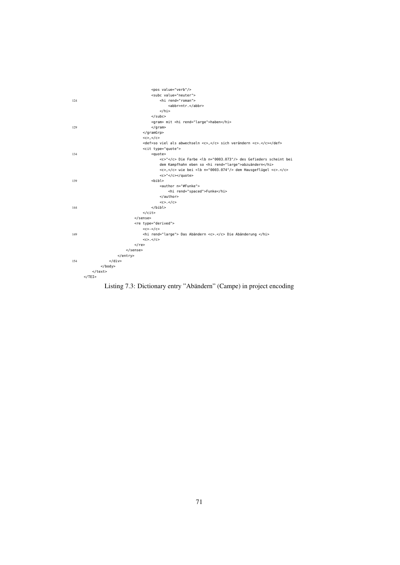

Listing 7.3: Dictionary entry "Abändern" (Campe) in project encoding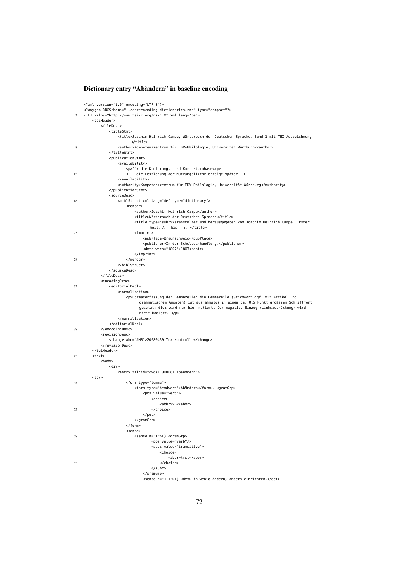## Dictionary entry "Abändern" in baseline encoding

|    | xml version="1.0" encoding="UTF-8"?                                                                       |
|----|-----------------------------------------------------------------------------------------------------------|
|    | oxygen RNGSchema="/coreencoding_dictionaries.rnc" type="compact"?                                         |
| 3  | <tei xml:lang="de" xmlns="http://www.tei-c.org/ns/1.0"></tei>                                             |
|    | <teiheader></teiheader>                                                                                   |
|    | <filedesc></filedesc>                                                                                     |
|    | <titlestmt></titlestmt>                                                                                   |
|    | <title>Joachim Heinrich Campe, Wörterbuch der Deutschen Sprache, Band 1 mit TEI-Auszeichnung<br/></title> |
| 8  | <author>Kompetenzzentrum für EDV-Philologie, Universität Würzburg</author>                                |
|    |                                                                                                           |
|    | <publicationstmt></publicationstmt>                                                                       |
|    | <availability></availability>                                                                             |
|    | <p>für die Kodierungs- und Korrekturphase</p>                                                             |
| 13 | die Festlegung der Nutzungslizenz erfolgt später                                                          |
|    |                                                                                                           |
|    | <authority>Kompetenzzentrum für EDV-Philologie, Universität Würzburg</authority>                          |
|    |                                                                                                           |
|    | <sourcedesc></sourcedesc>                                                                                 |
| 18 | <biblstruct type="dictionary" xml:lang="de"></biblstruct>                                                 |
|    | $monogr$                                                                                                  |
|    | <author>Joachim Heinrich Campe</author>                                                                   |
|    | <title>Wörterbuch der Deutschen Sprache</title>                                                           |
|    | <title type="sub">Veranstaltet und herausgegeben von Joachim Heinrich Campe. Erster</title>               |
|    | Theil. A - bis - E.                                                                                       |
| 23 | <imprint></imprint>                                                                                       |
|    | <pubplace>Braunschweig</pubplace>                                                                         |
|    | <publisher>In der Schulbuchhandlung.</publisher>                                                          |
|    | <date when="1807">1807</date>                                                                             |
|    | $<$ /imprint>                                                                                             |
| 28 | $<$ /monogr>                                                                                              |
|    |                                                                                                           |
|    |                                                                                                           |
|    |                                                                                                           |
|    | <encodingdesc><br/><editorialdecl></editorialdecl></encodingdesc>                                         |
| 33 | <normalization></normalization>                                                                           |
|    | <p>Formaterfassung der Lemmazeile: die Lemmazeile (Stichwort ggf. mit Artikel und</p>                     |
|    | grammatischen Angaben) ist ausnahmslos in einem ca. 0,5 Punkt größeren Schriftfont                        |
|    | gesetzt; dies wird nur hier notiert. Der negative Einzug (Linksausrückung) wird<br>nicht kodiert.         |
|    |                                                                                                           |
|    |                                                                                                           |
| 38 |                                                                                                           |
|    | <revisiondesc></revisiondesc>                                                                             |
|    | <change who="#MB">20080430 Textkontrolle</change>                                                         |
|    |                                                                                                           |
|    |                                                                                                           |
| 43 | <text></text>                                                                                             |
|    | <body></body>                                                                                             |
|    | $<$ div>                                                                                                  |
|    | <entry xml:id="cwds1_000081_Abaendern"></entry>                                                           |
|    | <lb></lb>                                                                                                 |
| 48 | <form type="lemma"></form>                                                                                |
|    | <form type="headword">Abändern</form> , <gramgrp></gramgrp>                                               |
|    | <pos value="verb"></pos>                                                                                  |
|    | <choice></choice>                                                                                         |
|    | <abbr>v.</abbr>                                                                                           |
| 53 |                                                                                                           |
|    | $<$ /pos>                                                                                                 |
|    |                                                                                                           |
|    | $<$ /form>                                                                                                |
| 58 | <sense></sense>                                                                                           |
|    | <sense n="1">I) <gramgrp><br/><pos value="verb"></pos></gramgrp></sense>                                  |
|    | <subc value="transitive"></subc>                                                                          |
|    | <choice></choice>                                                                                         |
|    | <abbr>trs.</abbr>                                                                                         |
| 63 |                                                                                                           |
|    |                                                                                                           |
|    |                                                                                                           |
|    | $<$ /subc><br>                                                                                            |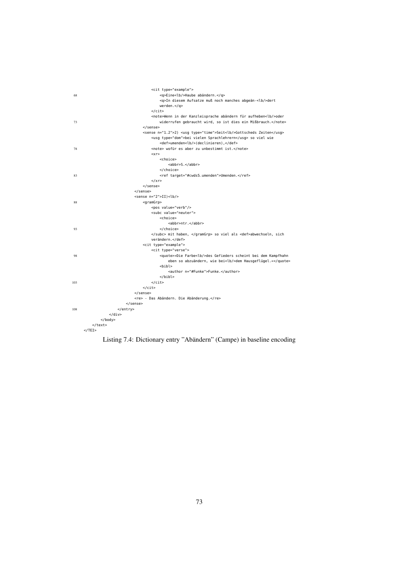|     | <cit type="example"></cit>                                                      |
|-----|---------------------------------------------------------------------------------|
| 68  | <q>Eine<lb></lb>&gt;b/&gt;Haube abändern.</q>                                   |
|     | <q>In diesem Aufsatze muß noch manches abgeän-<lb></lb>dert</q>                 |
|     | werden. $<$ /q>                                                                 |
|     | $\langle$ /cit>                                                                 |
|     | <note>Wenn in der Kanzleisprache abändern für aufheben<lb></lb>&gt;boder</note> |
| 73  | widerrufen gebraucht wird, so ist dies ein Mißbrauch.                           |
|     |                                                                                 |
|     | <sense n="1.2">2) <usg type="time">Seit<lb></lb>Sottscheds Zeiten</usg></sense> |
|     | <usg type="dom">bei vielen Sprachlehrern</usg> so viel wie                      |
|     | <def>umenden<lb></lb>(declinieren),</def>                                       |
| 78  | <note> wofür es aber zu unbestimmt ist.</note>                                  |
|     | < x r                                                                           |
|     | <choice></choice>                                                               |
|     | <abbr>S.</abbr>                                                                 |
|     |                                                                                 |
| 83  | <ref target="#cwds5_umenden">Umenden.</ref>                                     |
|     | $r>$                                                                            |
|     |                                                                                 |
|     |                                                                                 |
|     | <sense n="2">II)<lb></lb></sense>                                               |
| 88  | <gramgrp></gramgrp>                                                             |
|     | <pos value="verb"></pos>                                                        |
|     | <subc value="neuter"></subc>                                                    |
|     | <choice></choice>                                                               |
|     | <abbr>ntr.</abbr>                                                               |
| 93  |                                                                                 |
|     | mit haben,  so viel als <def>abwechseln, sich</def>                             |
|     | verändern.                                                                      |
|     | <cit type="example"></cit>                                                      |
|     | <cit type="verse"></cit>                                                        |
| 98  | <guote>»Die Farbe<lb></lb>des Gefieders scheint bei dem Kampfhahn</guote>       |
|     | eben so abzuändern, wie bei <lb></lb> dem Hausgeflügel.«                        |
|     | $<$ bibl>                                                                       |
|     | <author n="#Funke">Funke.</author>                                              |
|     | $<$ /bibl>                                                                      |
| 103 | $\langle$ cit>                                                                  |
|     | $\langle$ /cit>                                                                 |
|     |                                                                                 |
|     | <re> - Das Abändern. Die Abänderung.</re>                                       |
|     | $<$ /sense $>$                                                                  |
| 108 | $entry>$                                                                        |
|     | $\langle$ /div $\rangle$                                                        |
|     | $<$ /body>                                                                      |
|     | $\langle$ /text>                                                                |
|     | $<$ /TEI $>$                                                                    |

Listing 7.4: Dictionary entry "Abändern" (Campe) in baseline encoding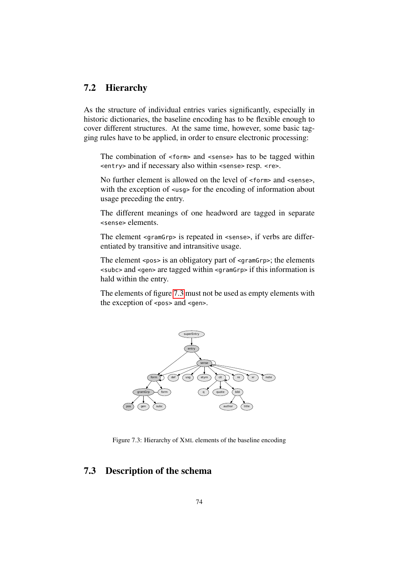## 7.2 Hierarchy

As the structure of individual entries varies significantly, especially in historic dictionaries, the baseline encoding has to be flexible enough to cover different structures. At the same time, however, some basic tagging rules have to be applied, in order to ensure electronic processing:

The combination of <form> and <sense> has to be tagged within <entry> and if necessary also within <sense> resp. <re>.

No further element is allowed on the level of <form> and <sense>, with the exception of  $\langle \text{usq} \rangle$  for the encoding of information about usage preceding the entry.

The different meanings of one headword are tagged in separate <sense> elements.

The element <gramGrp> is repeated in <sense>, if verbs are differentiated by transitive and intransitive usage.

The element <pos> is an obligatory part of <gramGrp>; the elements <subc> and <gen> are tagged within <gramGrp> if this information is hald within the entry.

The elements of figure [7.3](#page-75-0) must not be used as empty elements with the exception of <pos> and <gen>.



<span id="page-75-0"></span>Figure 7.3: Hierarchy of XML elements of the baseline encoding

## 7.3 Description of the schema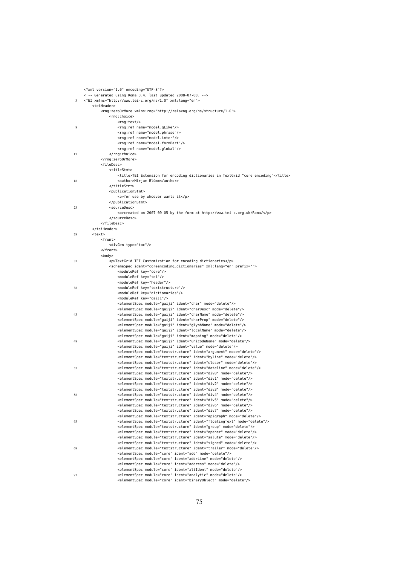|    | xml version="1.0" encoding="UTF-8"?                                                                                                                                |  |  |
|----|--------------------------------------------------------------------------------------------------------------------------------------------------------------------|--|--|
|    | Generated using Roma 3.4, last updated 2008-07-08.                                                                                                                 |  |  |
|    | <tei xml:lang="en" xmlns="http://www.tei-c.org/ns/1.0"><br/>3</tei>                                                                                                |  |  |
|    | <teiheader><br/><rng:zeroormore xmlns:rng="http://relaxng.org/ns/structure/1.0"></rng:zeroormore></teiheader>                                                      |  |  |
|    | <rng:choice></rng:choice>                                                                                                                                          |  |  |
|    | <rnq:text></rnq:text>                                                                                                                                              |  |  |
| 8  | <rng:ref name="model.gLike"></rng:ref>                                                                                                                             |  |  |
|    | <rng:ref name="model.phrase"></rng:ref>                                                                                                                            |  |  |
|    | <rng:ref name="model.inter"></rng:ref>                                                                                                                             |  |  |
|    | <rng:ref name="model.formPart"></rng:ref>                                                                                                                          |  |  |
|    | <rng:ref name="model.global"></rng:ref>                                                                                                                            |  |  |
| 13 |                                                                                                                                                                    |  |  |
|    | <br><filedesc></filedesc>                                                                                                                                          |  |  |
|    | <titlestmt></titlestmt>                                                                                                                                            |  |  |
|    | <title>TEI Extension for encoding dictionaries in TextGrid "core encoding"</title>                                                                                 |  |  |
| 18 | <author>Mirjam Blümm</author>                                                                                                                                      |  |  |
|    |                                                                                                                                                                    |  |  |
|    | <publicationstmt></publicationstmt>                                                                                                                                |  |  |
|    | <p>for use by whoever wants it</p>                                                                                                                                 |  |  |
|    |                                                                                                                                                                    |  |  |
| 23 | <sourcedesc></sourcedesc>                                                                                                                                          |  |  |
|    | <p>created on 2007-09-05 by the form at http://www.tei-c.org.uk/Roma/</p><br>                                                                                      |  |  |
|    |                                                                                                                                                                    |  |  |
|    |                                                                                                                                                                    |  |  |
| 28 | <text></text>                                                                                                                                                      |  |  |
|    | <front></front>                                                                                                                                                    |  |  |
|    | <divgen type="toc"></divgen>                                                                                                                                       |  |  |
|    |                                                                                                                                                                    |  |  |
|    | <body></body>                                                                                                                                                      |  |  |
| 33 | <p>TextGrid TEI Customization for encoding dictionaries</p>                                                                                                        |  |  |
|    | <schemaspec ident="coreencoding_dictionaries" prefix="" xml:lang="en"><br/><moduleref key="core"></moduleref></schemaspec>                                         |  |  |
|    | <moduleref key="tei"></moduleref>                                                                                                                                  |  |  |
|    | <moduleref key="header"></moduleref>                                                                                                                               |  |  |
| 38 | <moduleref key="textstructure"></moduleref>                                                                                                                        |  |  |
|    | <moduleref key="dictionaries"></moduleref>                                                                                                                         |  |  |
|    | <moduleref key="gaiji"></moduleref>                                                                                                                                |  |  |
|    | <elementspec ident="char" mode="delete" module="gaiji"></elementspec>                                                                                              |  |  |
|    | <elementspec ident="charDesc" mode="delete" module="gaiji"></elementspec>                                                                                          |  |  |
| 43 | <elementspec ident="charName" mode="delete" module="gaiji"></elementspec>                                                                                          |  |  |
|    | <elementspec ident="charProp" mode="delete" module="gaiji"></elementspec><br><elementspec ident="glyphName" mode="delete" module="gaiji"></elementspec>            |  |  |
|    | <elementspec ident="localName" mode="delete" module="gaiji"></elementspec>                                                                                         |  |  |
|    | <elementspec ident="mapping" mode="delete" module="gaiji"></elementspec>                                                                                           |  |  |
| 48 | <elementspec ident="unicodeName" mode="delete" module="gaiji"></elementspec>                                                                                       |  |  |
|    | <elementspec ident="value" mode="delete" module="gaiji"></elementspec>                                                                                             |  |  |
|    | <elementspec ident="argument" mode="delete" module="textstructure"></elementspec>                                                                                  |  |  |
|    | <elementspec ident="byline" mode="delete" module="textstructure"></elementspec>                                                                                    |  |  |
|    | <elementspec ident="closer" mode="delete" module="textstructure"></elementspec>                                                                                    |  |  |
| 53 | <elementspec ident="dateline" mode="delete" module="textstructure"></elementspec>                                                                                  |  |  |
|    | <elementspec ident="div0" mode="delete" module="textstructure"></elementspec><br><elementspec ident="div1" mode="delete" module="textstructure"></elementspec>     |  |  |
|    | <elementspec ident="div2" mode="delete" module="textstructure"></elementspec>                                                                                      |  |  |
|    | <elementspec ident="div3" mode="delete" module="textstructure"></elementspec>                                                                                      |  |  |
| 58 | <elementspec ident="div4" mode="delete" module="textstructure"></elementspec>                                                                                      |  |  |
|    | <elementspec ident="div5" mode="delete" module="textstructure"></elementspec>                                                                                      |  |  |
|    | <elementspec ident="div6" mode="delete" module="textstructure"></elementspec>                                                                                      |  |  |
|    | <elementspec ident="div7" mode="delete" module="textstructure"></elementspec>                                                                                      |  |  |
|    | <elementspec ident="epigraph" mode="delete" module="textstructure"></elementspec>                                                                                  |  |  |
| 63 | <elementspec ident="floatingText" mode="delete" module="textstructure"></elementspec>                                                                              |  |  |
|    | <elementspec ident="group" mode="delete" module="textstructure"></elementspec>                                                                                     |  |  |
|    | <elementspec ident="opener" mode="delete" module="textstructure"></elementspec><br><elementspec ident="salute" mode="delete" module="textstructure"></elementspec> |  |  |
|    | <elementspec ident="signed" mode="delete" module="textstructure"></elementspec>                                                                                    |  |  |
| 68 | <elementspec ident="trailer" mode="delete" module="textstructure"></elementspec>                                                                                   |  |  |
|    | <elementspec ident="add" mode="delete" module="core"></elementspec>                                                                                                |  |  |
|    | <elementspec ident="addrLine" mode="delete" module="core"></elementspec>                                                                                           |  |  |
|    | <elementspec ident="address" mode="delete" module="core"></elementspec>                                                                                            |  |  |
|    | <elementspec ident="altIdent" mode="delete" module="core"></elementspec>                                                                                           |  |  |
| 73 | <elementspec ident="analytic" mode="delete" module="core"></elementspec>                                                                                           |  |  |
|    | <elementspec ident="binaryObject" mode="delete" module="core"></elementspec>                                                                                       |  |  |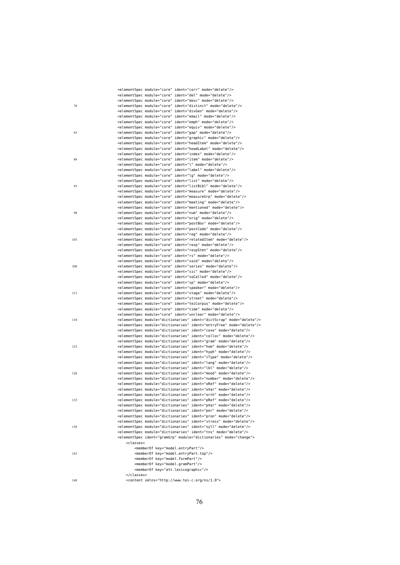|     |                     |                                             | <elementspec ident="corr" mode="delete" module="core"></elementspec>                                                                                        |
|-----|---------------------|---------------------------------------------|-------------------------------------------------------------------------------------------------------------------------------------------------------------|
|     |                     |                                             | <elementspec ident="del" mode="delete" module="core"></elementspec>                                                                                         |
|     |                     |                                             | <elementspec ident="desc" mode="delete" module="core"></elementspec>                                                                                        |
| 78  |                     |                                             | <elementspec ident="distinct" mode="delete" module="core"></elementspec>                                                                                    |
|     |                     |                                             | <elementspec ident="divGen" mode="delete" module="core"></elementspec>                                                                                      |
|     |                     |                                             | <elementspec ident="email" mode="delete" module="core"></elementspec>                                                                                       |
|     |                     |                                             | <elementspec ident="emph" mode="delete" module="core"></elementspec>                                                                                        |
|     |                     |                                             | <elementspec ident="equiv" mode="delete" module="core"></elementspec>                                                                                       |
| 83  |                     |                                             | <elementspec ident="gap" mode="delete" module="core"></elementspec>                                                                                         |
|     |                     |                                             | <elementspec ident="graphic" mode="delete" module="core"></elementspec>                                                                                     |
|     |                     |                                             | <elementspec ident="headItem" mode="delete" module="core"></elementspec>                                                                                    |
|     |                     |                                             | <elementspec ident="headLabel" mode="delete" module="core"></elementspec>                                                                                   |
|     |                     |                                             | <elementspec ident="index" mode="delete" module="core"></elementspec>                                                                                       |
| 88  |                     |                                             | <elementspec ident="item" mode="delete" module="core"></elementspec><br><elementspec ident="l" mode="delete" module="core"></elementspec>                   |
|     |                     |                                             | <elementspec ident="label" mode="delete" module="core"></elementspec>                                                                                       |
|     |                     |                                             | <elementspec ident="lg" mode="delete" module="core"></elementspec>                                                                                          |
|     |                     |                                             | <elementspec ident="list" mode="delete" module="core"></elementspec>                                                                                        |
| 93  |                     |                                             | <elementspec ident="listBibl" mode="delete" module="core"></elementspec>                                                                                    |
|     |                     |                                             | <elementspec ident="measure" mode="delete" module="core"></elementspec>                                                                                     |
|     |                     |                                             | <elementspec ident="measureGrp" mode="delete" module="core"></elementspec>                                                                                  |
|     |                     |                                             | <elementspec ident="meeting" mode="delete" module="core"></elementspec>                                                                                     |
|     |                     |                                             | <elementspec ident="mentioned" mode="delete" module="core"></elementspec>                                                                                   |
| 98  |                     |                                             | <elementspec ident="num" mode="delete" module="core"></elementspec>                                                                                         |
|     |                     |                                             | <elementspec ident="orig" mode="delete" module="core"></elementspec>                                                                                        |
|     |                     |                                             | <elementspec ident="postBox" mode="delete" module="core"></elementspec>                                                                                     |
|     |                     |                                             | <elementspec ident="postCode" mode="delete" module="core"></elementspec>                                                                                    |
|     |                     |                                             | <elementspec ident="reg" mode="delete" module="core"></elementspec>                                                                                         |
| 103 |                     |                                             | <elementspec ident="relatedItem" mode="delete" module="core"></elementspec>                                                                                 |
|     |                     |                                             | <elementspec ident="resp" mode="delete" module="core"></elementspec>                                                                                        |
|     |                     |                                             | <elementspec ident="respStmt" mode="delete" module="core"></elementspec>                                                                                    |
|     |                     |                                             | <elementspec ident="rs" mode="delete" module="core"></elementspec>                                                                                          |
|     |                     |                                             | <elementspec ident="said" mode="delete" module="core"></elementspec>                                                                                        |
| 108 |                     |                                             | <elementspec ident="series" mode="delete" module="core"></elementspec>                                                                                      |
|     |                     |                                             | <elementspec ident="sic" mode="delete" module="core"></elementspec>                                                                                         |
|     |                     |                                             | <elementspec ident="soCalled" mode="delete" module="core"></elementspec>                                                                                    |
|     |                     |                                             | <elementspec ident="sp" mode="delete" module="core"></elementspec>                                                                                          |
|     |                     |                                             | <elementspec ident="speaker" mode="delete" module="core"></elementspec>                                                                                     |
| 113 |                     |                                             | <elementspec ident="stage" mode="delete" module="core"></elementspec>                                                                                       |
|     |                     |                                             | <elementspec ident="street" mode="delete" module="core"></elementspec>                                                                                      |
|     |                     |                                             | <elementspec ident="teiCorpus" mode="delete" module="core"></elementspec>                                                                                   |
|     |                     |                                             | <elementspec ident="time" mode="delete" module="core"></elementspec>                                                                                        |
|     |                     |                                             | <elementspec ident="unclear" mode="delete" module="core"></elementspec>                                                                                     |
| 118 |                     |                                             | <elementspec ident="dictScrap" mode="delete" module="dictionaries"></elementspec>                                                                           |
|     |                     |                                             | <elementspec ident="entryFree" mode="delete" module="dictionaries"></elementspec>                                                                           |
|     |                     |                                             | <elementspec ident="case" mode="delete" module="dictionaries"></elementspec>                                                                                |
|     |                     |                                             | <elementspec ident="colloc" mode="delete" module="dictionaries"></elementspec>                                                                              |
|     |                     |                                             | <elementspec ident="gram" mode="delete" module="dictionaries"></elementspec>                                                                                |
| 123 |                     |                                             | <elementspec ident="hom" mode="delete" module="dictionaries"></elementspec>                                                                                 |
|     |                     |                                             | <elementspec ident="hyph" mode="delete" module="dictionaries"></elementspec>                                                                                |
|     |                     |                                             | <elementspec ident="iType" mode="delete" module="dictionaries"></elementspec>                                                                               |
|     |                     |                                             | <elementspec ident="lang" mode="delete" module="dictionaries"></elementspec><br><elementspec ident="lbl" mode="delete" module="dictionaries"></elementspec> |
| 128 |                     |                                             | <elementspec ident="mood" mode="delete" module="dictionaries"></elementspec>                                                                                |
|     |                     |                                             | <elementspec ident="number" mode="delete" module="dictionaries"></elementspec>                                                                              |
|     |                     |                                             | <elementspec ident="oRef" mode="delete" module="dictionaries"></elementspec>                                                                                |
|     |                     |                                             | <elementspec ident="oVar" mode="delete" module="dictionaries"></elementspec>                                                                                |
|     |                     |                                             | <elementspec ident="orth" mode="delete" module="dictionaries"></elementspec>                                                                                |
| 133 |                     |                                             | <elementspec ident="pRef" mode="delete" module="dictionaries"></elementspec>                                                                                |
|     |                     |                                             | <elementspec ident="pVar" mode="delete" module="dictionaries"></elementspec>                                                                                |
|     |                     |                                             | <elementspec ident="per" mode="delete" module="dictionaries"></elementspec>                                                                                 |
|     |                     |                                             | <elementspec ident="pron" mode="delete" module="dictionaries"></elementspec>                                                                                |
|     |                     |                                             | <elementspec ident="stress" mode="delete" module="dictionaries"></elementspec>                                                                              |
| 138 |                     |                                             | <elementspec ident="syll" mode="delete" module="dictionaries"></elementspec>                                                                                |
|     |                     |                                             | <elementspec ident="tns" mode="delete" module="dictionaries"></elementspec>                                                                                 |
|     |                     |                                             | <elementspec ident="gramGrp" mode="change" module="dictionaries"></elementspec>                                                                             |
|     | <classes></classes> |                                             |                                                                                                                                                             |
|     |                     | <member0f key="model.entryPart"></member0f> |                                                                                                                                                             |
| 143 |                     |                                             | <memberof key="model.entryPart.top"></memberof>                                                                                                             |
|     |                     | <member0f key="model.formPart"></member0f>  |                                                                                                                                                             |
|     |                     | <member0f key="model.gramPart"></member0f>  |                                                                                                                                                             |
|     |                     |                                             | <member0f key="att.lexicographic"></member0f>                                                                                                               |
|     |                     |                                             |                                                                                                                                                             |
| 148 |                     |                                             | <content xmlns="http://www.tei-c.org/ns/1.0"></content>                                                                                                     |

## 76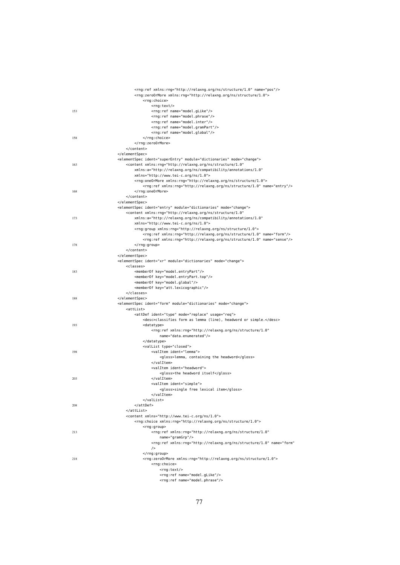|     | <rng:ref name="pos" xmlns:rng="http://relaxng.org/ns/structure/1.0"></rng:ref>                                                                              |
|-----|-------------------------------------------------------------------------------------------------------------------------------------------------------------|
|     | <rng:zeroormore xmlns:rng="http://relaxng.org/ns/structure/1.0"></rng:zeroormore>                                                                           |
|     | <rng:choice></rng:choice>                                                                                                                                   |
| 153 | <rng:text></rng:text><br><rng:ref name="model.gLike"></rng:ref>                                                                                             |
|     | <rng:ref name="model.phrase"></rng:ref>                                                                                                                     |
|     | <rng:ref name="model.inter"></rng:ref>                                                                                                                      |
|     | <rng:ref name="model.gramPart"></rng:ref>                                                                                                                   |
|     | <rng:ref name="model.global"></rng:ref>                                                                                                                     |
| 158 |                                                                                                                                                             |
|     |                                                                                                                                                             |
|     |                                                                                                                                                             |
|     |                                                                                                                                                             |
|     | <elementspec ident="superEntry" mode="change" module="dictionaries"></elementspec>                                                                          |
| 163 | <content <="" td="" xmlns:rng="http://relaxng.org/ns/structure/1.0"></content>                                                                              |
|     | xmlns:a="http://relaxng.org/ns/compatibility/annotations/1.0"<br>xmlns="http://www.tei-c.org/ns/1.0">                                                       |
|     | <rng:oneormore xmlns:rng="http://relaxng.org/ns/structure/1.0"></rng:oneormore>                                                                             |
|     | <rng:ref name="entry" xmlns:rng="http://relaxng.org/ns/structure/1.0"></rng:ref>                                                                            |
| 168 |                                                                                                                                                             |
|     |                                                                                                                                                             |
|     |                                                                                                                                                             |
|     | <elementspec ident="entry" mode="change" module="dictionaries"></elementspec>                                                                               |
|     | <content <="" td="" xmlns:rng="http://relaxng.org/ns/structure/1.0"></content>                                                                              |
| 173 | xmlns:a="http://relaxng.org/ns/compatibility/annotations/1.0"                                                                                               |
|     | xmlns="http://www.tei-c.org/ns/1.0">                                                                                                                        |
|     | <rng:group xmlns:rng="http://relaxng.org/ns/structure/1.0"><br/><rng:ref name="form" xmlns:rng="http://relaxng.org/ns/structure/1.0"></rng:ref></rng:group> |
|     | <rng:ref name="sense" xmlns:rng="http://relaxng.org/ns/structure/1.0"></rng:ref>                                                                            |
| 178 |                                                                                                                                                             |
|     |                                                                                                                                                             |
|     |                                                                                                                                                             |
|     | <elementspec ident="xr" mode="change" module="dictionaries"></elementspec>                                                                                  |
|     | <classes></classes>                                                                                                                                         |
| 183 | <member0f key="model.entryPart"></member0f>                                                                                                                 |
|     | <memberof key="model.entryPart.top"></memberof>                                                                                                             |
|     | <memberof key="model.global"></memberof><br><memberof key="att.lexicographic"></memberof>                                                                   |
|     |                                                                                                                                                             |
| 188 |                                                                                                                                                             |
|     | <elementspec ident="form" mode="change" module="dictionaries"></elementspec>                                                                                |
|     | <attlist></attlist>                                                                                                                                         |
|     | <attdef ident="type" mode="replace" usage="req"></attdef>                                                                                                   |
|     | <desc>classifies form as lemma (line), headword or simple.</desc>                                                                                           |
| 193 | <datatype></datatype>                                                                                                                                       |
|     | <rng:ref <="" td="" xmlns:rng="http://relaxng.org/ns/structure/1.0"></rng:ref>                                                                              |
|     | name="data.enumerated"/><br>                                                                                                                                |
|     | <vallist type="closed"></vallist>                                                                                                                           |
| 198 | <valitem ident="lemma"></valitem>                                                                                                                           |
|     | <gloss>lemma, containing the headword</gloss>                                                                                                               |
|     |                                                                                                                                                             |
|     | <valitem ident="headword"></valitem>                                                                                                                        |
|     | <gloss>the headword itself</gloss>                                                                                                                          |
| 203 |                                                                                                                                                             |
|     | <valitem ident="simple"></valitem>                                                                                                                          |
|     | <gloss>single free lexical item</gloss>                                                                                                                     |
|     | <br>                                                                                                                                                        |
| 208 |                                                                                                                                                             |
|     |                                                                                                                                                             |
|     | <content xmlns="http://www.tei-c.org/ns/1.0"></content>                                                                                                     |
|     | <rng:choice xmlns:rng="http://relaxng.org/ns/structure/1.0"></rng:choice>                                                                                   |
|     | <rng:group></rng:group>                                                                                                                                     |
| 213 | <rng:ref <="" td="" xmlns:rng="http://relaxng.org/ns/structure/1.0"></rng:ref>                                                                              |
|     | name="gramGrp"/>                                                                                                                                            |
|     | <rng:ref <="" name="form" td="" xmlns:rng="http://relaxng.org/ns/structure/1.0"></rng:ref>                                                                  |
|     | /                                                                                                                                                           |
|     |                                                                                                                                                             |
| 218 | <rng:zeroormore xmlns:rng="http://relaxng.org/ns/structure/1.0"><br/><rng:choice></rng:choice></rng:zeroormore>                                             |
|     | <rng:text></rng:text>                                                                                                                                       |
|     | <rng:ref name="model.gLike"></rng:ref>                                                                                                                      |
|     | <rng:ref name="model.phrase"></rng:ref>                                                                                                                     |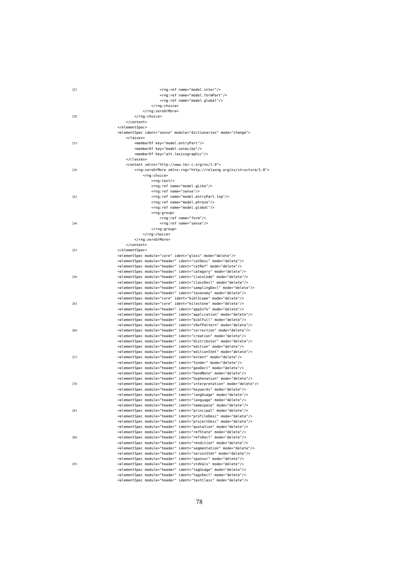| 223 | <rng:ref name="model.inter"></rng:ref>                                                                                                                    |
|-----|-----------------------------------------------------------------------------------------------------------------------------------------------------------|
|     | <rng:ref name="model.formPart"></rng:ref>                                                                                                                 |
|     | <rng:ref name="model.global"></rng:ref>                                                                                                                   |
|     |                                                                                                                                                           |
|     |                                                                                                                                                           |
| 228 |                                                                                                                                                           |
|     |                                                                                                                                                           |
|     |                                                                                                                                                           |
|     | <elementspec ident="sense" mode="change" module="dictionaries"></elementspec>                                                                             |
|     | <classes></classes>                                                                                                                                       |
| 233 | <member0f key="model.entryPart"></member0f>                                                                                                               |
|     | <memberof key="model.noteLike"></memberof>                                                                                                                |
|     | <memberof key="att.lexicographic"></memberof>                                                                                                             |
|     | <br><content xmlns="http://www.tei-c.org/ns/1.0"></content>                                                                                               |
| 238 | <rng:zeroormore xmlns:rng="http://relaxng.org/ns/structure/1.0"></rng:zeroormore>                                                                         |
|     | <rng:choice></rng:choice>                                                                                                                                 |
|     | <rng:text></rng:text>                                                                                                                                     |
|     | <rng:ref name="model.gLike"></rng:ref>                                                                                                                    |
|     | <rng:ref name="sense"></rng:ref>                                                                                                                          |
| 243 | <rng:ref name="model.entryPart.top"></rng:ref>                                                                                                            |
|     | <rng:ref name="model.phrase"></rng:ref>                                                                                                                   |
|     | <rng:ref name="model.global"></rng:ref>                                                                                                                   |
|     | <rng:group></rng:group>                                                                                                                                   |
|     | <rng:ref name="form"></rng:ref>                                                                                                                           |
| 248 | <rng:ref name="sense"></rng:ref>                                                                                                                          |
|     |                                                                                                                                                           |
|     |                                                                                                                                                           |
|     |                                                                                                                                                           |
|     |                                                                                                                                                           |
| 253 |                                                                                                                                                           |
|     | <elementspec ident="gloss" mode="delete" module="core"></elementspec><br><elementspec ident="catDesc" mode="delete" module="header"></elementspec>        |
|     | <elementspec ident="catRef" mode="delete" module="header"></elementspec>                                                                                  |
|     | <elementspec ident="category" mode="delete" module="header"></elementspec>                                                                                |
| 258 | <elementspec ident="classCode" mode="delete" module="header"></elementspec>                                                                               |
|     | <elementspec ident="classDecl" mode="delete" module="header"></elementspec>                                                                               |
|     | <elementspec ident="samplingDecl" mode="delete" module="header"></elementspec>                                                                            |
|     | <elementspec ident="taxonomy" mode="delete" module="header"></elementspec>                                                                                |
|     | <elementspec ident="biblScope" mode="delete" module="core"></elementspec>                                                                                 |
| 263 | <elementspec ident="milestone" mode="delete" module="core"></elementspec>                                                                                 |
|     | <elementspec ident="appInfo" mode="delete" module="header"></elementspec>                                                                                 |
|     | <elementspec ident="application" mode="delete" module="header"></elementspec>                                                                             |
|     | <elementspec ident="biblFull" mode="delete" module="header"></elementspec>                                                                                |
|     | <elementspec ident="cRefPattern" mode="delete" module="header"></elementspec>                                                                             |
| 268 | <elementspec ident="correction" mode="delete" module="header"></elementspec>                                                                              |
|     | <elementspec ident="creation" mode="delete" module="header"></elementspec>                                                                                |
|     | <elementspec ident="distributor" mode="delete" module="header"></elementspec>                                                                             |
|     | <elementspec ident="edition" mode="delete" module="header"></elementspec>                                                                                 |
| 273 | <elementspec ident="editionStmt" mode="delete" module="header"></elementspec><br><elementspec ident="extent" mode="delete" module="header"></elementspec> |
|     | <elementspec ident="funder" mode="delete" module="header"></elementspec>                                                                                  |
|     | <elementspec ident="geoDecl" mode="delete" module="header"></elementspec>                                                                                 |
|     | <elementspec ident="handNote" mode="delete" module="header"></elementspec>                                                                                |
|     | <elementspec ident="hyphenation" mode="delete" module="header"></elementspec>                                                                             |
| 278 | <elementspec ident="interpretation" mode="delete" module="header"></elementspec>                                                                          |
|     | <elementspec ident="keywords" mode="delete" module="header"></elementspec>                                                                                |
|     | <elementspec ident="langUsage" mode="delete" module="header"></elementspec>                                                                               |
|     | <elementspec ident="language" mode="delete" module="header"></elementspec>                                                                                |
|     | <elementspec ident="namespace" mode="delete" module="header"></elementspec>                                                                               |
| 283 | <elementspec ident="principal" mode="delete" module="header"></elementspec>                                                                               |
|     | <elementspec ident="profileDesc" mode="delete" module="header"></elementspec>                                                                             |
|     | <elementspec ident="projectDesc" mode="delete" module="header"></elementspec>                                                                             |
|     | <elementspec ident="quotation" mode="delete" module="header"></elementspec>                                                                               |
|     | <elementspec ident="refState" mode="delete" module="header"></elementspec>                                                                                |
| 288 | <elementspec ident="refsDecl" mode="delete" module="header"></elementspec>                                                                                |
|     | <elementspec ident="rendition" mode="delete" module="header"></elementspec>                                                                               |
|     | <elementspec ident="segmentation" mode="delete" module="header"></elementspec>                                                                            |
|     | <elementspec ident="seriesStmt" mode="delete" module="header"></elementspec>                                                                              |
|     | <elementspec ident="sponsor" mode="delete" module="header"></elementspec>                                                                                 |
| 293 | <elementspec ident="stdVals" mode="delete" module="header"></elementspec><br><elementspec ident="tagUsage" mode="delete" module="header"></elementspec>   |
|     | <elementspec ident="tagsDecl" mode="delete" module="header"></elementspec>                                                                                |
|     | <elementspec ident="textClass" mode="delete" module="header"></elementspec>                                                                               |
|     |                                                                                                                                                           |